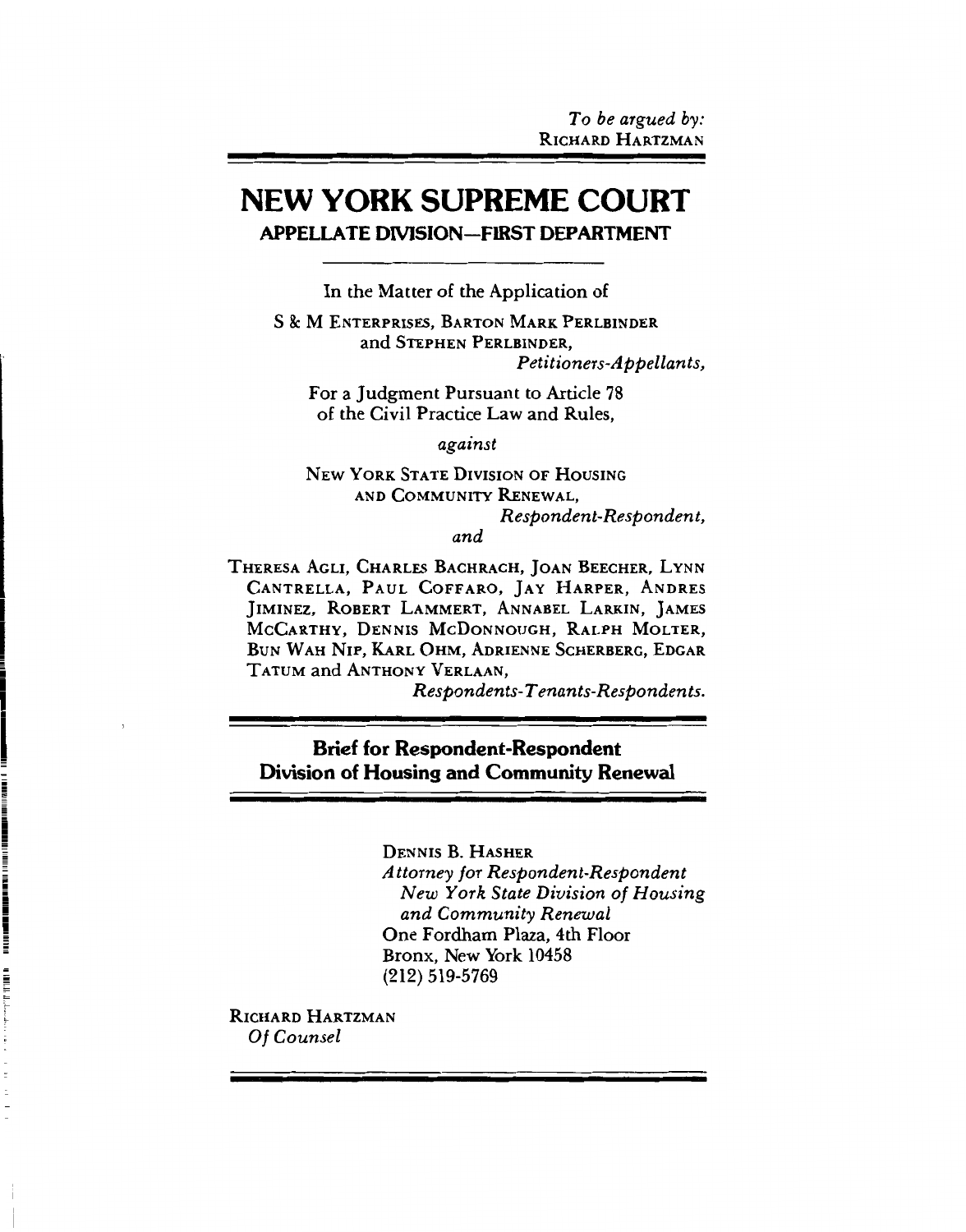# **NEW YORK SUPREME COURT APPELLATE DIVISION-FIRST DEPARTMENT**

In the Matter of the Application of

**S & M ENTERPRISES, BARTON MARK PERLBINDER** and STEPHEN PERLBINDER. Petitioners-Appellants,

For a Judgment Pursuant to Article 78 of the Civil Practice Law and Rules.

against

**NEW YORK STATE DIVISION OF HOUSING** AND COMMUNITY RENEWAL. Respondent-Respondent.

and

THERESA AGLI, CHARLES BACHRACH, JOAN BEECHER, LYNN CANTRELLA. PAUL COFFARO, JAY HARPER, ANDRES JIMINEZ, ROBERT LAMMERT, ANNABEL LARKIN, JAMES MCCARTHY, DENNIS MCDONNOUGH, RALPH MOLTER, BUN WAH NIP, KARL OHM, ADRIENNE SCHERBERG, EDGAR TATUM and ANTHONY VERLAAN,

Respondents-Tenants-Respondents.

**Brief for Respondent-Respondent** Division of Housing and Community Renewal

**DENNIS B. HASHER** 

Attorney for Respondent-Respondent New York State Division of Housing and Community Renewal One Fordham Plaza, 4th Floor Bronx, New York 10458 (212) 519-5769

RICHARD HARTZMAN Of Counsel

The component of the component of the component of the component of the component of the component of the component of the component of the component of the component of the component of the component of the component of t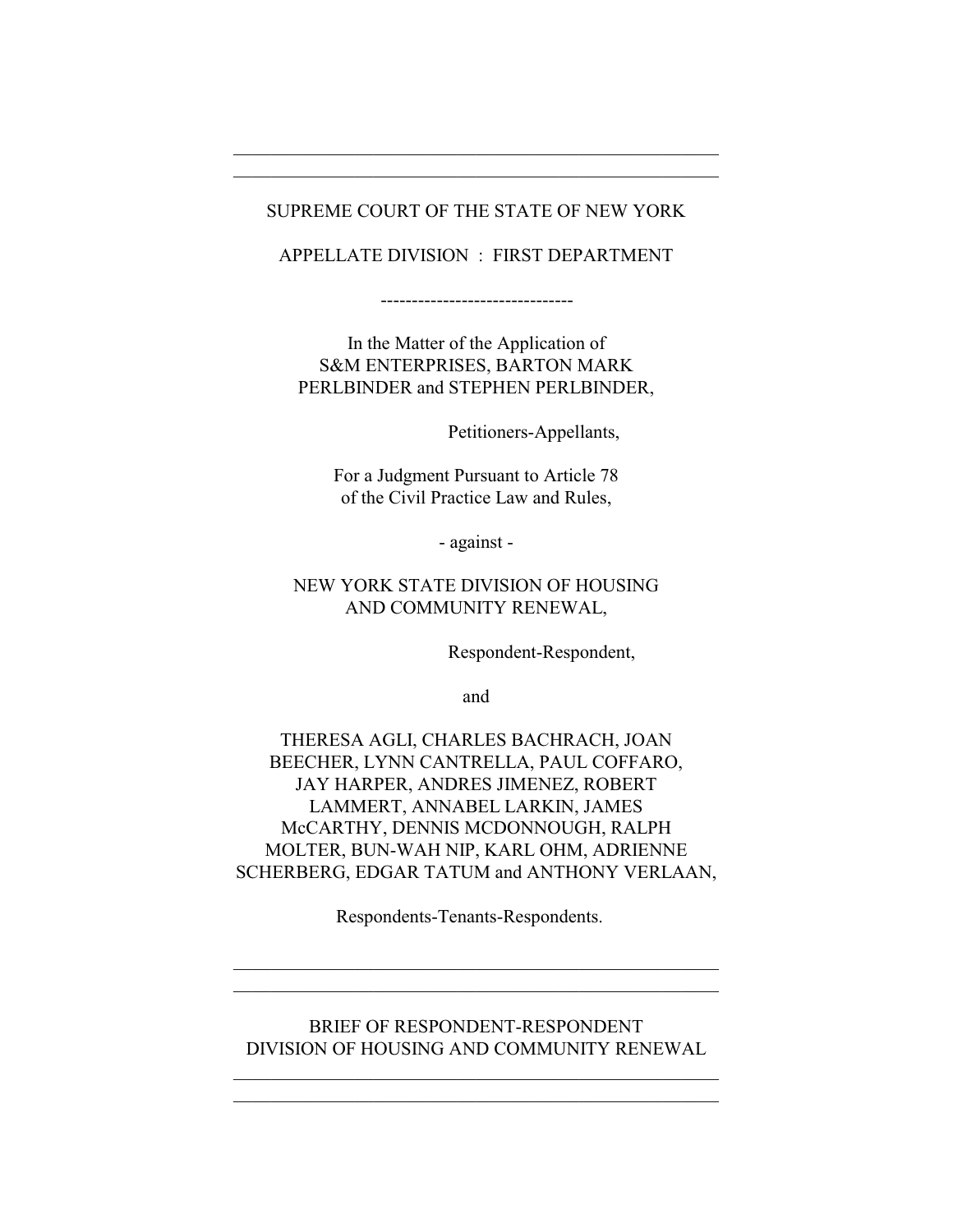## SUPREME COURT OF THE STATE OF NEW YORK

\_\_\_\_\_\_\_\_\_\_\_\_\_\_\_\_\_\_\_\_\_\_\_\_\_\_\_\_\_\_\_\_\_\_\_\_\_\_\_\_\_\_\_\_\_\_\_\_\_\_\_\_ \_\_\_\_\_\_\_\_\_\_\_\_\_\_\_\_\_\_\_\_\_\_\_\_\_\_\_\_\_\_\_\_\_\_\_\_\_\_\_\_\_\_\_\_\_\_\_\_\_\_\_\_

## APPELLATE DIVISION : FIRST DEPARTMENT

-------------------------------

In the Matter of the Application of S&M ENTERPRISES, BARTON MARK PERLBINDER and STEPHEN PERLBINDER,

Petitioners-Appellants,

For a Judgment Pursuant to Article 78 of the Civil Practice Law and Rules,

- against -

## NEW YORK STATE DIVISION OF HOUSING AND COMMUNITY RENEWAL,

Respondent-Respondent,

and

THERESA AGLI, CHARLES BACHRACH, JOAN BEECHER, LYNN CANTRELLA, PAUL COFFARO, JAY HARPER, ANDRES JIMENEZ, ROBERT LAMMERT, ANNABEL LARKIN, JAMES McCARTHY, DENNIS MCDONNOUGH, RALPH MOLTER, BUN-WAH NIP, KARL OHM, ADRIENNE SCHERBERG, EDGAR TATUM and ANTHONY VERLAAN,

Respondents-Tenants-Respondents.

\_\_\_\_\_\_\_\_\_\_\_\_\_\_\_\_\_\_\_\_\_\_\_\_\_\_\_\_\_\_\_\_\_\_\_\_\_\_\_\_\_\_\_\_\_\_\_\_\_\_\_\_ \_\_\_\_\_\_\_\_\_\_\_\_\_\_\_\_\_\_\_\_\_\_\_\_\_\_\_\_\_\_\_\_\_\_\_\_\_\_\_\_\_\_\_\_\_\_\_\_\_\_\_\_

## BRIEF OF RESPONDENT-RESPONDENT DIVISION OF HOUSING AND COMMUNITY RENEWAL

\_\_\_\_\_\_\_\_\_\_\_\_\_\_\_\_\_\_\_\_\_\_\_\_\_\_\_\_\_\_\_\_\_\_\_\_\_\_\_\_\_\_\_\_\_\_\_\_\_\_\_\_ \_\_\_\_\_\_\_\_\_\_\_\_\_\_\_\_\_\_\_\_\_\_\_\_\_\_\_\_\_\_\_\_\_\_\_\_\_\_\_\_\_\_\_\_\_\_\_\_\_\_\_\_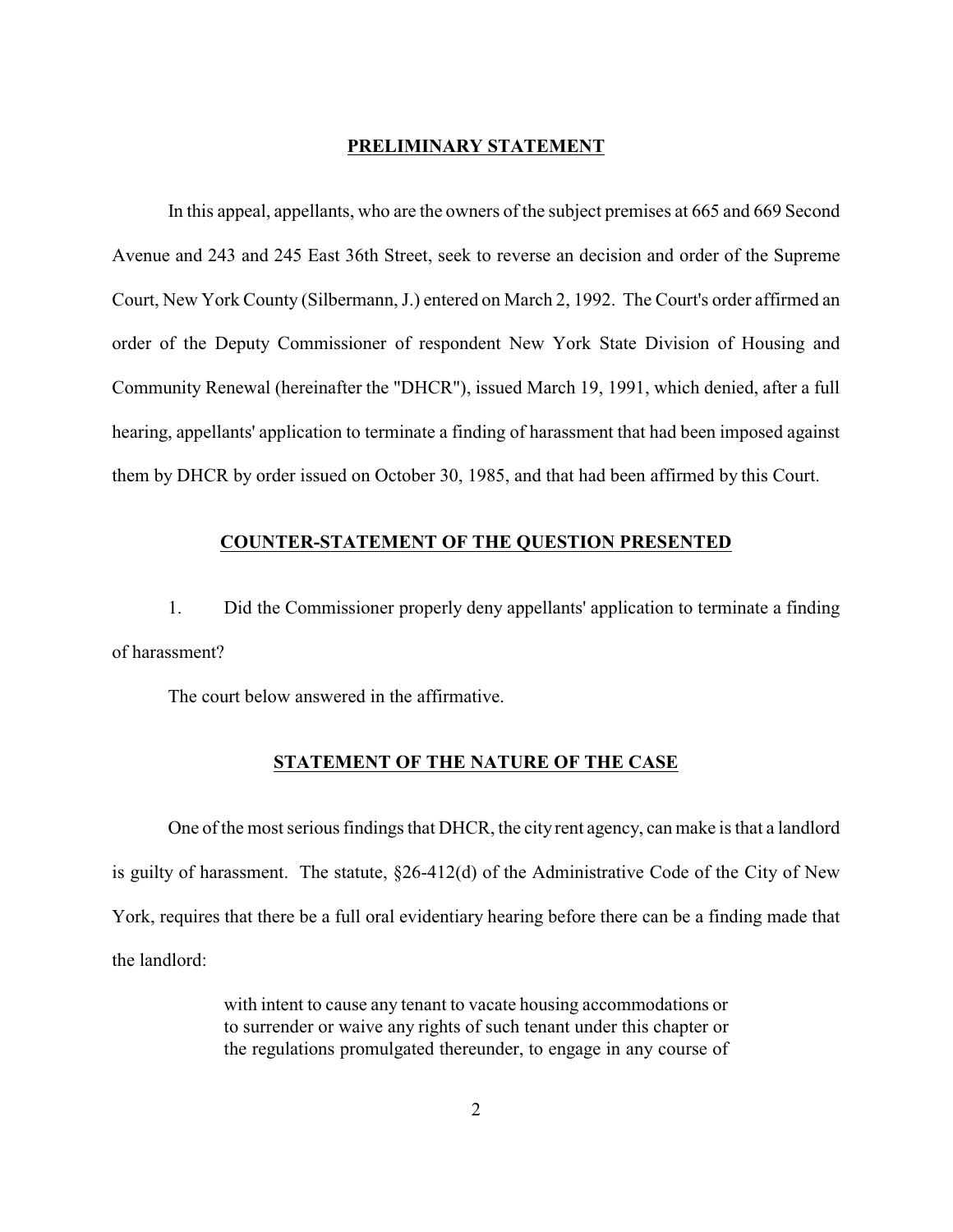## **PRELIMINARY STATEMENT**

In this appeal, appellants, who are the owners of the subject premises at 665 and 669 Second Avenue and 243 and 245 East 36th Street, seek to reverse an decision and order of the Supreme Court, New York County (Silbermann, J.) entered on March 2, 1992. The Court's order affirmed an order of the Deputy Commissioner of respondent New York State Division of Housing and Community Renewal (hereinafter the "DHCR"), issued March 19, 1991, which denied, after a full hearing, appellants' application to terminate a finding of harassment that had been imposed against them by DHCR by order issued on October 30, 1985, and that had been affirmed by this Court.

## **COUNTER-STATEMENT OF THE QUESTION PRESENTED**

1. Did the Commissioner properly deny appellants' application to terminate a finding of harassment?

The court below answered in the affirmative.

## **STATEMENT OF THE NATURE OF THE CASE**

One of the most serious findings that DHCR, the city rent agency, can make is that a landlord is guilty of harassment. The statute, §26-412(d) of the Administrative Code of the City of New York, requires that there be a full oral evidentiary hearing before there can be a finding made that the landlord:

> with intent to cause any tenant to vacate housing accommodations or to surrender or waive any rights of such tenant under this chapter or the regulations promulgated thereunder, to engage in any course of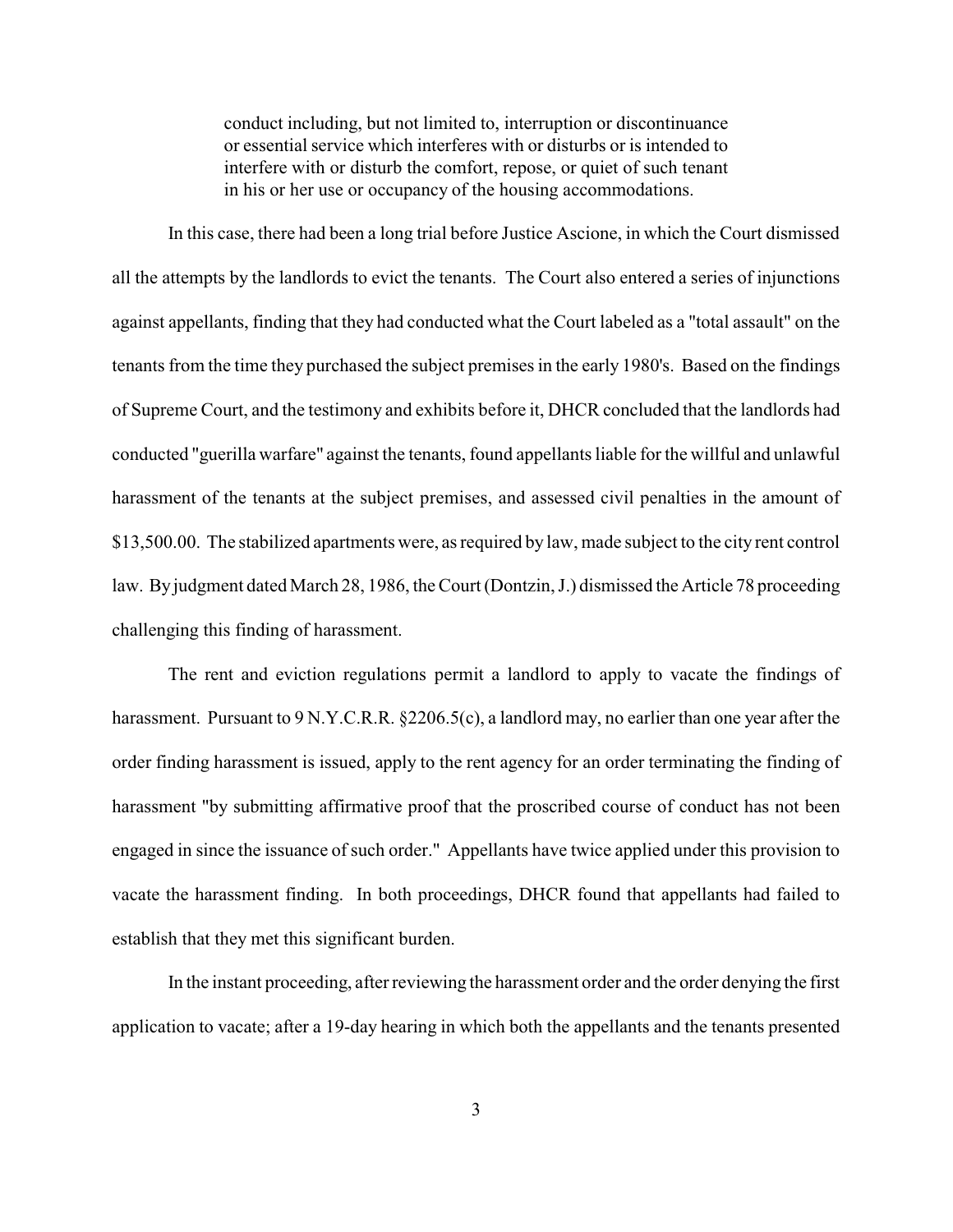conduct including, but not limited to, interruption or discontinuance or essential service which interferes with or disturbs or is intended to interfere with or disturb the comfort, repose, or quiet of such tenant in his or her use or occupancy of the housing accommodations.

In this case, there had been a long trial before Justice Ascione, in which the Court dismissed all the attempts by the landlords to evict the tenants. The Court also entered a series of injunctions against appellants, finding that they had conducted what the Court labeled as a "total assault" on the tenants from the time they purchased the subject premises in the early 1980's. Based on the findings of Supreme Court, and the testimony and exhibits before it, DHCR concluded that the landlords had conducted "guerilla warfare" against the tenants, found appellants liable for the willful and unlawful harassment of the tenants at the subject premises, and assessed civil penalties in the amount of \$13,500.00. The stabilized apartments were, as required by law, made subject to the city rent control law. By judgment dated March 28, 1986, the Court (Dontzin, J.) dismissed the Article 78 proceeding challenging this finding of harassment.

The rent and eviction regulations permit a landlord to apply to vacate the findings of harassment. Pursuant to 9 N.Y.C.R.R. §2206.5(c), a landlord may, no earlier than one year after the order finding harassment is issued, apply to the rent agency for an order terminating the finding of harassment "by submitting affirmative proof that the proscribed course of conduct has not been engaged in since the issuance of such order." Appellants have twice applied under this provision to vacate the harassment finding. In both proceedings, DHCR found that appellants had failed to establish that they met this significant burden.

In the instant proceeding, after reviewing the harassment order and the order denying the first application to vacate; after a 19-day hearing in which both the appellants and the tenants presented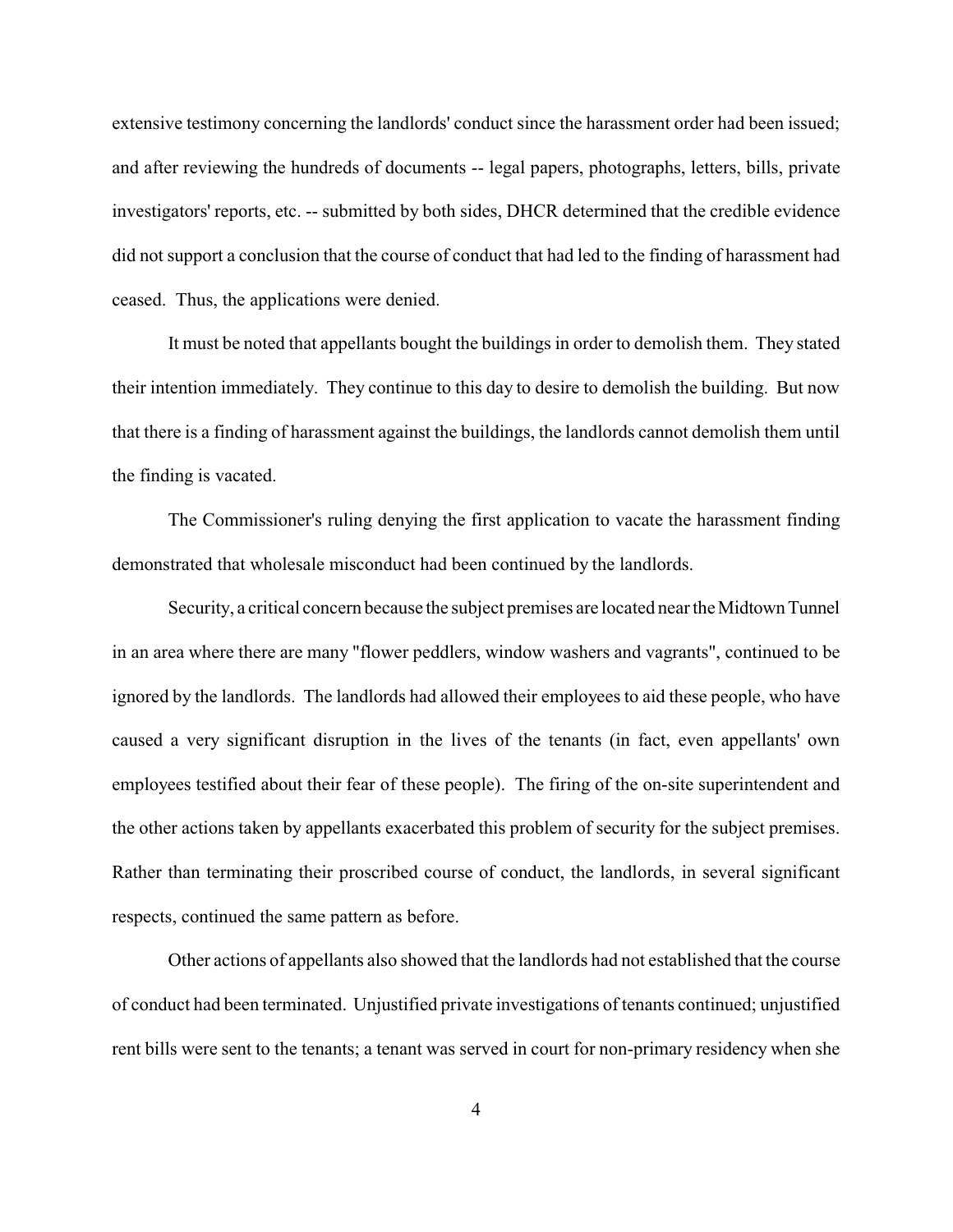extensive testimony concerning the landlords' conduct since the harassment order had been issued; and after reviewing the hundreds of documents -- legal papers, photographs, letters, bills, private investigators' reports, etc. -- submitted by both sides, DHCR determined that the credible evidence did not support a conclusion that the course of conduct that had led to the finding of harassment had ceased. Thus, the applications were denied.

It must be noted that appellants bought the buildings in order to demolish them. They stated their intention immediately. They continue to this day to desire to demolish the building. But now that there is a finding of harassment against the buildings, the landlords cannot demolish them until the finding is vacated.

The Commissioner's ruling denying the first application to vacate the harassment finding demonstrated that wholesale misconduct had been continued by the landlords.

Security, a critical concern because the subject premises are located near the Midtown Tunnel in an area where there are many "flower peddlers, window washers and vagrants", continued to be ignored by the landlords. The landlords had allowed their employees to aid these people, who have caused a very significant disruption in the lives of the tenants (in fact, even appellants' own employees testified about their fear of these people). The firing of the on-site superintendent and the other actions taken by appellants exacerbated this problem of security for the subject premises. Rather than terminating their proscribed course of conduct, the landlords, in several significant respects, continued the same pattern as before.

Other actions of appellants also showed that the landlords had not established that the course of conduct had been terminated. Unjustified private investigations of tenants continued; unjustified rent bills were sent to the tenants; a tenant was served in court for non-primary residency when she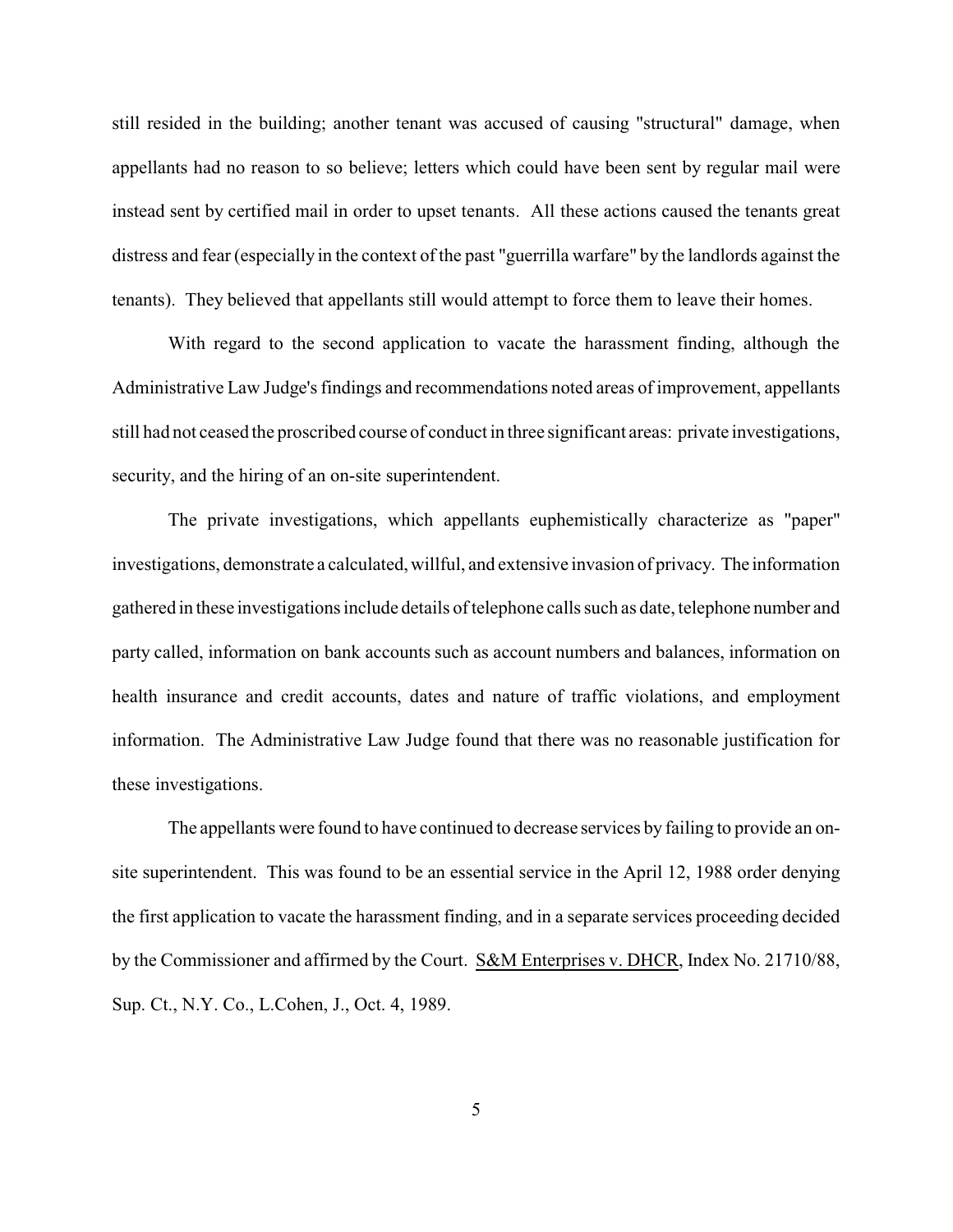still resided in the building; another tenant was accused of causing "structural" damage, when appellants had no reason to so believe; letters which could have been sent by regular mail were instead sent by certified mail in order to upset tenants. All these actions caused the tenants great distress and fear (especially in the context of the past "guerrilla warfare" by the landlords against the tenants). They believed that appellants still would attempt to force them to leave their homes.

With regard to the second application to vacate the harassment finding, although the Administrative Law Judge's findings and recommendations noted areas of improvement, appellants still had not ceased the proscribed course of conduct in three significant areas: private investigations, security, and the hiring of an on-site superintendent.

The private investigations, which appellants euphemistically characterize as "paper" investigations, demonstrate a calculated, willful, and extensive invasion of privacy. The information gathered in these investigations include details of telephone calls such as date, telephone number and party called, information on bank accounts such as account numbers and balances, information on health insurance and credit accounts, dates and nature of traffic violations, and employment information. The Administrative Law Judge found that there was no reasonable justification for these investigations.

The appellants were found to have continued to decrease services by failing to provide an onsite superintendent. This was found to be an essential service in the April 12, 1988 order denying the first application to vacate the harassment finding, and in a separate services proceeding decided by the Commissioner and affirmed by the Court. S&M Enterprises v. DHCR, Index No. 21710/88, Sup. Ct., N.Y. Co., L.Cohen, J., Oct. 4, 1989.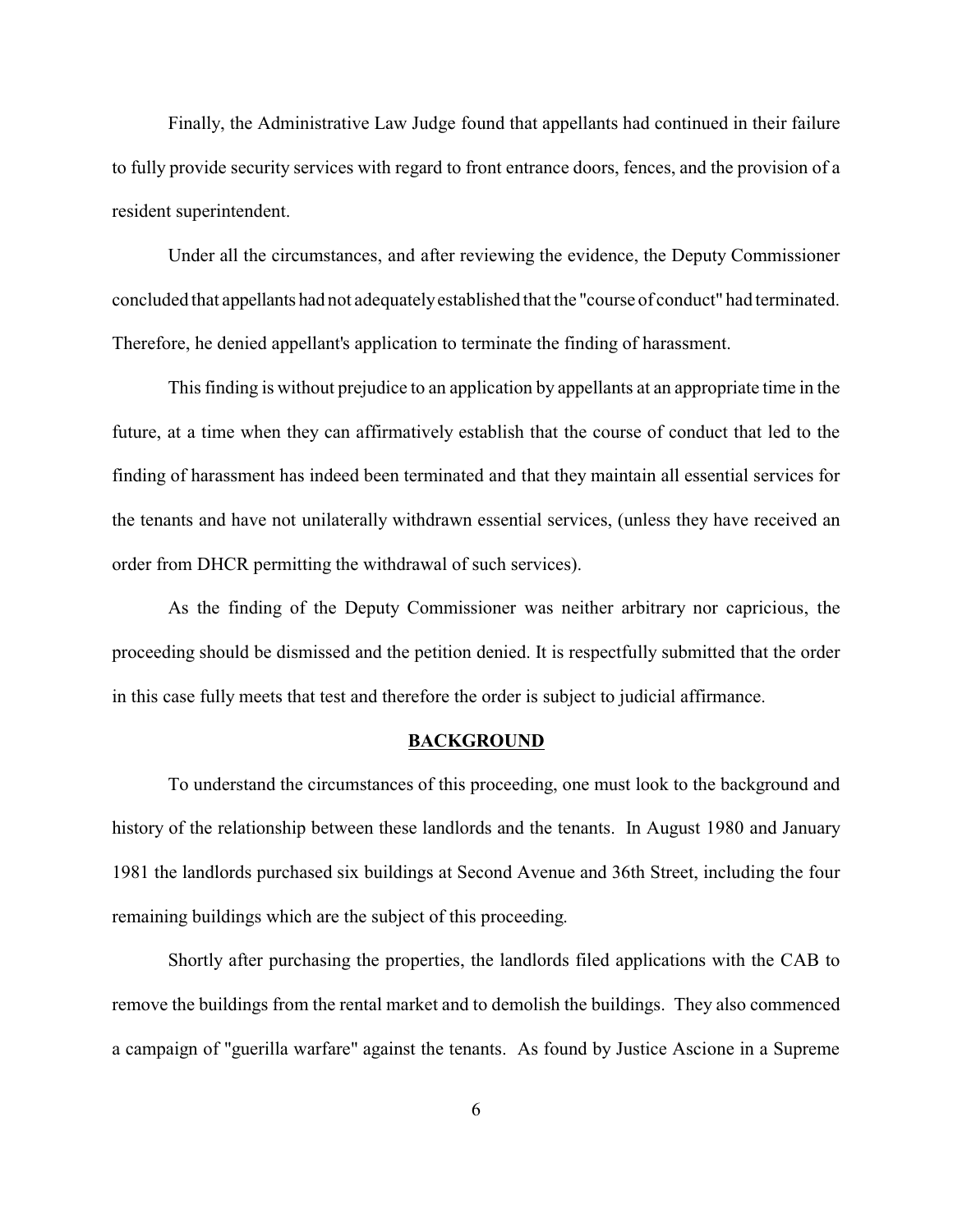Finally, the Administrative Law Judge found that appellants had continued in their failure to fully provide security services with regard to front entrance doors, fences, and the provision of a resident superintendent.

Under all the circumstances, and after reviewing the evidence, the Deputy Commissioner concluded that appellants had not adequatelyestablished that the "course of conduct" had terminated. Therefore, he denied appellant's application to terminate the finding of harassment.

This finding is without prejudice to an application by appellants at an appropriate time in the future, at a time when they can affirmatively establish that the course of conduct that led to the finding of harassment has indeed been terminated and that they maintain all essential services for the tenants and have not unilaterally withdrawn essential services, (unless they have received an order from DHCR permitting the withdrawal of such services).

As the finding of the Deputy Commissioner was neither arbitrary nor capricious, the proceeding should be dismissed and the petition denied. It is respectfully submitted that the order in this case fully meets that test and therefore the order is subject to judicial affirmance.

#### **BACKGROUND**

To understand the circumstances of this proceeding, one must look to the background and history of the relationship between these landlords and the tenants. In August 1980 and January 1981 the landlords purchased six buildings at Second Avenue and 36th Street, including the four remaining buildings which are the subject of this proceeding.

Shortly after purchasing the properties, the landlords filed applications with the CAB to remove the buildings from the rental market and to demolish the buildings. They also commenced a campaign of "guerilla warfare" against the tenants. As found by Justice Ascione in a Supreme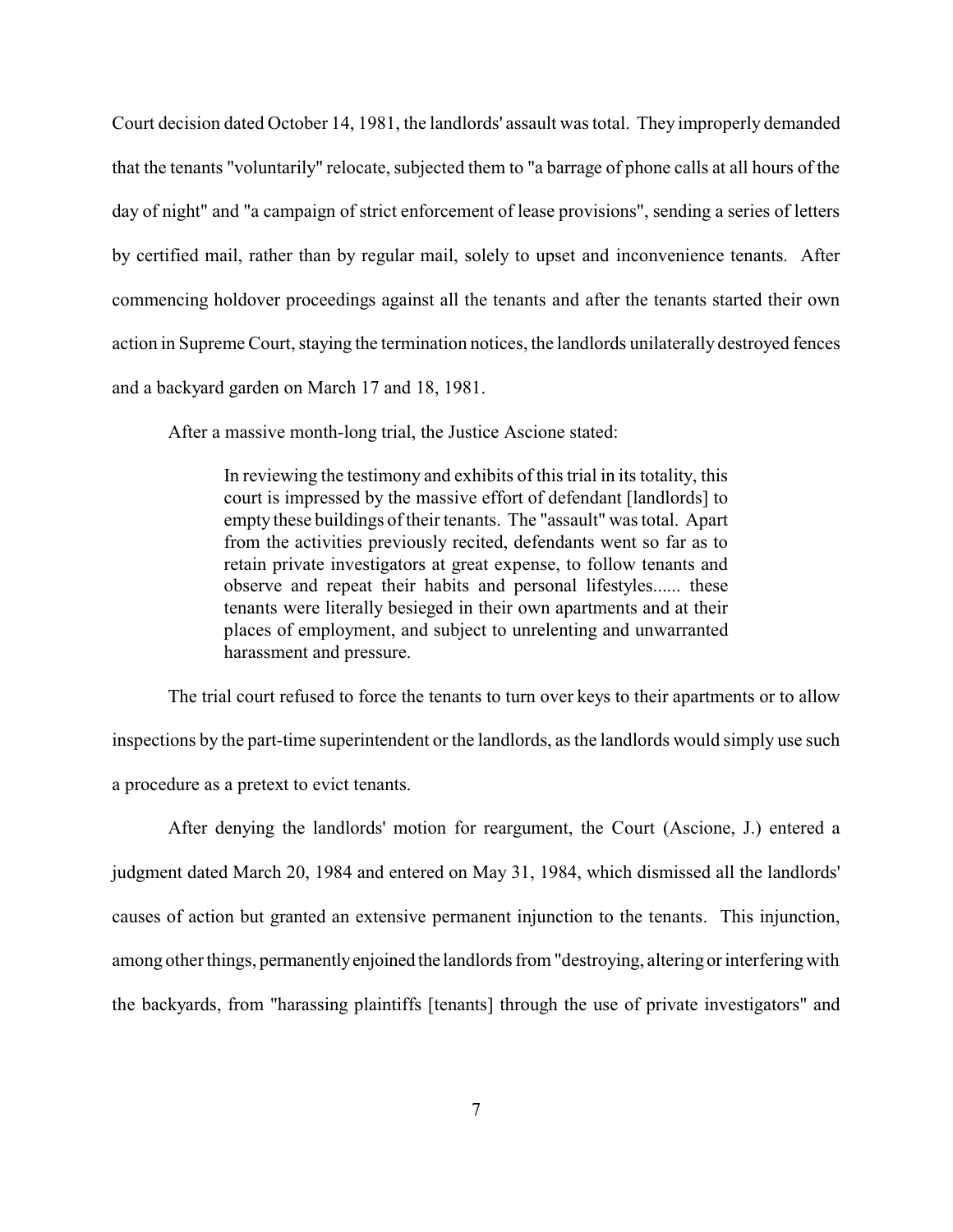Court decision dated October 14, 1981, the landlords' assault was total. They improperly demanded that the tenants "voluntarily" relocate, subjected them to "a barrage of phone calls at all hours of the day of night" and "a campaign of strict enforcement of lease provisions", sending a series of letters by certified mail, rather than by regular mail, solely to upset and inconvenience tenants. After commencing holdover proceedings against all the tenants and after the tenants started their own action in Supreme Court, staying the termination notices, the landlords unilaterally destroyed fences and a backyard garden on March 17 and 18, 1981.

After a massive month-long trial, the Justice Ascione stated:

In reviewing the testimony and exhibits of this trial in its totality, this court is impressed by the massive effort of defendant [landlords] to empty these buildings of their tenants. The "assault" was total. Apart from the activities previously recited, defendants went so far as to retain private investigators at great expense, to follow tenants and observe and repeat their habits and personal lifestyles...... these tenants were literally besieged in their own apartments and at their places of employment, and subject to unrelenting and unwarranted harassment and pressure.

The trial court refused to force the tenants to turn over keys to their apartments or to allow inspections by the part-time superintendent or the landlords, as the landlords would simply use such a procedure as a pretext to evict tenants.

After denying the landlords' motion for reargument, the Court (Ascione, J.) entered a judgment dated March 20, 1984 and entered on May 31, 1984, which dismissed all the landlords' causes of action but granted an extensive permanent injunction to the tenants. This injunction, among other things, permanentlyenjoined the landlords from "destroying, altering or interferingwith the backyards, from "harassing plaintiffs [tenants] through the use of private investigators" and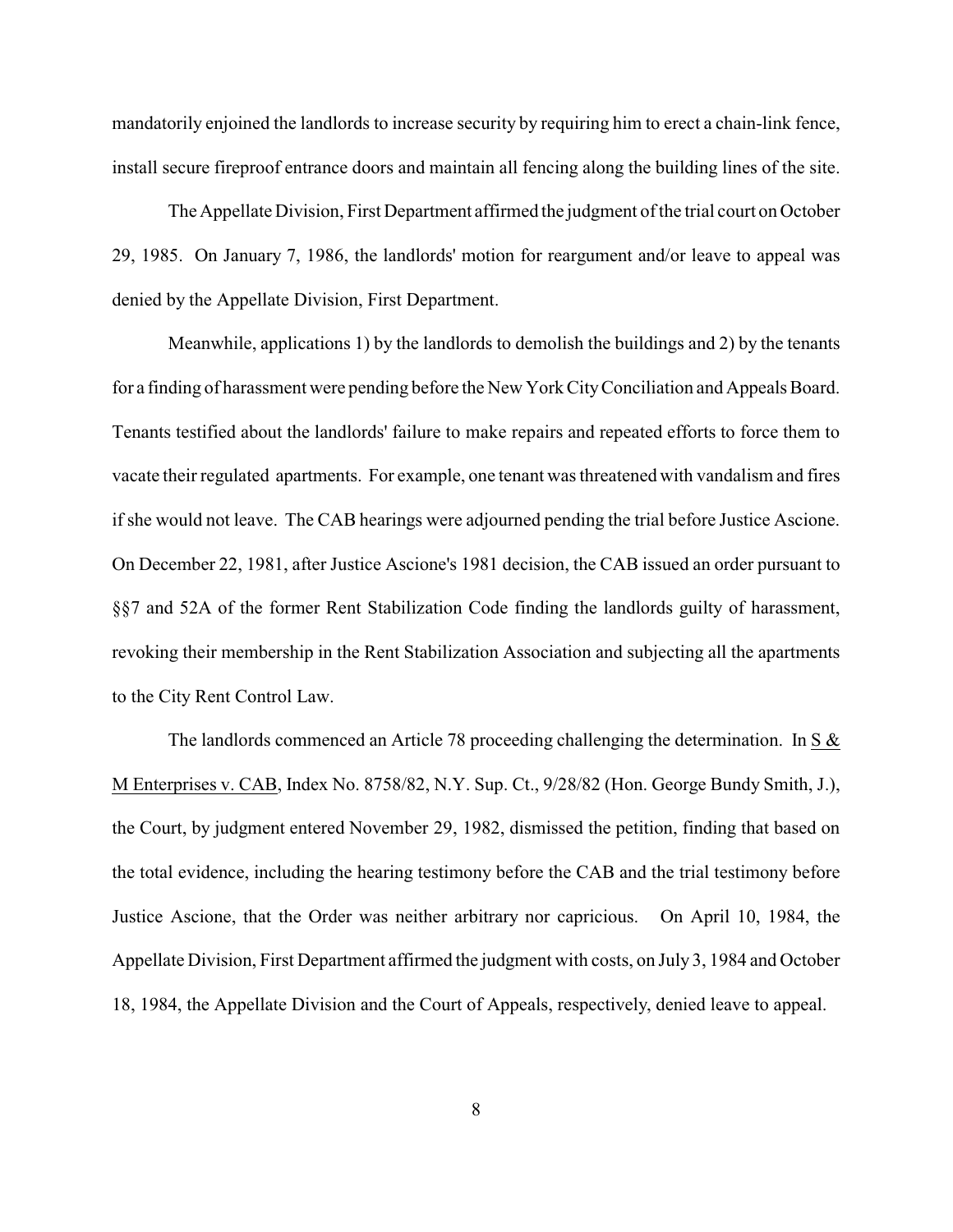mandatorily enjoined the landlords to increase security by requiring him to erect a chain-link fence, install secure fireproof entrance doors and maintain all fencing along the building lines of the site.

The Appellate Division, First Department affirmed the judgment of the trial court on October 29, 1985. On January 7, 1986, the landlords' motion for reargument and/or leave to appeal was denied by the Appellate Division, First Department.

Meanwhile, applications 1) by the landlords to demolish the buildings and 2) by the tenants for a finding of harassment were pending before the New York CityConciliation and Appeals Board. Tenants testified about the landlords' failure to make repairs and repeated efforts to force them to vacate their regulated apartments. For example, one tenant was threatened with vandalism and fires if she would not leave. The CAB hearings were adjourned pending the trial before Justice Ascione. On December 22, 1981, after Justice Ascione's 1981 decision, the CAB issued an order pursuant to §§7 and 52A of the former Rent Stabilization Code finding the landlords guilty of harassment, revoking their membership in the Rent Stabilization Association and subjecting all the apartments to the City Rent Control Law.

The landlords commenced an Article 78 proceeding challenging the determination. In S & M Enterprises v. CAB, Index No. 8758/82, N.Y. Sup. Ct., 9/28/82 (Hon. George Bundy Smith, J.), the Court, by judgment entered November 29, 1982, dismissed the petition, finding that based on the total evidence, including the hearing testimony before the CAB and the trial testimony before Justice Ascione, that the Order was neither arbitrary nor capricious. On April 10, 1984, the Appellate Division, First Department affirmed the judgment with costs, on July 3, 1984 and October 18, 1984, the Appellate Division and the Court of Appeals, respectively, denied leave to appeal.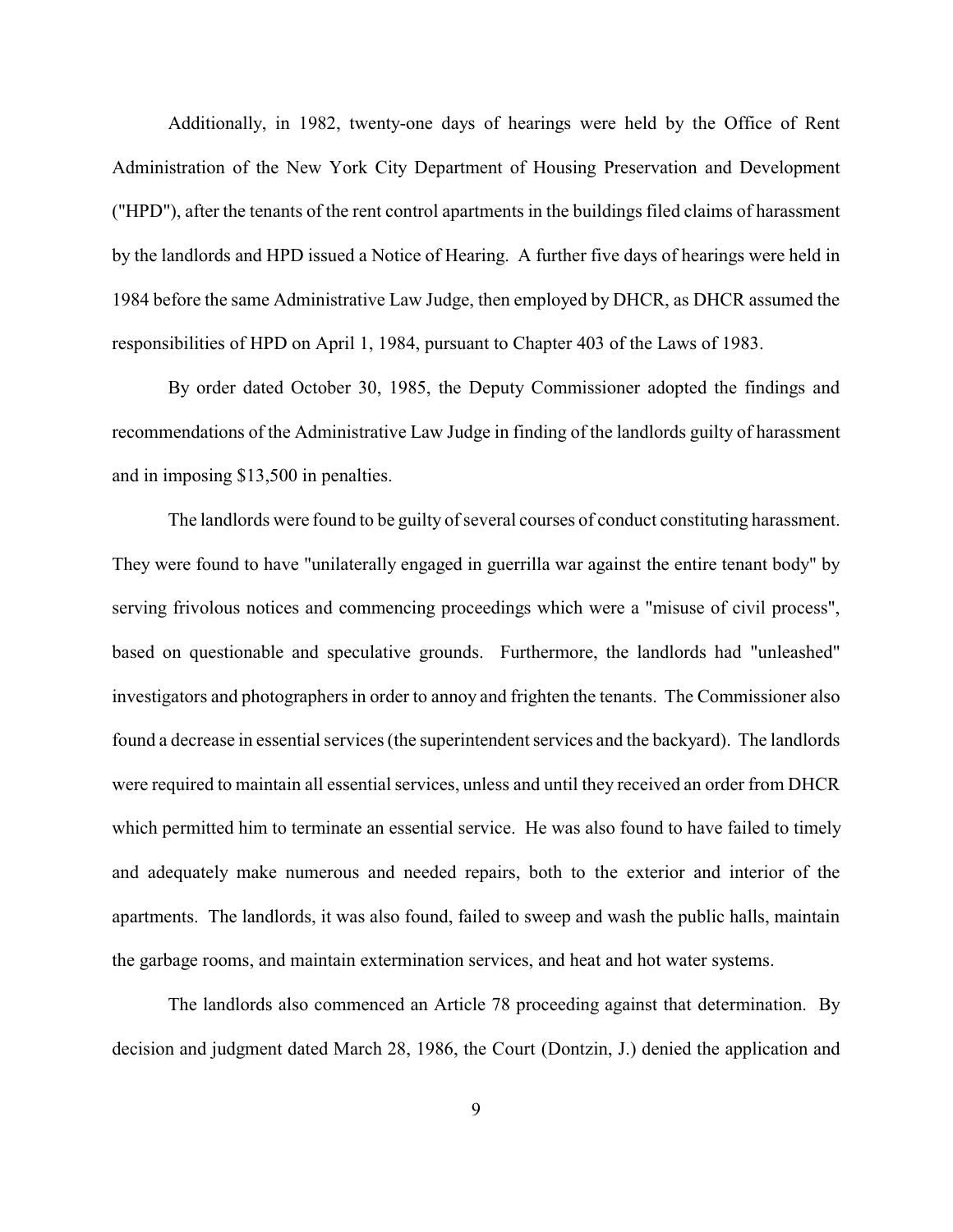Additionally, in 1982, twenty-one days of hearings were held by the Office of Rent Administration of the New York City Department of Housing Preservation and Development ("HPD"), after the tenants of the rent control apartments in the buildings filed claims of harassment by the landlords and HPD issued a Notice of Hearing. A further five days of hearings were held in 1984 before the same Administrative Law Judge, then employed by DHCR, as DHCR assumed the responsibilities of HPD on April 1, 1984, pursuant to Chapter 403 of the Laws of 1983.

By order dated October 30, 1985, the Deputy Commissioner adopted the findings and recommendations of the Administrative Law Judge in finding of the landlords guilty of harassment and in imposing \$13,500 in penalties.

The landlords were found to be guilty of several courses of conduct constituting harassment. They were found to have "unilaterally engaged in guerrilla war against the entire tenant body" by serving frivolous notices and commencing proceedings which were a "misuse of civil process", based on questionable and speculative grounds. Furthermore, the landlords had "unleashed" investigators and photographers in order to annoy and frighten the tenants. The Commissioner also found a decrease in essential services (the superintendent services and the backyard). The landlords were required to maintain all essential services, unless and until they received an order from DHCR which permitted him to terminate an essential service. He was also found to have failed to timely and adequately make numerous and needed repairs, both to the exterior and interior of the apartments. The landlords, it was also found, failed to sweep and wash the public halls, maintain the garbage rooms, and maintain extermination services, and heat and hot water systems.

The landlords also commenced an Article 78 proceeding against that determination. By decision and judgment dated March 28, 1986, the Court (Dontzin, J.) denied the application and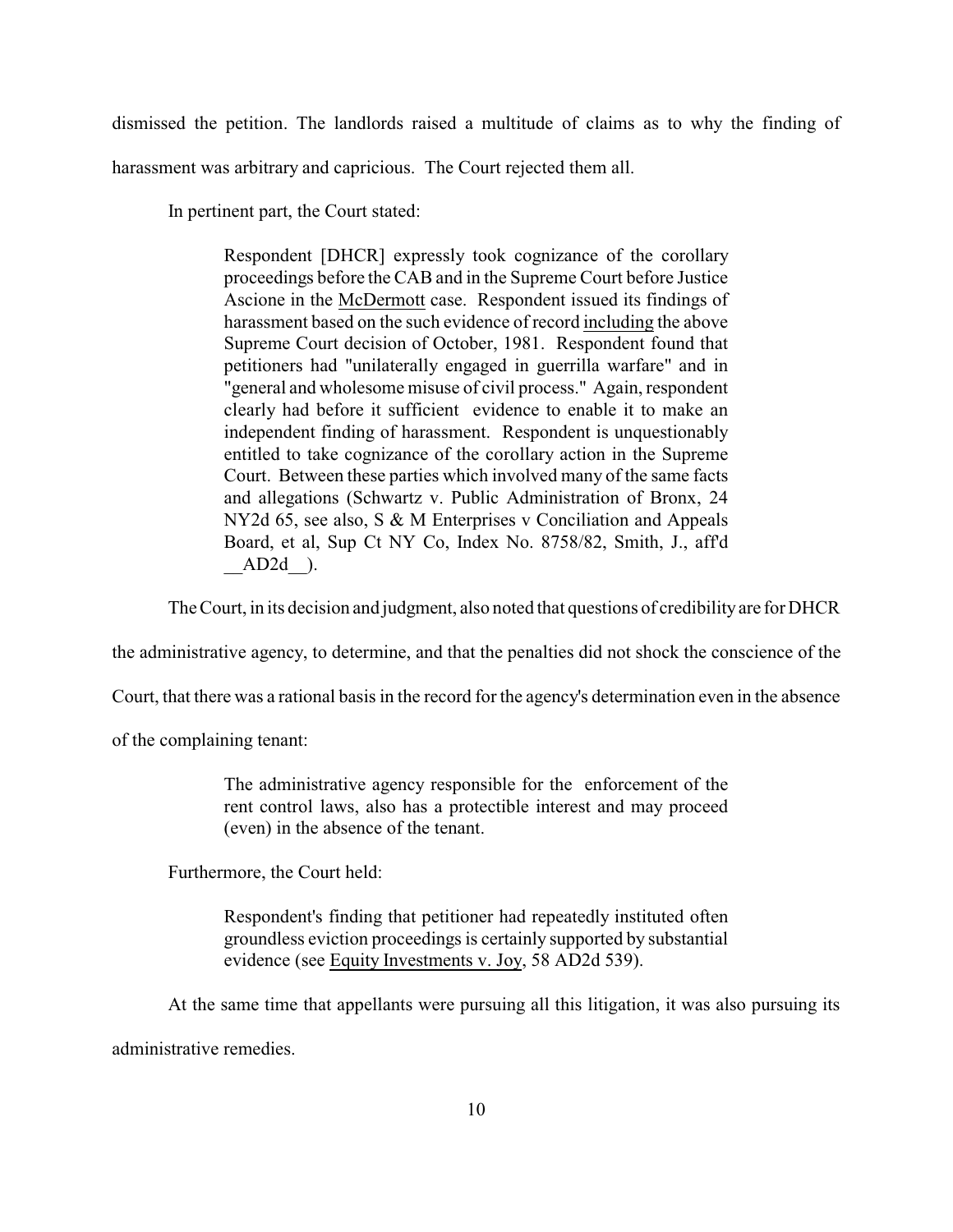dismissed the petition. The landlords raised a multitude of claims as to why the finding of harassment was arbitrary and capricious. The Court rejected them all.

In pertinent part, the Court stated:

Respondent [DHCR] expressly took cognizance of the corollary proceedings before the CAB and in the Supreme Court before Justice Ascione in the McDermott case. Respondent issued its findings of harassment based on the such evidence of record including the above Supreme Court decision of October, 1981. Respondent found that petitioners had "unilaterally engaged in guerrilla warfare" and in "general and wholesome misuse of civil process." Again, respondent clearly had before it sufficient evidence to enable it to make an independent finding of harassment. Respondent is unquestionably entitled to take cognizance of the corollary action in the Supreme Court. Between these parties which involved many of the same facts and allegations (Schwartz v. Public Administration of Bronx, 24 NY2d 65, see also, S & M Enterprises v Conciliation and Appeals Board, et al, Sup Ct NY Co, Index No. 8758/82, Smith, J., aff'd  $AD2d$  ).

The Court, in its decision and judgment, also noted that questions of credibilityare for DHCR

the administrative agency, to determine, and that the penalties did not shock the conscience of the

Court, that there was a rational basis in the record for the agency's determination even in the absence

of the complaining tenant:

The administrative agency responsible for the enforcement of the rent control laws, also has a protectible interest and may proceed (even) in the absence of the tenant.

Furthermore, the Court held:

Respondent's finding that petitioner had repeatedly instituted often groundless eviction proceedings is certainly supported by substantial evidence (see Equity Investments v. Joy, 58 AD2d 539).

At the same time that appellants were pursuing all this litigation, it was also pursuing its administrative remedies.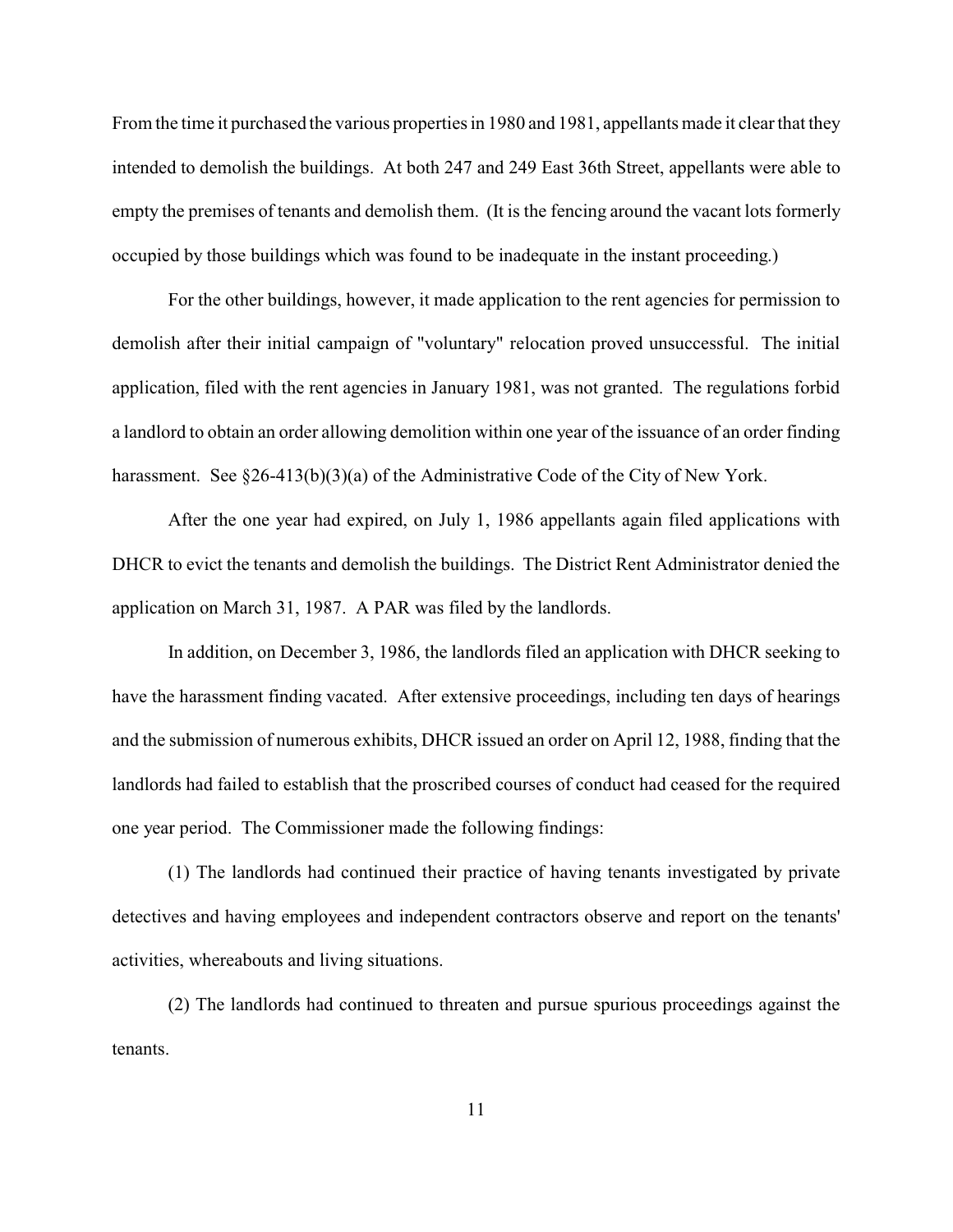From the time it purchased the various properties in 1980 and 1981, appellants made it clear that they intended to demolish the buildings. At both 247 and 249 East 36th Street, appellants were able to empty the premises of tenants and demolish them. (It is the fencing around the vacant lots formerly occupied by those buildings which was found to be inadequate in the instant proceeding.)

For the other buildings, however, it made application to the rent agencies for permission to demolish after their initial campaign of "voluntary" relocation proved unsuccessful. The initial application, filed with the rent agencies in January 1981, was not granted. The regulations forbid a landlord to obtain an order allowing demolition within one year of the issuance of an order finding harassment. See §26-413(b)(3)(a) of the Administrative Code of the City of New York.

After the one year had expired, on July 1, 1986 appellants again filed applications with DHCR to evict the tenants and demolish the buildings. The District Rent Administrator denied the application on March 31, 1987. A PAR was filed by the landlords.

In addition, on December 3, 1986, the landlords filed an application with DHCR seeking to have the harassment finding vacated. After extensive proceedings, including ten days of hearings and the submission of numerous exhibits, DHCR issued an order on April 12, 1988, finding that the landlords had failed to establish that the proscribed courses of conduct had ceased for the required one year period. The Commissioner made the following findings:

(1) The landlords had continued their practice of having tenants investigated by private detectives and having employees and independent contractors observe and report on the tenants' activities, whereabouts and living situations.

(2) The landlords had continued to threaten and pursue spurious proceedings against the tenants.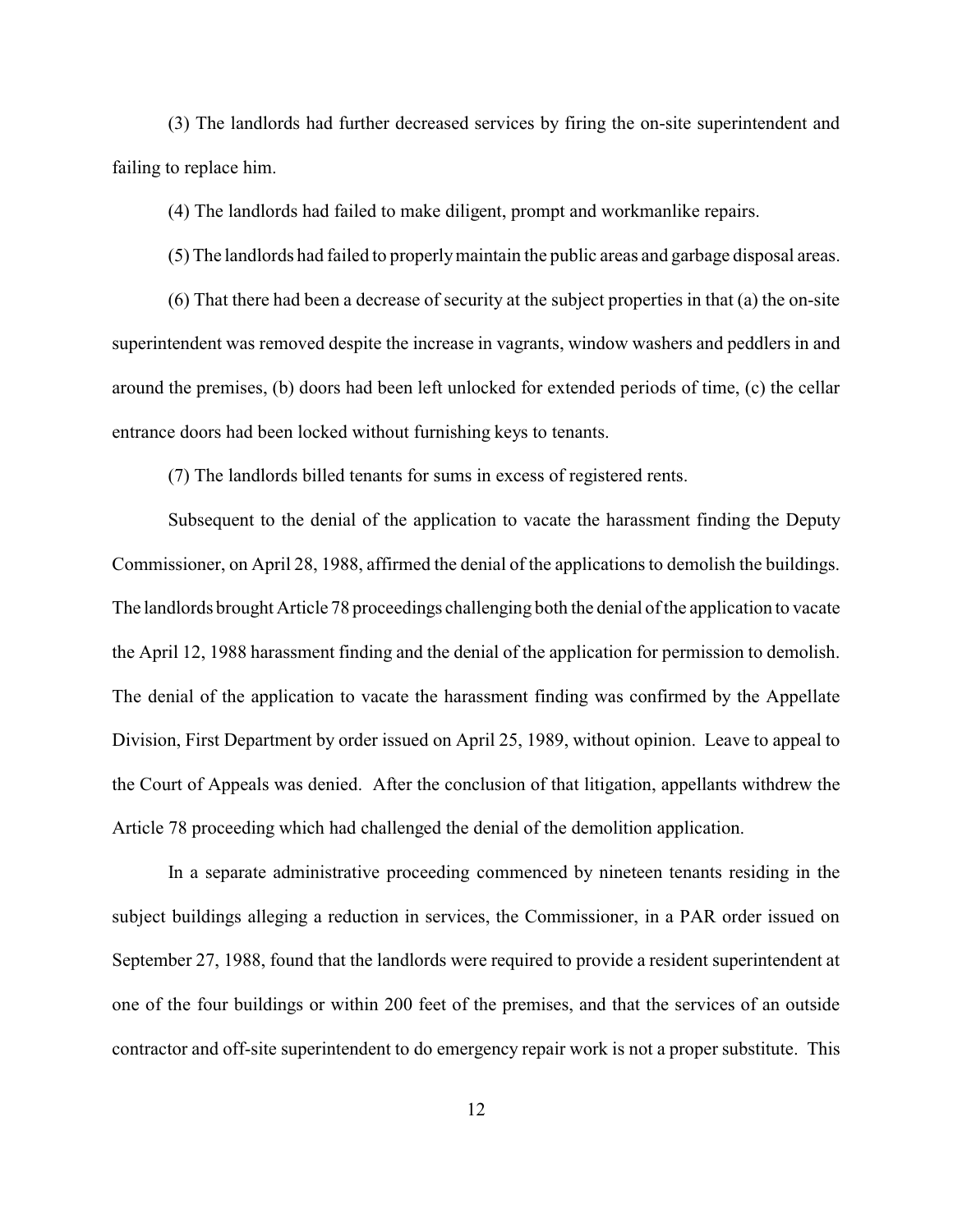(3) The landlords had further decreased services by firing the on-site superintendent and failing to replace him.

(4) The landlords had failed to make diligent, prompt and workmanlike repairs.

(5) The landlords had failed to properlymaintain the public areas and garbage disposal areas.

(6) That there had been a decrease of security at the subject properties in that (a) the on-site superintendent was removed despite the increase in vagrants, window washers and peddlers in and around the premises, (b) doors had been left unlocked for extended periods of time, (c) the cellar entrance doors had been locked without furnishing keys to tenants.

(7) The landlords billed tenants for sums in excess of registered rents.

Subsequent to the denial of the application to vacate the harassment finding the Deputy Commissioner, on April 28, 1988, affirmed the denial of the applications to demolish the buildings. The landlords brought Article 78 proceedings challenging both the denial of the application to vacate the April 12, 1988 harassment finding and the denial of the application for permission to demolish. The denial of the application to vacate the harassment finding was confirmed by the Appellate Division, First Department by order issued on April 25, 1989, without opinion. Leave to appeal to the Court of Appeals was denied. After the conclusion of that litigation, appellants withdrew the Article 78 proceeding which had challenged the denial of the demolition application.

In a separate administrative proceeding commenced by nineteen tenants residing in the subject buildings alleging a reduction in services, the Commissioner, in a PAR order issued on September 27, 1988, found that the landlords were required to provide a resident superintendent at one of the four buildings or within 200 feet of the premises, and that the services of an outside contractor and off-site superintendent to do emergency repair work is not a proper substitute. This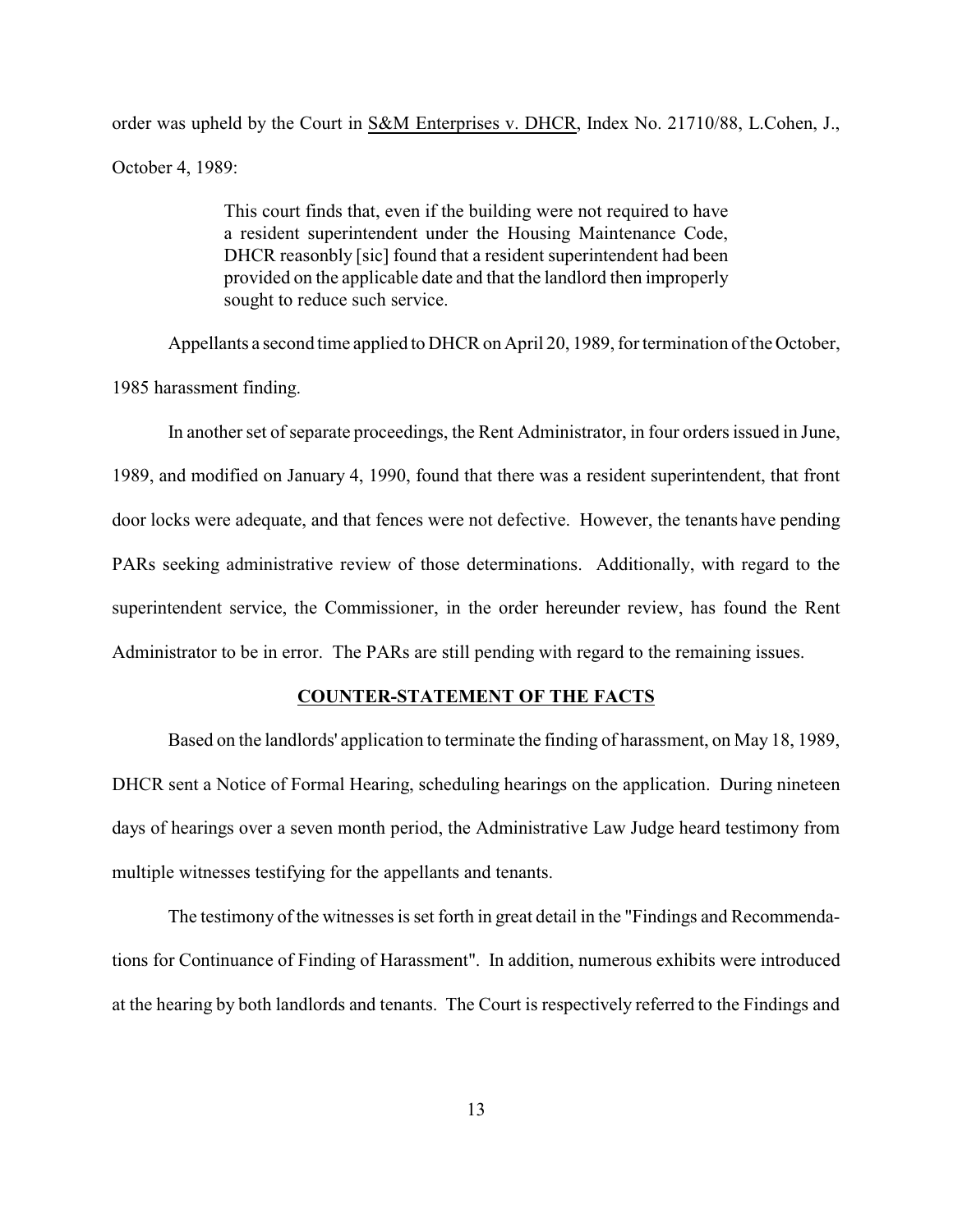order was upheld by the Court in S&M Enterprises v. DHCR, Index No. 21710/88, L.Cohen, J., October 4, 1989:

> This court finds that, even if the building were not required to have a resident superintendent under the Housing Maintenance Code, DHCR reasonbly [sic] found that a resident superintendent had been provided on the applicable date and that the landlord then improperly sought to reduce such service.

Appellants a second time applied to DHCR on April 20, 1989, for termination of the October,

1985 harassment finding.

In another set of separate proceedings, the Rent Administrator, in four orders issued in June, 1989, and modified on January 4, 1990, found that there was a resident superintendent, that front door locks were adequate, and that fences were not defective. However, the tenants have pending PARs seeking administrative review of those determinations. Additionally, with regard to the superintendent service, the Commissioner, in the order hereunder review, has found the Rent Administrator to be in error. The PARs are still pending with regard to the remaining issues.

#### **COUNTER-STATEMENT OF THE FACTS**

Based on the landlords' application to terminate the finding of harassment, on May 18, 1989, DHCR sent a Notice of Formal Hearing, scheduling hearings on the application. During nineteen days of hearings over a seven month period, the Administrative Law Judge heard testimony from multiple witnesses testifying for the appellants and tenants.

The testimony of the witnesses is set forth in great detail in the "Findings and Recommendations for Continuance of Finding of Harassment". In addition, numerous exhibits were introduced at the hearing by both landlords and tenants. The Court is respectively referred to the Findings and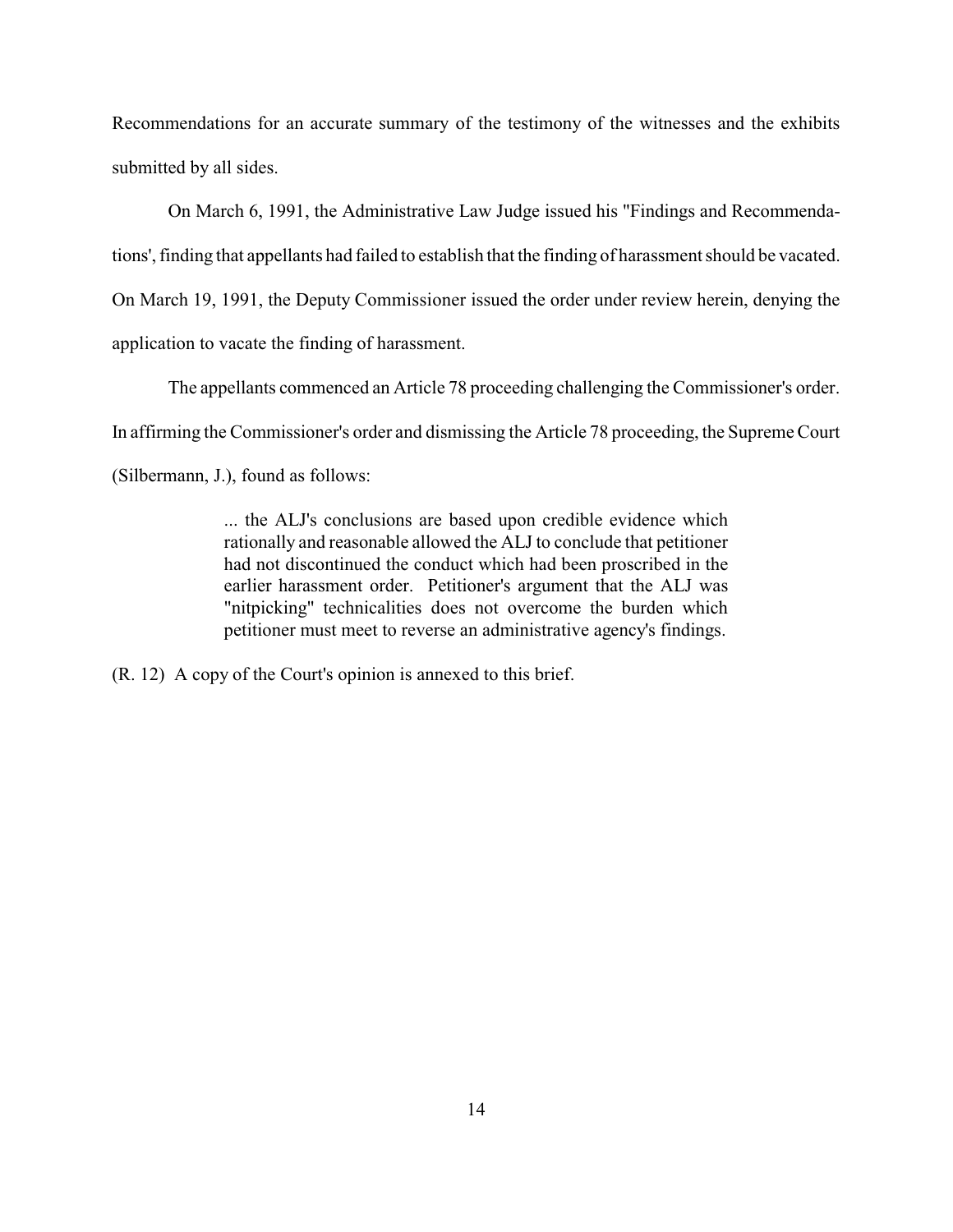Recommendations for an accurate summary of the testimony of the witnesses and the exhibits submitted by all sides.

On March 6, 1991, the Administrative Law Judge issued his "Findings and Recommendations', finding that appellants had failed to establish that the finding of harassment should be vacated. On March 19, 1991, the Deputy Commissioner issued the order under review herein, denying the application to vacate the finding of harassment.

The appellants commenced an Article 78 proceeding challenging the Commissioner's order. In affirming the Commissioner's order and dismissing the Article 78 proceeding, the Supreme Court (Silbermann, J.), found as follows:

> ... the ALJ's conclusions are based upon credible evidence which rationally and reasonable allowed the ALJ to conclude that petitioner had not discontinued the conduct which had been proscribed in the earlier harassment order. Petitioner's argument that the ALJ was "nitpicking" technicalities does not overcome the burden which petitioner must meet to reverse an administrative agency's findings.

(R. 12) A copy of the Court's opinion is annexed to this brief.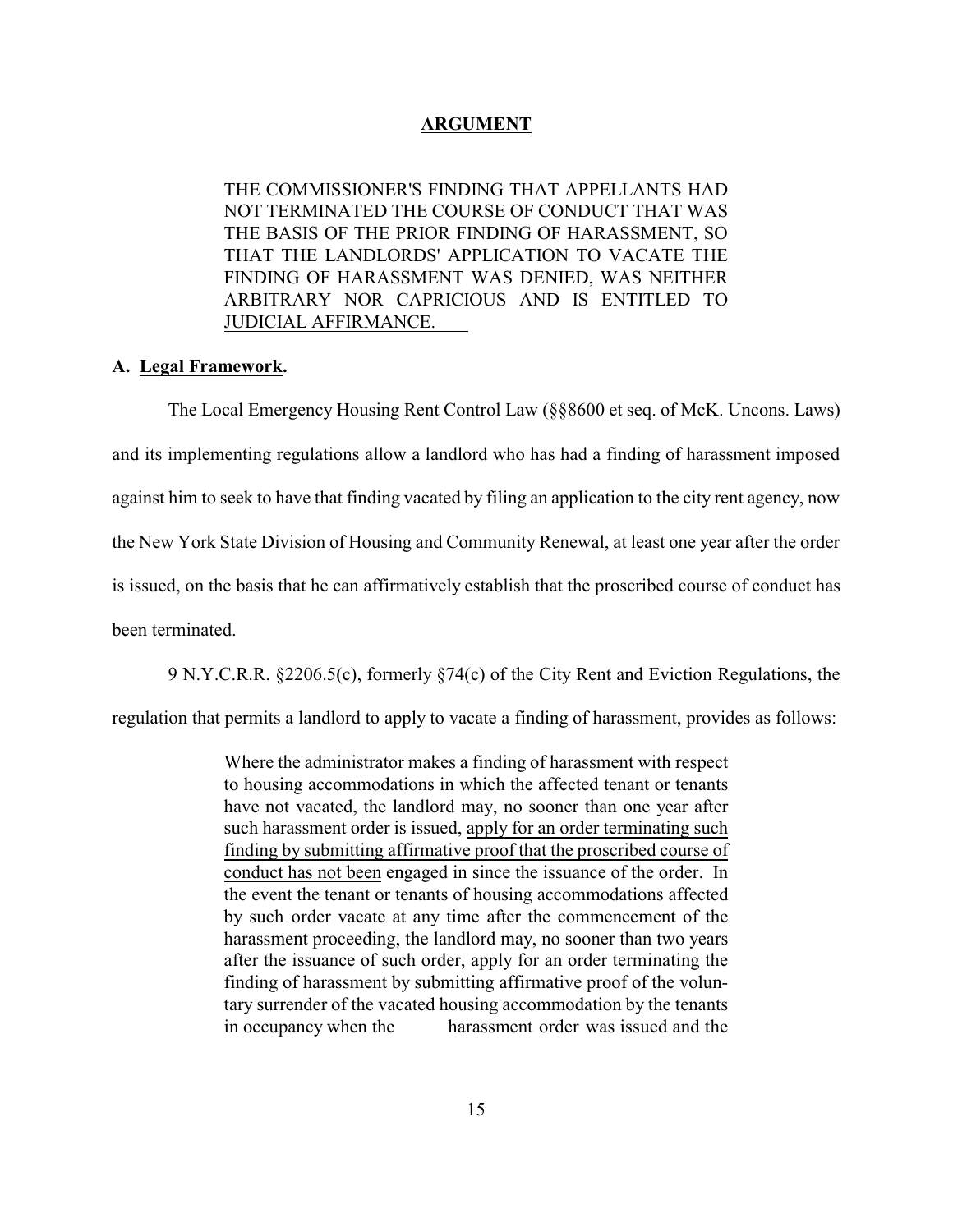## **ARGUMENT**

THE COMMISSIONER'S FINDING THAT APPELLANTS HAD NOT TERMINATED THE COURSE OF CONDUCT THAT WAS THE BASIS OF THE PRIOR FINDING OF HARASSMENT, SO THAT THE LANDLORDS' APPLICATION TO VACATE THE FINDING OF HARASSMENT WAS DENIED, WAS NEITHER ARBITRARY NOR CAPRICIOUS AND IS ENTITLED TO JUDICIAL AFFIRMANCE.

#### **A. Legal Framework.**

The Local Emergency Housing Rent Control Law (§§8600 et seq. of McK. Uncons. Laws) and its implementing regulations allow a landlord who has had a finding of harassment imposed against him to seek to have that finding vacated by filing an application to the city rent agency, now the New York State Division of Housing and Community Renewal, at least one year after the order is issued, on the basis that he can affirmatively establish that the proscribed course of conduct has been terminated.

9 N.Y.C.R.R. §2206.5(c), formerly §74(c) of the City Rent and Eviction Regulations, the

regulation that permits a landlord to apply to vacate a finding of harassment, provides as follows:

Where the administrator makes a finding of harassment with respect to housing accommodations in which the affected tenant or tenants have not vacated, the landlord may, no sooner than one year after such harassment order is issued, apply for an order terminating such finding by submitting affirmative proof that the proscribed course of conduct has not been engaged in since the issuance of the order. In the event the tenant or tenants of housing accommodations affected by such order vacate at any time after the commencement of the harassment proceeding, the landlord may, no sooner than two years after the issuance of such order, apply for an order terminating the finding of harassment by submitting affirmative proof of the voluntary surrender of the vacated housing accommodation by the tenants in occupancy when the harassment order was issued and the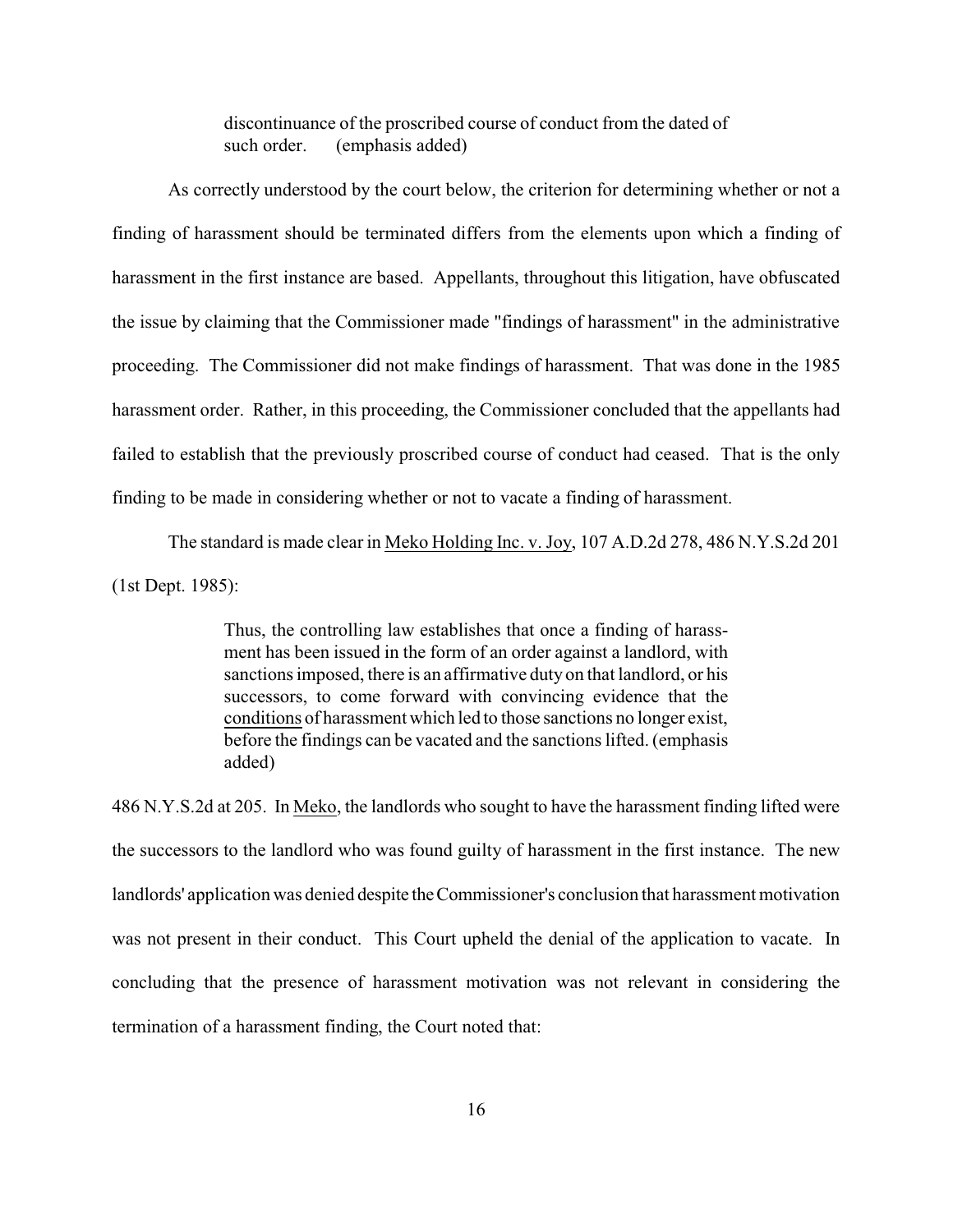discontinuance of the proscribed course of conduct from the dated of such order. (emphasis added)

As correctly understood by the court below, the criterion for determining whether or not a finding of harassment should be terminated differs from the elements upon which a finding of harassment in the first instance are based. Appellants, throughout this litigation, have obfuscated the issue by claiming that the Commissioner made "findings of harassment" in the administrative proceeding. The Commissioner did not make findings of harassment. That was done in the 1985 harassment order. Rather, in this proceeding, the Commissioner concluded that the appellants had failed to establish that the previously proscribed course of conduct had ceased. That is the only finding to be made in considering whether or not to vacate a finding of harassment.

The standard is made clear in Meko Holding Inc. v. Joy, 107 A.D.2d 278, 486 N.Y.S.2d 201 (1st Dept. 1985):

> Thus, the controlling law establishes that once a finding of harassment has been issued in the form of an order against a landlord, with sanctions imposed, there is an affirmative duty on that landlord, or his successors, to come forward with convincing evidence that the conditions of harassment which led to those sanctions no longer exist, before the findings can be vacated and the sanctions lifted. (emphasis added)

486 N.Y.S.2d at 205. In Meko, the landlords who sought to have the harassment finding lifted were the successors to the landlord who was found guilty of harassment in the first instance. The new landlords' application was denied despite theCommissioner's conclusion that harassment motivation was not present in their conduct. This Court upheld the denial of the application to vacate. In concluding that the presence of harassment motivation was not relevant in considering the termination of a harassment finding, the Court noted that: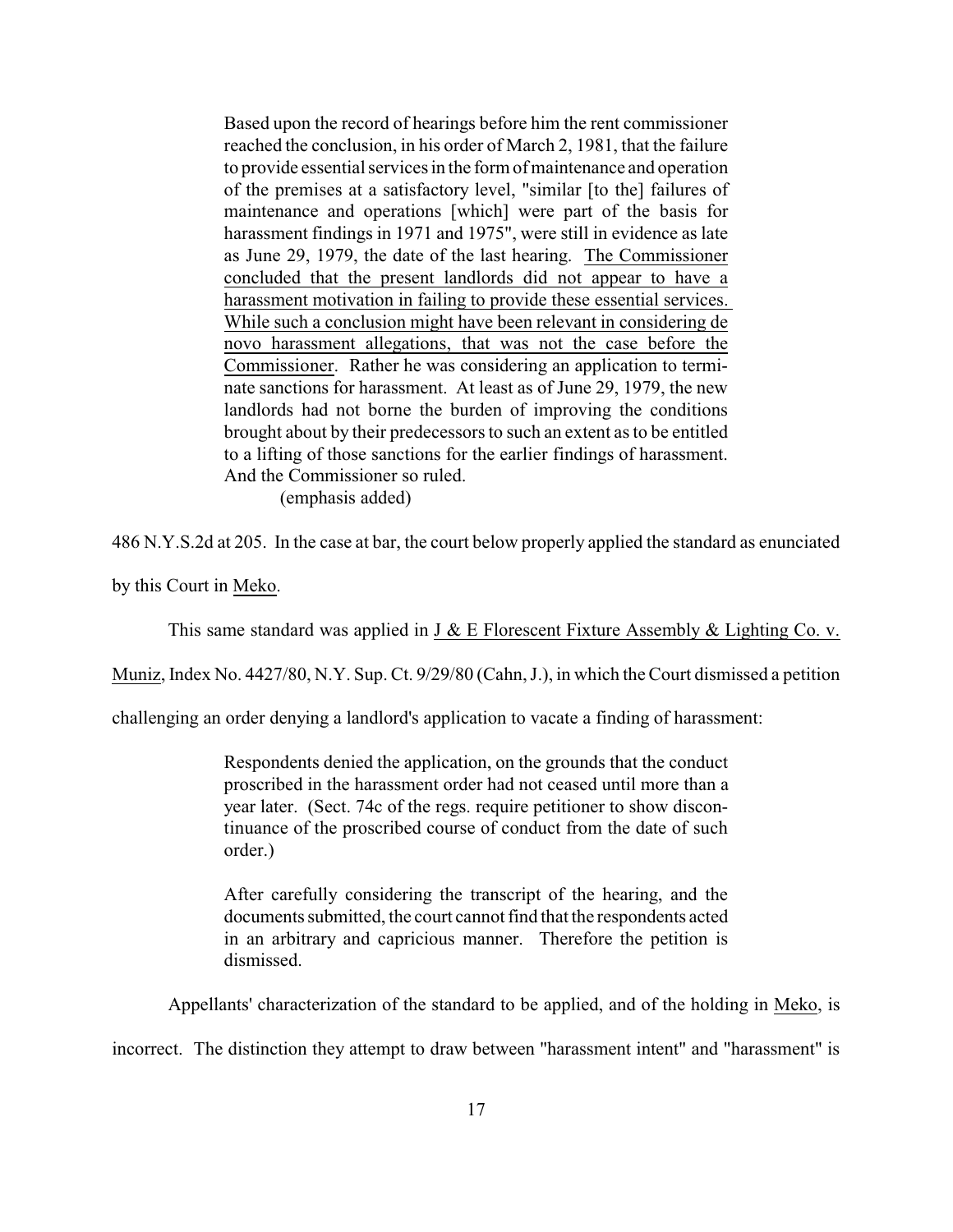Based upon the record of hearings before him the rent commissioner reached the conclusion, in his order of March 2, 1981, that the failure to provide essential services in the form of maintenance and operation of the premises at a satisfactory level, "similar [to the] failures of maintenance and operations [which] were part of the basis for harassment findings in 1971 and 1975", were still in evidence as late as June 29, 1979, the date of the last hearing. The Commissioner concluded that the present landlords did not appear to have a harassment motivation in failing to provide these essential services. While such a conclusion might have been relevant in considering de novo harassment allegations, that was not the case before the Commissioner. Rather he was considering an application to terminate sanctions for harassment. At least as of June 29, 1979, the new landlords had not borne the burden of improving the conditions brought about by their predecessors to such an extent as to be entitled to a lifting of those sanctions for the earlier findings of harassment. And the Commissioner so ruled.

(emphasis added)

486 N.Y.S.2d at 205. In the case at bar, the court below properly applied the standard as enunciated

by this Court in Meko.

This same standard was applied in J & E Florescent Fixture Assembly & Lighting Co. v.

Muniz, Index No. 4427/80, N.Y. Sup. Ct. 9/29/80 (Cahn, J.), in which the Court dismissed a petition

challenging an order denying a landlord's application to vacate a finding of harassment:

Respondents denied the application, on the grounds that the conduct proscribed in the harassment order had not ceased until more than a year later. (Sect. 74c of the regs. require petitioner to show discontinuance of the proscribed course of conduct from the date of such order.)

After carefully considering the transcript of the hearing, and the documents submitted, the court cannot find that the respondents acted in an arbitrary and capricious manner. Therefore the petition is dismissed.

Appellants' characterization of the standard to be applied, and of the holding in Meko, is

incorrect. The distinction they attempt to draw between "harassment intent" and "harassment" is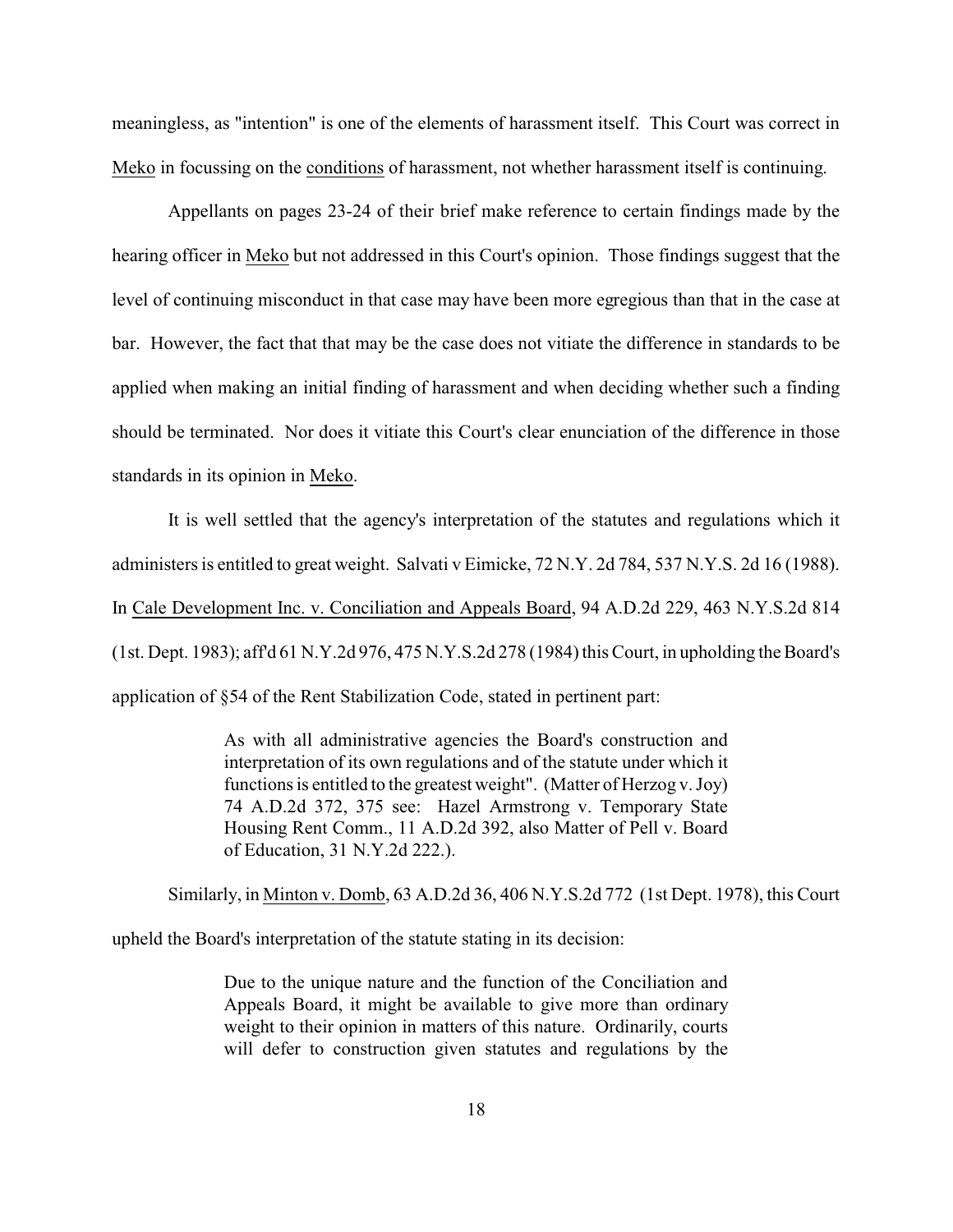meaningless, as "intention" is one of the elements of harassment itself. This Court was correct in Meko in focussing on the conditions of harassment, not whether harassment itself is continuing.

Appellants on pages 23-24 of their brief make reference to certain findings made by the hearing officer in Meko but not addressed in this Court's opinion. Those findings suggest that the level of continuing misconduct in that case may have been more egregious than that in the case at bar. However, the fact that that may be the case does not vitiate the difference in standards to be applied when making an initial finding of harassment and when deciding whether such a finding should be terminated. Nor does it vitiate this Court's clear enunciation of the difference in those standards in its opinion in Meko.

It is well settled that the agency's interpretation of the statutes and regulations which it administers is entitled to great weight. Salvati v Eimicke, 72 N.Y. 2d 784, 537 N.Y.S. 2d 16 (1988). In Cale Development Inc. v. Conciliation and Appeals Board, 94 A.D.2d 229, 463 N.Y.S.2d 814 (1st. Dept. 1983); aff'd 61 N.Y.2d 976, 475 N.Y.S.2d 278 (1984) this Court, in upholding the Board's application of §54 of the Rent Stabilization Code, stated in pertinent part:

> As with all administrative agencies the Board's construction and interpretation of its own regulations and of the statute under which it functions is entitled to the greatest weight". (Matter of Herzog v. Joy) 74 A.D.2d 372, 375 see: Hazel Armstrong v. Temporary State Housing Rent Comm., 11 A.D.2d 392, also Matter of Pell v. Board of Education, 31 N.Y.2d 222.).

Similarly, in Minton v. Domb, 63 A.D.2d 36, 406 N.Y.S.2d 772 (1st Dept. 1978), this Court

upheld the Board's interpretation of the statute stating in its decision:

Due to the unique nature and the function of the Conciliation and Appeals Board, it might be available to give more than ordinary weight to their opinion in matters of this nature. Ordinarily, courts will defer to construction given statutes and regulations by the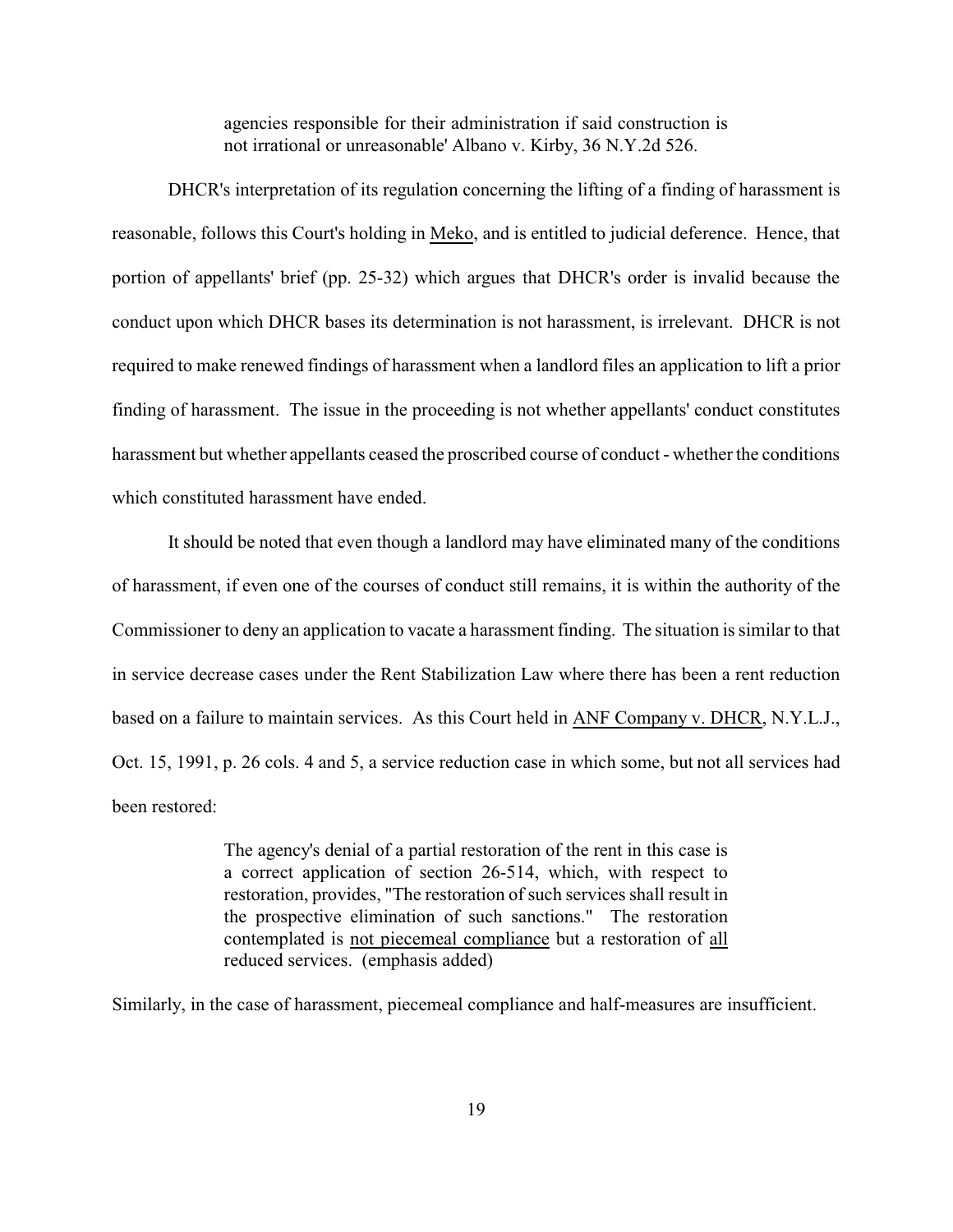agencies responsible for their administration if said construction is not irrational or unreasonable' Albano v. Kirby, 36 N.Y.2d 526.

DHCR's interpretation of its regulation concerning the lifting of a finding of harassment is reasonable, follows this Court's holding in Meko, and is entitled to judicial deference. Hence, that portion of appellants' brief (pp. 25-32) which argues that DHCR's order is invalid because the conduct upon which DHCR bases its determination is not harassment, is irrelevant. DHCR is not required to make renewed findings of harassment when a landlord files an application to lift a prior finding of harassment. The issue in the proceeding is not whether appellants' conduct constitutes harassment but whether appellants ceased the proscribed course of conduct - whether the conditions which constituted harassment have ended.

It should be noted that even though a landlord may have eliminated many of the conditions of harassment, if even one of the courses of conduct still remains, it is within the authority of the Commissioner to deny an application to vacate a harassment finding. The situation is similar to that in service decrease cases under the Rent Stabilization Law where there has been a rent reduction based on a failure to maintain services. As this Court held in ANF Company v. DHCR, N.Y.L.J., Oct. 15, 1991, p. 26 cols. 4 and 5, a service reduction case in which some, but not all services had been restored:

> The agency's denial of a partial restoration of the rent in this case is a correct application of section 26-514, which, with respect to restoration, provides, "The restoration of such services shall result in the prospective elimination of such sanctions." The restoration contemplated is not piecemeal compliance but a restoration of all reduced services. (emphasis added)

Similarly, in the case of harassment, piecemeal compliance and half-measures are insufficient.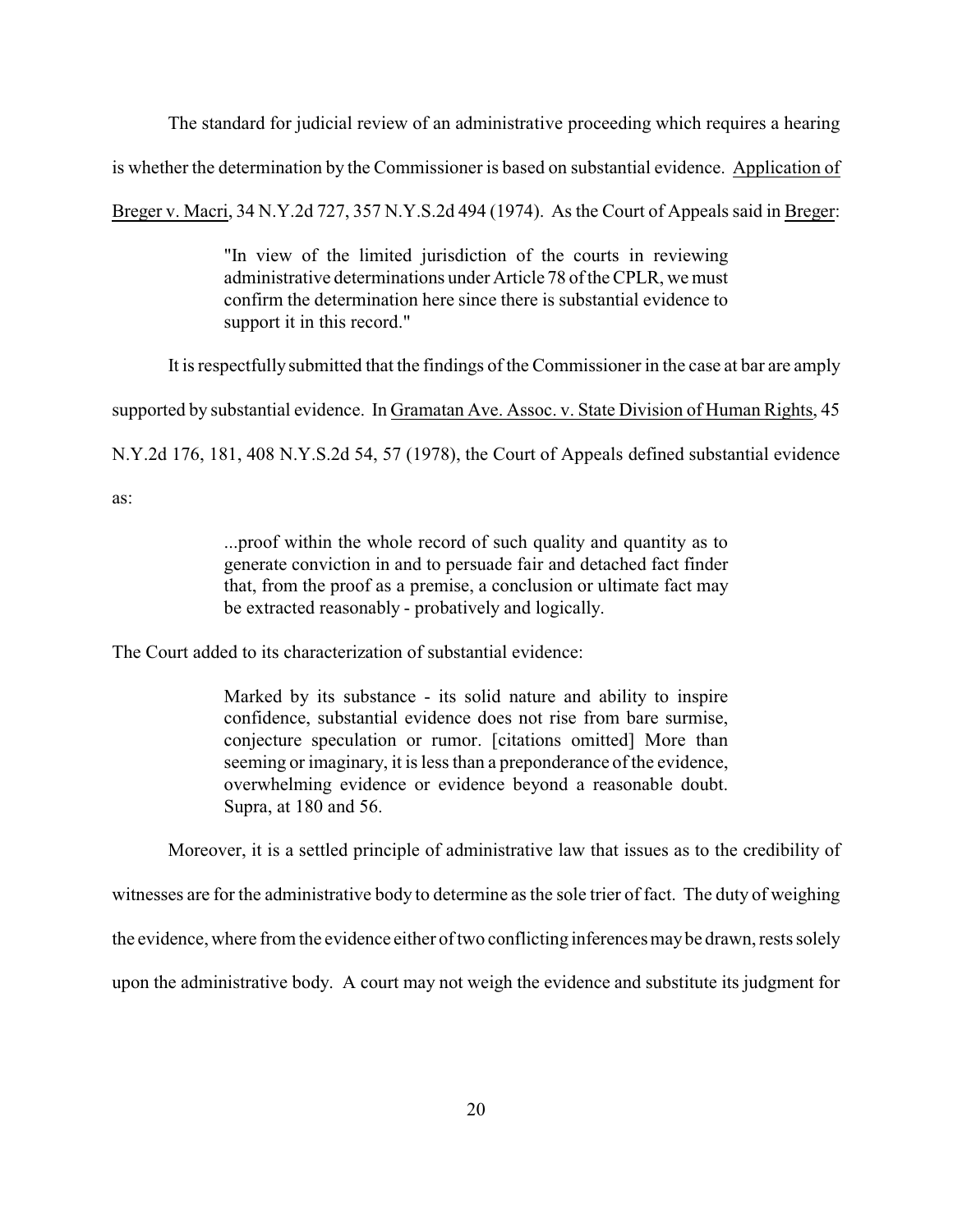The standard for judicial review of an administrative proceeding which requires a hearing

is whether the determination by the Commissioner is based on substantial evidence. Application of

Breger v. Macri, 34 N.Y.2d 727, 357 N.Y.S.2d 494 (1974). As the Court of Appeals said in Breger:

"In view of the limited jurisdiction of the courts in reviewing administrative determinations under Article 78 of the CPLR, we must confirm the determination here since there is substantial evidence to support it in this record."

It is respectfully submitted that the findings of the Commissioner in the case at bar are amply

supported by substantial evidence. In Gramatan Ave. Assoc. v. State Division of Human Rights, 45

N.Y.2d 176, 181, 408 N.Y.S.2d 54, 57 (1978), the Court of Appeals defined substantial evidence

as:

...proof within the whole record of such quality and quantity as to generate conviction in and to persuade fair and detached fact finder that, from the proof as a premise, a conclusion or ultimate fact may be extracted reasonably - probatively and logically.

The Court added to its characterization of substantial evidence:

Marked by its substance - its solid nature and ability to inspire confidence, substantial evidence does not rise from bare surmise, conjecture speculation or rumor. [citations omitted] More than seeming or imaginary, it is less than a preponderance of the evidence, overwhelming evidence or evidence beyond a reasonable doubt. Supra, at 180 and 56.

Moreover, it is a settled principle of administrative law that issues as to the credibility of

witnesses are for the administrative body to determine as the sole trier of fact. The duty of weighing

the evidence, where from the evidence either of two conflicting inferences maybe drawn, rests solely

upon the administrative body. A court may not weigh the evidence and substitute its judgment for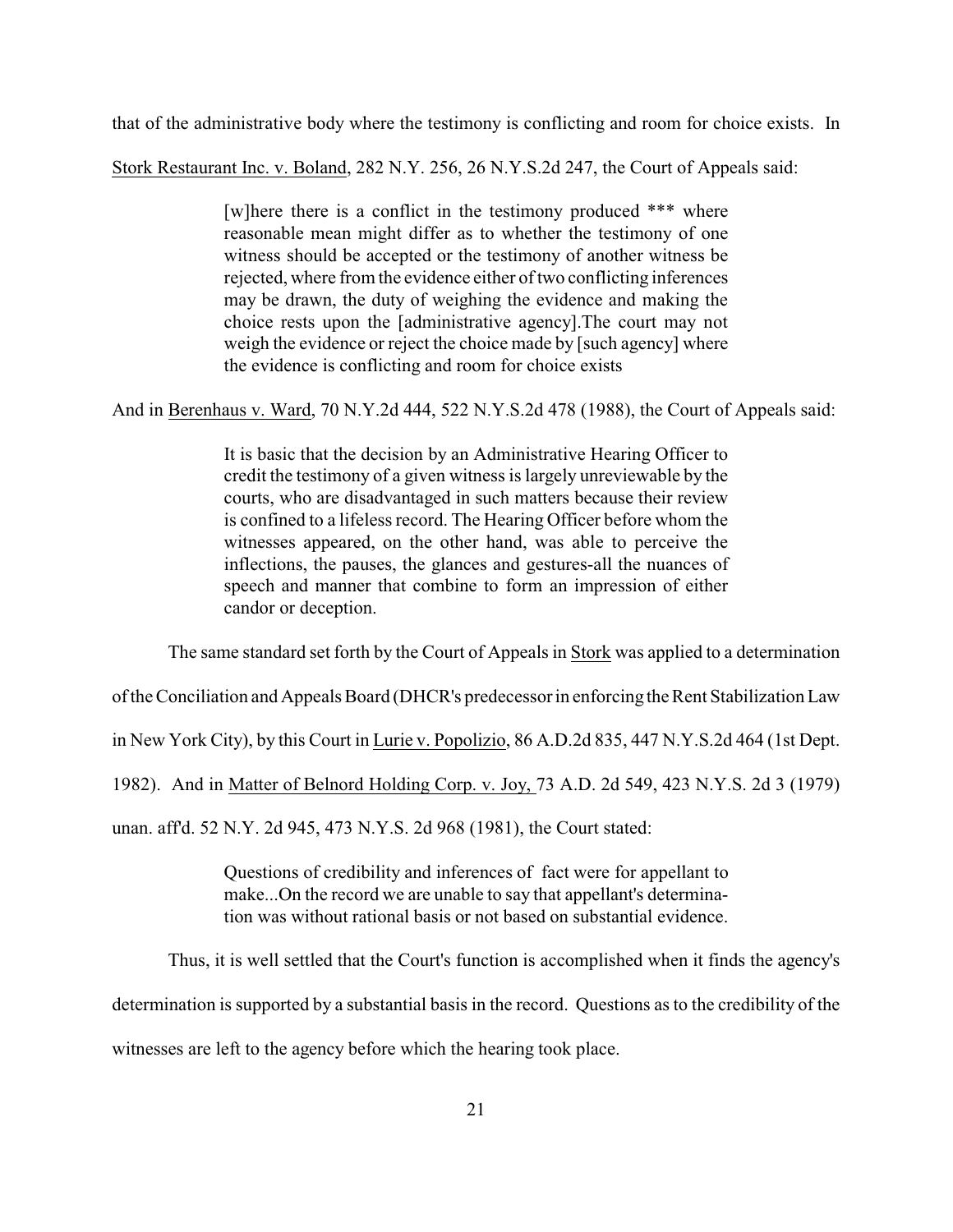that of the administrative body where the testimony is conflicting and room for choice exists. In

Stork Restaurant Inc. v. Boland, 282 N.Y. 256, 26 N.Y.S.2d 247, the Court of Appeals said:

[w]here there is a conflict in the testimony produced \*\*\* where reasonable mean might differ as to whether the testimony of one witness should be accepted or the testimony of another witness be rejected, where from the evidence either of two conflicting inferences may be drawn, the duty of weighing the evidence and making the choice rests upon the [administrative agency].The court may not weigh the evidence or reject the choice made by [such agency] where the evidence is conflicting and room for choice exists

And in Berenhaus v. Ward, 70 N.Y.2d 444, 522 N.Y.S.2d 478 (1988), the Court of Appeals said:

It is basic that the decision by an Administrative Hearing Officer to credit the testimony of a given witness is largely unreviewable by the courts, who are disadvantaged in such matters because their review is confined to a lifeless record. The Hearing Officer before whom the witnesses appeared, on the other hand, was able to perceive the inflections, the pauses, the glances and gestures-all the nuances of speech and manner that combine to form an impression of either candor or deception.

The same standard set forth by the Court of Appeals in Stork was applied to a determination

of the Conciliation and Appeals Board (DHCR's predecessor in enforcing the Rent Stabilization Law

in New York City), by this Court in Lurie v. Popolizio, 86 A.D.2d 835, 447 N.Y.S.2d 464 (1st Dept.

1982). And in Matter of Belnord Holding Corp. v. Joy, 73 A.D. 2d 549, 423 N.Y.S. 2d 3 (1979)

unan. aff'd. 52 N.Y. 2d 945, 473 N.Y.S. 2d 968 (1981), the Court stated:

Questions of credibility and inferences of fact were for appellant to make...On the record we are unable to say that appellant's determination was without rational basis or not based on substantial evidence.

Thus, it is well settled that the Court's function is accomplished when it finds the agency's

determination is supported by a substantial basis in the record. Questions as to the credibility of the

witnesses are left to the agency before which the hearing took place.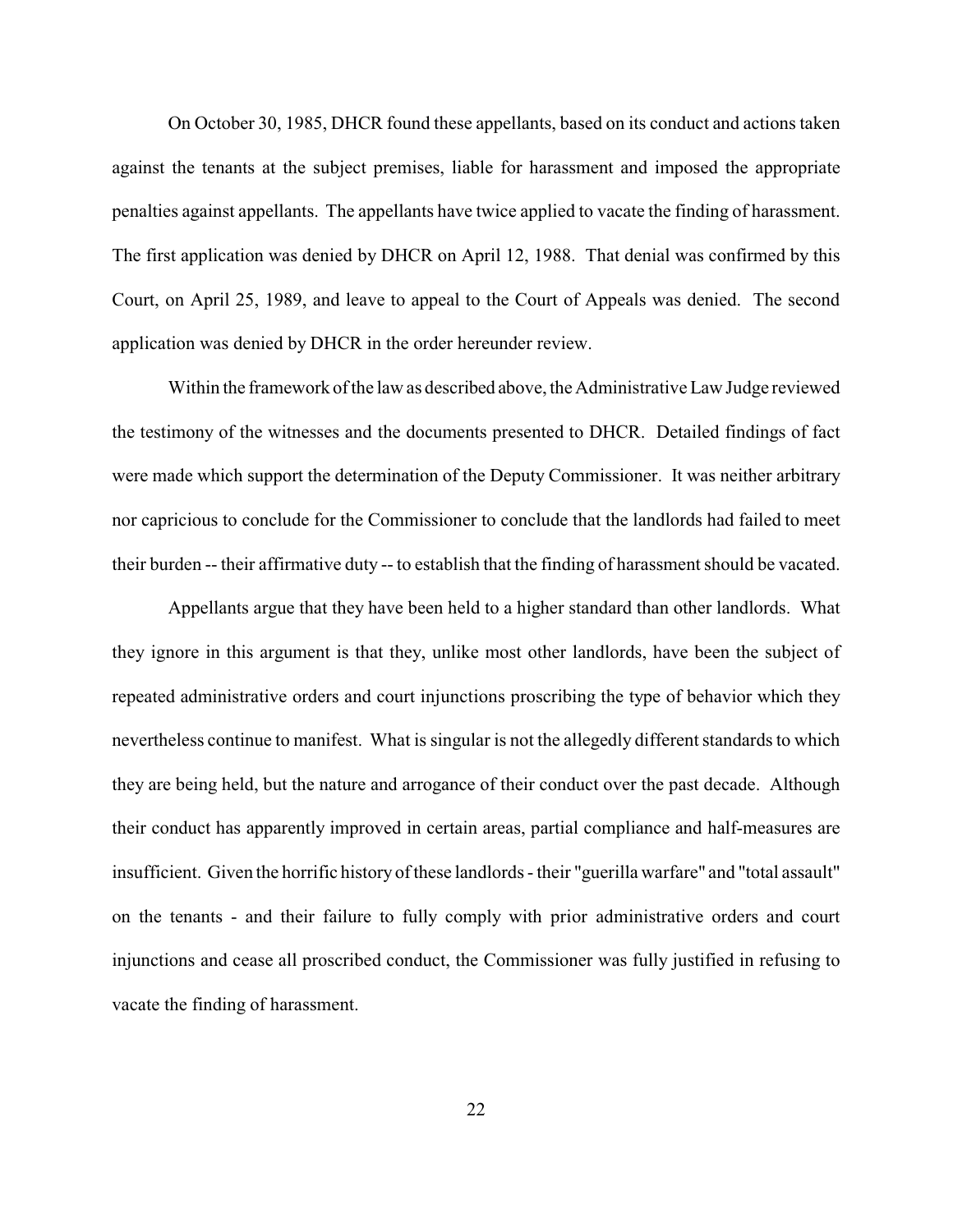On October 30, 1985, DHCR found these appellants, based on its conduct and actions taken against the tenants at the subject premises, liable for harassment and imposed the appropriate penalties against appellants. The appellants have twice applied to vacate the finding of harassment. The first application was denied by DHCR on April 12, 1988. That denial was confirmed by this Court, on April 25, 1989, and leave to appeal to the Court of Appeals was denied. The second application was denied by DHCR in the order hereunder review.

Within the framework of the law as described above, the Administrative Law Judge reviewed the testimony of the witnesses and the documents presented to DHCR. Detailed findings of fact were made which support the determination of the Deputy Commissioner. It was neither arbitrary nor capricious to conclude for the Commissioner to conclude that the landlords had failed to meet their burden -- their affirmative duty -- to establish that the finding of harassment should be vacated.

Appellants argue that they have been held to a higher standard than other landlords. What they ignore in this argument is that they, unlike most other landlords, have been the subject of repeated administrative orders and court injunctions proscribing the type of behavior which they nevertheless continue to manifest. What is singular is not the allegedly different standards to which they are being held, but the nature and arrogance of their conduct over the past decade. Although their conduct has apparently improved in certain areas, partial compliance and half-measures are insufficient. Given the horrific history of these landlords - their "guerilla warfare" and "total assault" on the tenants - and their failure to fully comply with prior administrative orders and court injunctions and cease all proscribed conduct, the Commissioner was fully justified in refusing to vacate the finding of harassment.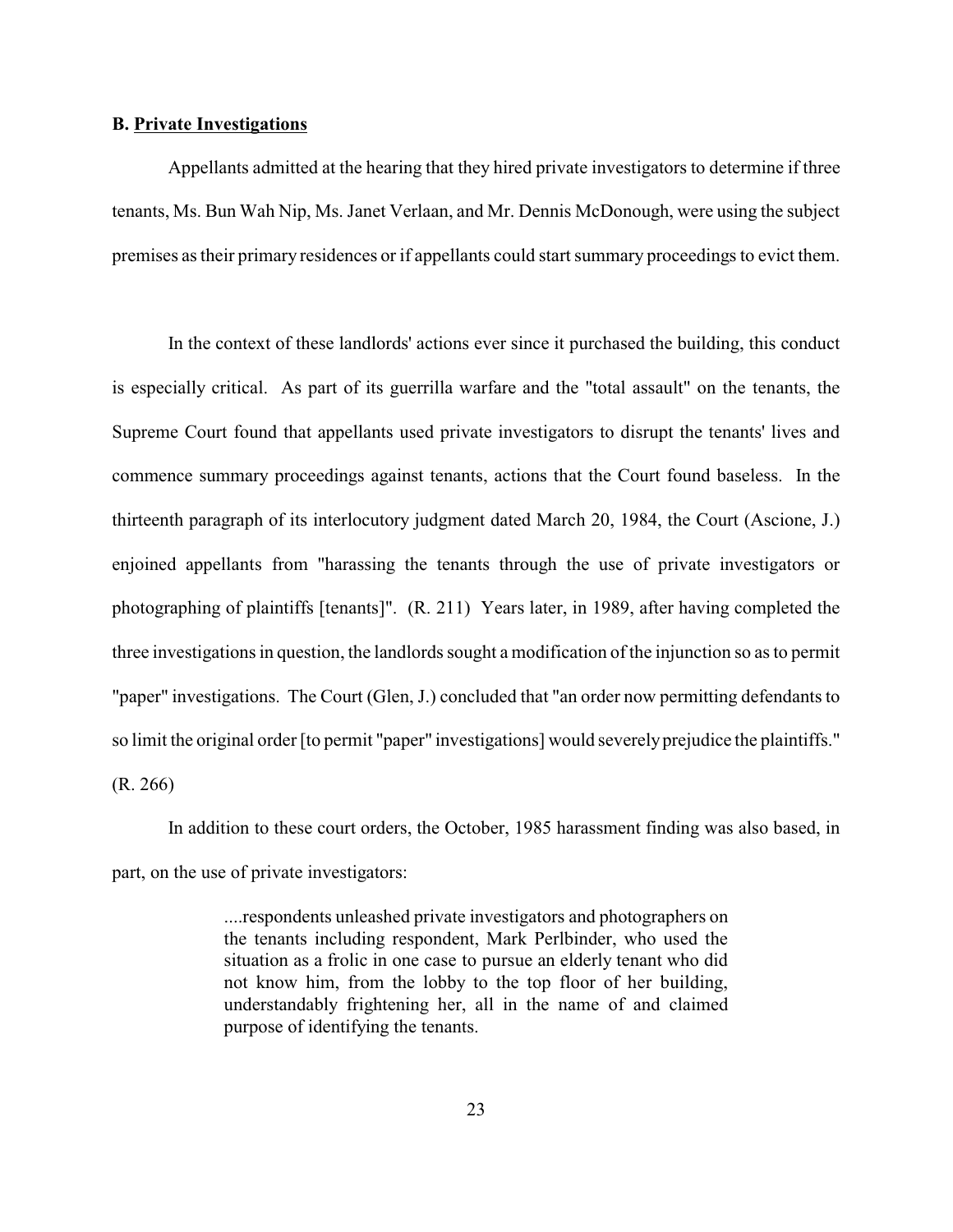## **B. Private Investigations**

Appellants admitted at the hearing that they hired private investigators to determine if three tenants, Ms. Bun Wah Nip, Ms. Janet Verlaan, and Mr. Dennis McDonough, were using the subject premises as their primary residences or if appellants could start summary proceedings to evict them.

In the context of these landlords' actions ever since it purchased the building, this conduct is especially critical. As part of its guerrilla warfare and the "total assault" on the tenants, the Supreme Court found that appellants used private investigators to disrupt the tenants' lives and commence summary proceedings against tenants, actions that the Court found baseless. In the thirteenth paragraph of its interlocutory judgment dated March 20, 1984, the Court (Ascione, J.) enjoined appellants from "harassing the tenants through the use of private investigators or photographing of plaintiffs [tenants]". (R. 211) Years later, in 1989, after having completed the three investigations in question, the landlords sought a modification of the injunction so as to permit "paper" investigations. The Court (Glen, J.) concluded that "an order now permitting defendants to so limit the original order [to permit "paper" investigations] would severelyprejudice the plaintiffs." (R. 266)

In addition to these court orders, the October, 1985 harassment finding was also based, in part, on the use of private investigators:

> ....respondents unleashed private investigators and photographers on the tenants including respondent, Mark Perlbinder, who used the situation as a frolic in one case to pursue an elderly tenant who did not know him, from the lobby to the top floor of her building, understandably frightening her, all in the name of and claimed purpose of identifying the tenants.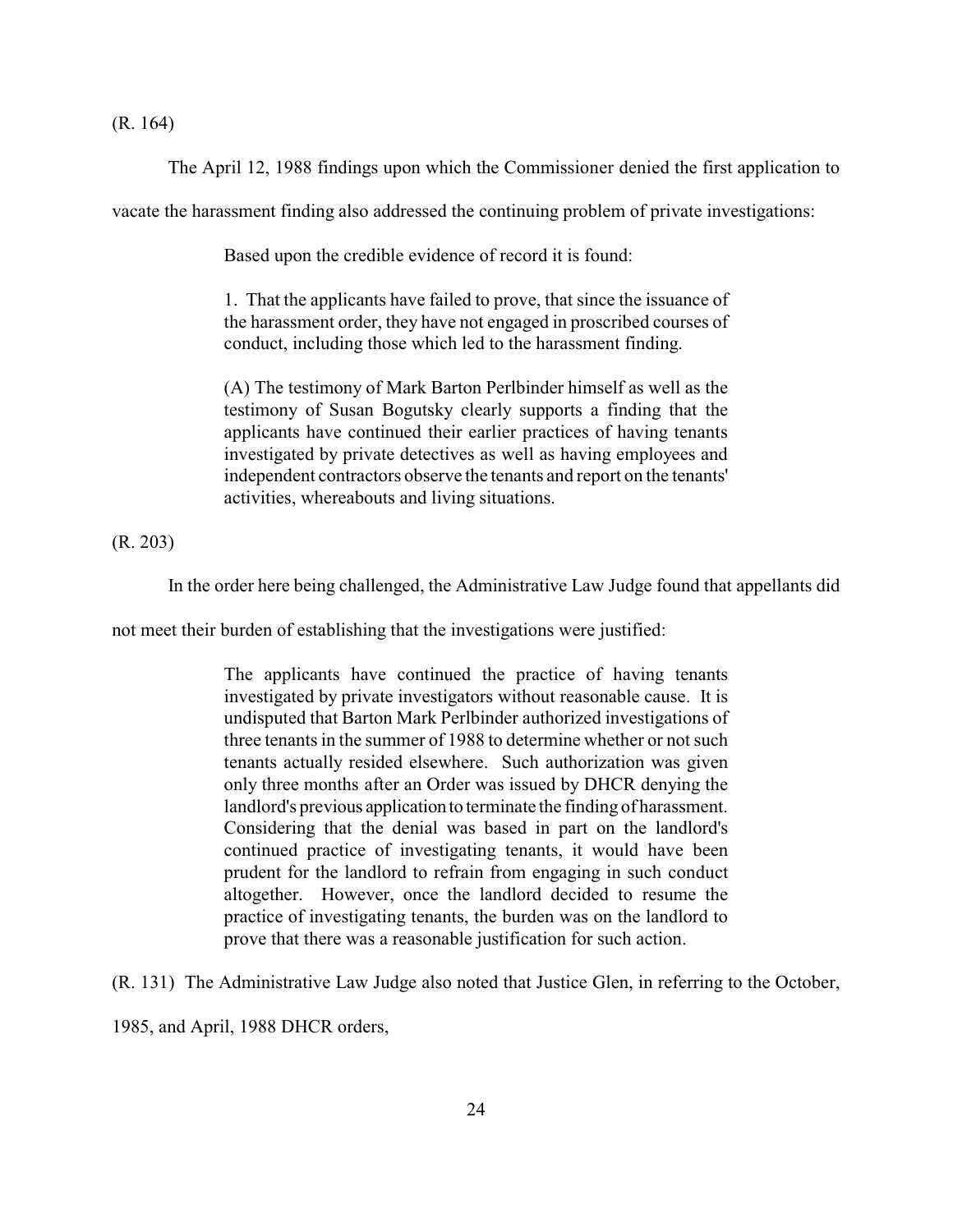## (R. 164)

The April 12, 1988 findings upon which the Commissioner denied the first application to

vacate the harassment finding also addressed the continuing problem of private investigations:

Based upon the credible evidence of record it is found:

1. That the applicants have failed to prove, that since the issuance of the harassment order, they have not engaged in proscribed courses of conduct, including those which led to the harassment finding.

(A) The testimony of Mark Barton Perlbinder himself as well as the testimony of Susan Bogutsky clearly supports a finding that the applicants have continued their earlier practices of having tenants investigated by private detectives as well as having employees and independent contractors observe the tenants and report on the tenants' activities, whereabouts and living situations.

(R. 203)

In the order here being challenged, the Administrative Law Judge found that appellants did

not meet their burden of establishing that the investigations were justified:

The applicants have continued the practice of having tenants investigated by private investigators without reasonable cause. It is undisputed that Barton Mark Perlbinder authorized investigations of three tenants in the summer of 1988 to determine whether or not such tenants actually resided elsewhere. Such authorization was given only three months after an Order was issued by DHCR denying the landlord's previous application to terminate the finding of harassment. Considering that the denial was based in part on the landlord's continued practice of investigating tenants, it would have been prudent for the landlord to refrain from engaging in such conduct altogether. However, once the landlord decided to resume the practice of investigating tenants, the burden was on the landlord to prove that there was a reasonable justification for such action.

(R. 131) The Administrative Law Judge also noted that Justice Glen, in referring to the October,

1985, and April, 1988 DHCR orders,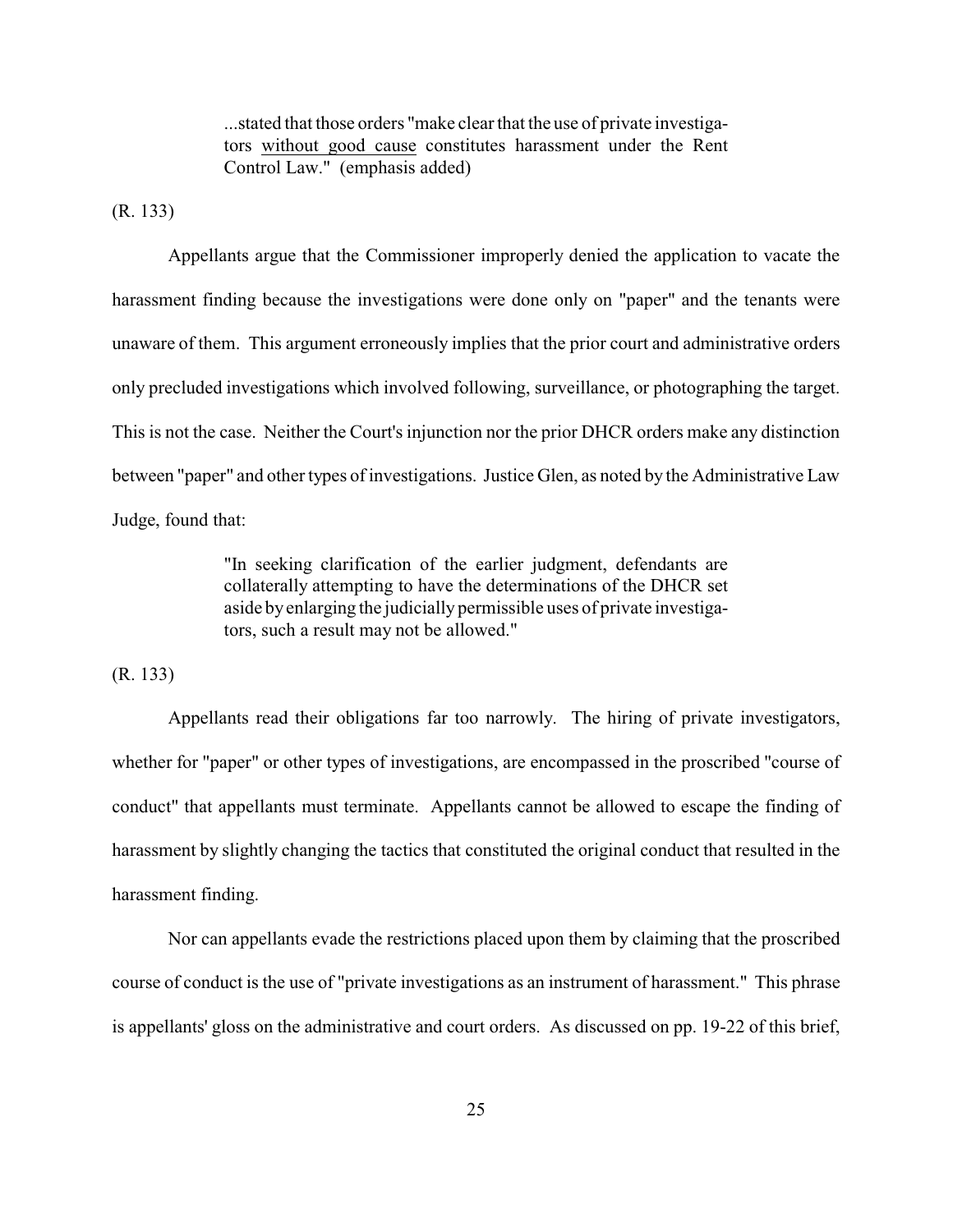...stated that those orders "make clear that the use of private investigators without good cause constitutes harassment under the Rent Control Law." (emphasis added)

(R. 133)

Appellants argue that the Commissioner improperly denied the application to vacate the harassment finding because the investigations were done only on "paper" and the tenants were unaware of them. This argument erroneously implies that the prior court and administrative orders only precluded investigations which involved following, surveillance, or photographing the target. This is not the case. Neither the Court's injunction nor the prior DHCR orders make any distinction between "paper" and other types of investigations. Justice Glen, as noted by the Administrative Law Judge, found that:

> "In seeking clarification of the earlier judgment, defendants are collaterally attempting to have the determinations of the DHCR set aside byenlarging the judicially permissible uses of private investigators, such a result may not be allowed."

(R. 133)

Appellants read their obligations far too narrowly. The hiring of private investigators, whether for "paper" or other types of investigations, are encompassed in the proscribed "course of conduct" that appellants must terminate. Appellants cannot be allowed to escape the finding of harassment by slightly changing the tactics that constituted the original conduct that resulted in the harassment finding.

Nor can appellants evade the restrictions placed upon them by claiming that the proscribed course of conduct is the use of "private investigations as an instrument of harassment." This phrase is appellants' gloss on the administrative and court orders. As discussed on pp. 19-22 of this brief,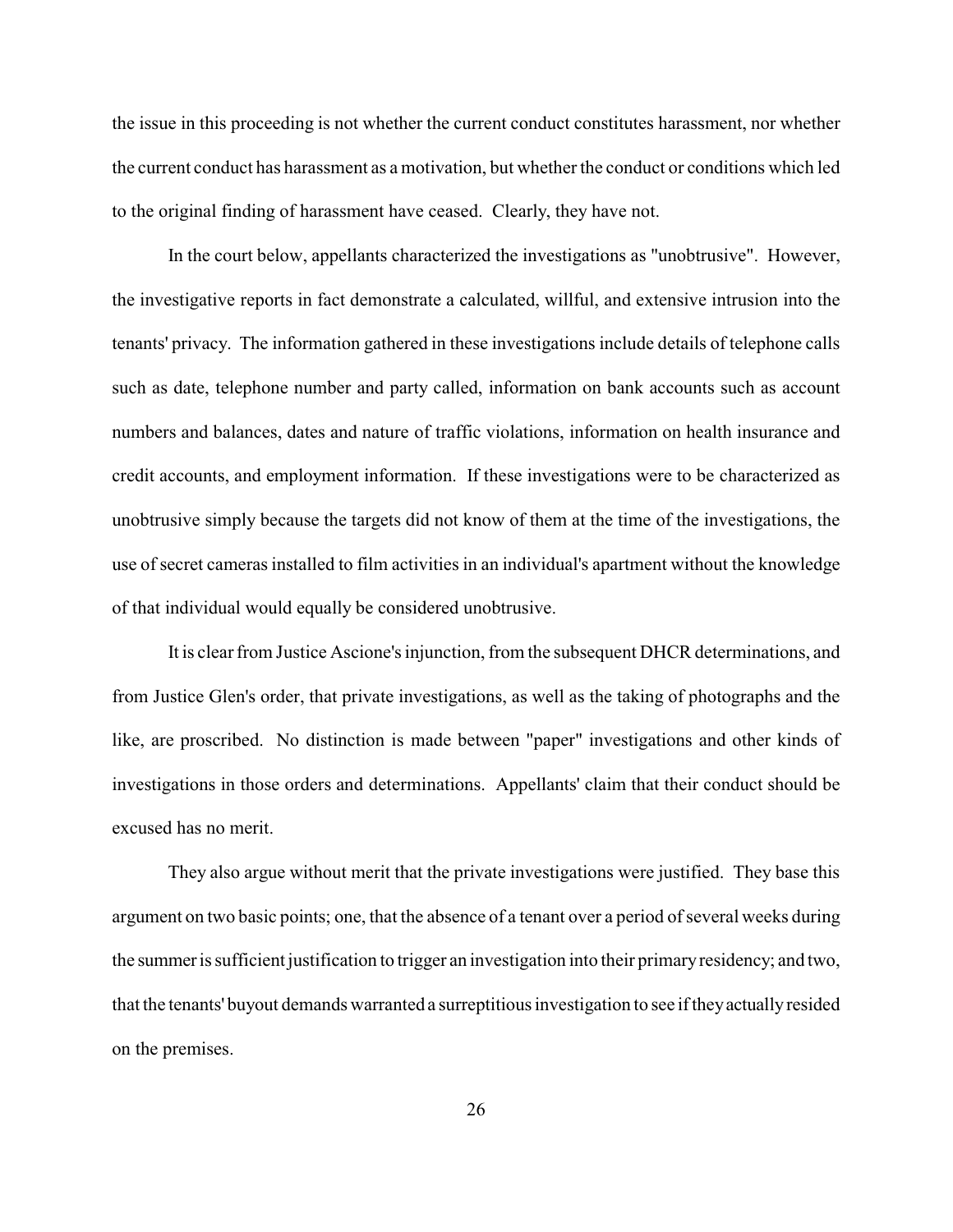the issue in this proceeding is not whether the current conduct constitutes harassment, nor whether the current conduct has harassment as a motivation, but whether the conduct or conditions which led to the original finding of harassment have ceased. Clearly, they have not.

In the court below, appellants characterized the investigations as "unobtrusive". However, the investigative reports in fact demonstrate a calculated, willful, and extensive intrusion into the tenants' privacy. The information gathered in these investigations include details of telephone calls such as date, telephone number and party called, information on bank accounts such as account numbers and balances, dates and nature of traffic violations, information on health insurance and credit accounts, and employment information. If these investigations were to be characterized as unobtrusive simply because the targets did not know of them at the time of the investigations, the use of secret cameras installed to film activities in an individual's apartment without the knowledge of that individual would equally be considered unobtrusive.

It is clear from Justice Ascione's injunction, from the subsequent DHCR determinations, and from Justice Glen's order, that private investigations, as well as the taking of photographs and the like, are proscribed. No distinction is made between "paper" investigations and other kinds of investigations in those orders and determinations. Appellants' claim that their conduct should be excused has no merit.

They also argue without merit that the private investigations were justified. They base this argument on two basic points; one, that the absence of a tenant over a period of several weeks during the summeris sufficient justification to trigger an investigation into their primaryresidency; and two, that the tenants' buyout demands warranted a surreptitious investigation to see if theyactuallyresided on the premises.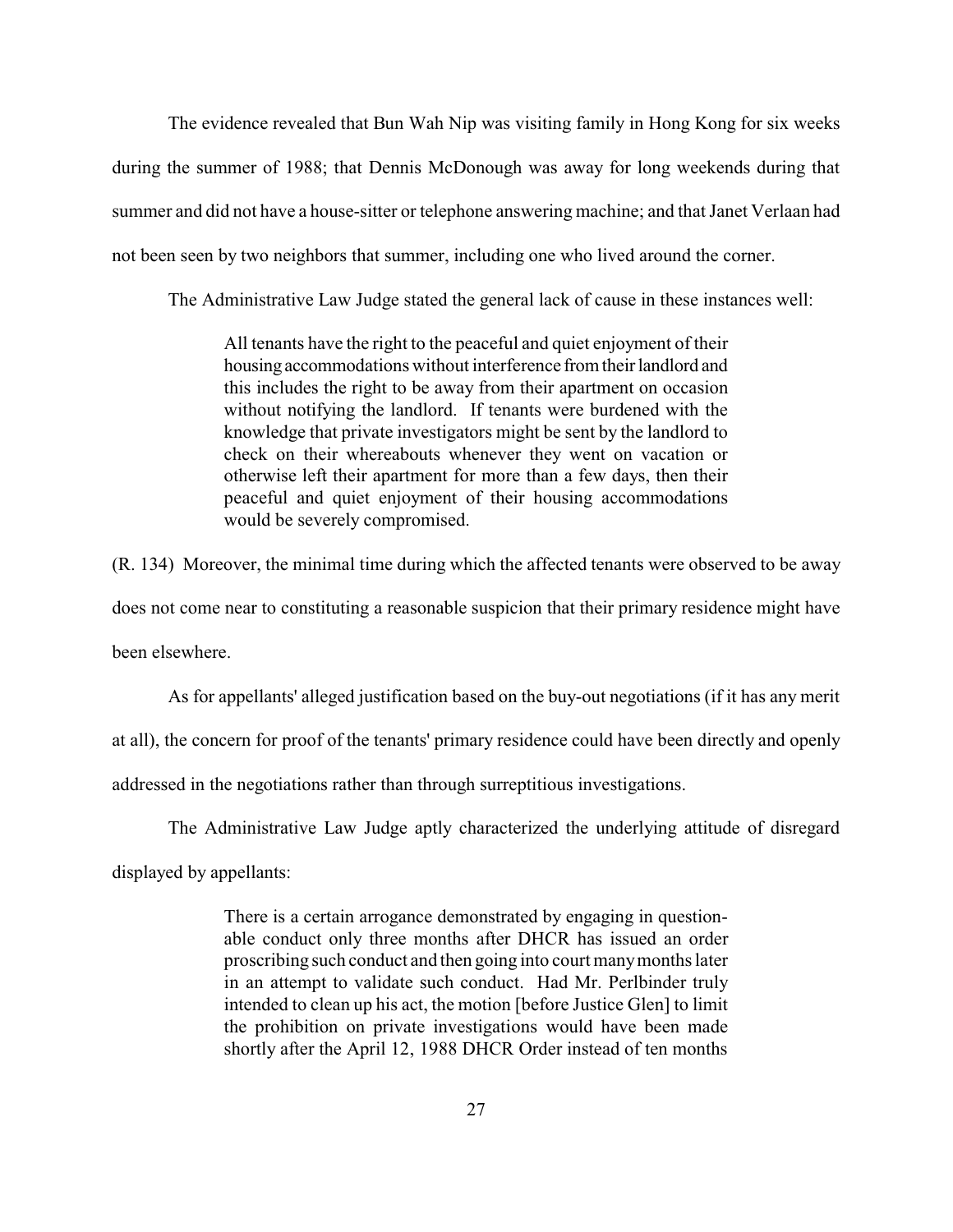The evidence revealed that Bun Wah Nip was visiting family in Hong Kong for six weeks during the summer of 1988; that Dennis McDonough was away for long weekends during that summer and did not have a house-sitter or telephone answering machine; and that Janet Verlaan had not been seen by two neighbors that summer, including one who lived around the corner.

The Administrative Law Judge stated the general lack of cause in these instances well:

All tenants have the right to the peaceful and quiet enjoyment of their housing accommodations without interference from their landlord and this includes the right to be away from their apartment on occasion without notifying the landlord. If tenants were burdened with the knowledge that private investigators might be sent by the landlord to check on their whereabouts whenever they went on vacation or otherwise left their apartment for more than a few days, then their peaceful and quiet enjoyment of their housing accommodations would be severely compromised.

(R. 134) Moreover, the minimal time during which the affected tenants were observed to be away does not come near to constituting a reasonable suspicion that their primary residence might have been elsewhere.

As for appellants' alleged justification based on the buy-out negotiations (if it has any merit at all), the concern for proof of the tenants' primary residence could have been directly and openly addressed in the negotiations rather than through surreptitious investigations.

The Administrative Law Judge aptly characterized the underlying attitude of disregard

displayed by appellants:

There is a certain arrogance demonstrated by engaging in questionable conduct only three months after DHCR has issued an order proscribing such conduct and then going into court manymonths later in an attempt to validate such conduct. Had Mr. Perlbinder truly intended to clean up his act, the motion [before Justice Glen] to limit the prohibition on private investigations would have been made shortly after the April 12, 1988 DHCR Order instead of ten months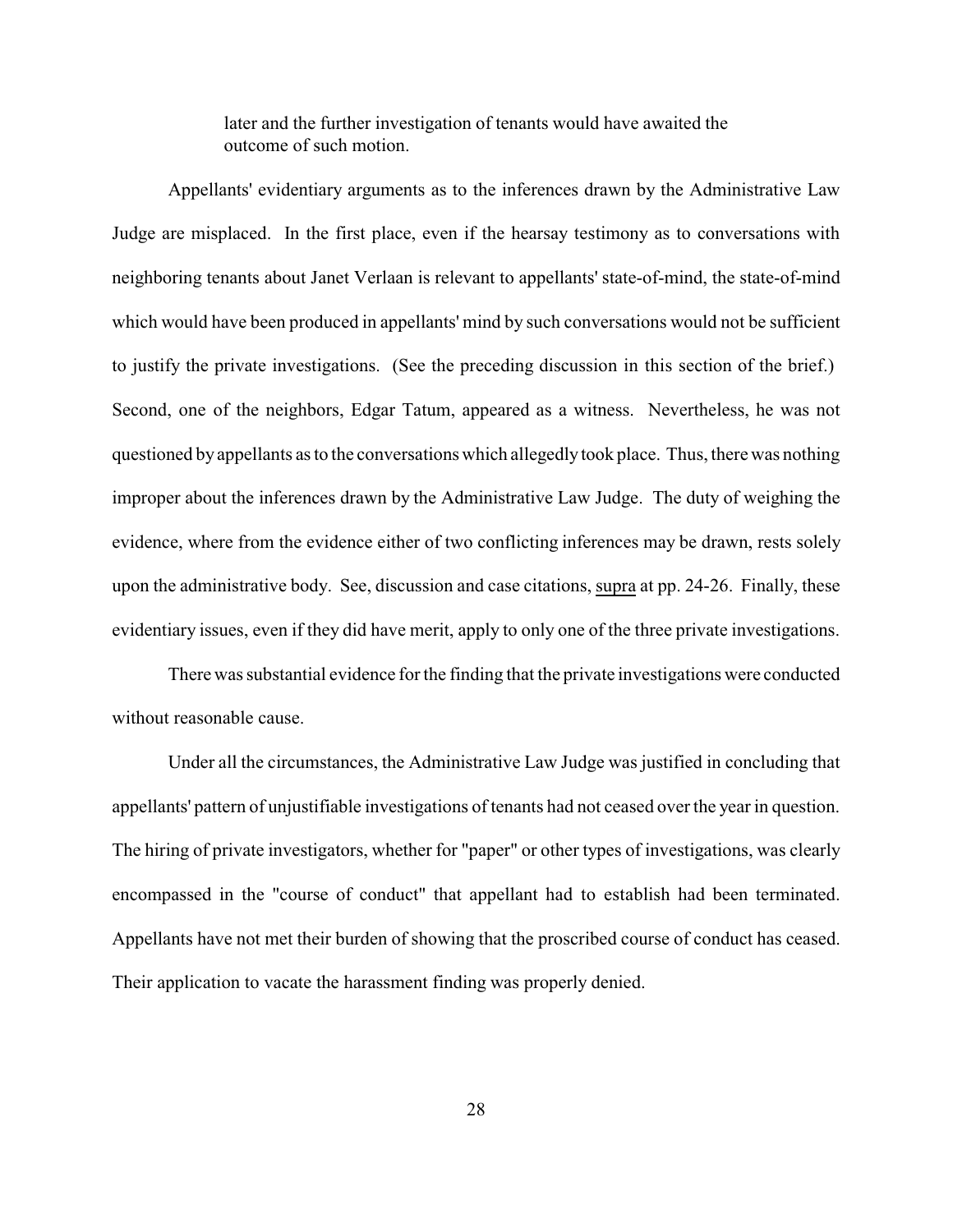later and the further investigation of tenants would have awaited the outcome of such motion.

Appellants' evidentiary arguments as to the inferences drawn by the Administrative Law Judge are misplaced. In the first place, even if the hearsay testimony as to conversations with neighboring tenants about Janet Verlaan is relevant to appellants' state-of-mind, the state-of-mind which would have been produced in appellants' mind by such conversations would not be sufficient to justify the private investigations. (See the preceding discussion in this section of the brief.) Second, one of the neighbors, Edgar Tatum, appeared as a witness. Nevertheless, he was not questioned by appellants as to the conversations which allegedlytook place. Thus, there was nothing improper about the inferences drawn by the Administrative Law Judge. The duty of weighing the evidence, where from the evidence either of two conflicting inferences may be drawn, rests solely upon the administrative body. See, discussion and case citations, supra at pp. 24-26. Finally, these evidentiary issues, even if they did have merit, apply to only one of the three private investigations.

There was substantial evidence for the finding that the private investigations were conducted without reasonable cause.

Under all the circumstances, the Administrative Law Judge was justified in concluding that appellants' pattern of unjustifiable investigations of tenants had not ceased over the year in question. The hiring of private investigators, whether for "paper" or other types of investigations, was clearly encompassed in the "course of conduct" that appellant had to establish had been terminated. Appellants have not met their burden of showing that the proscribed course of conduct has ceased. Their application to vacate the harassment finding was properly denied.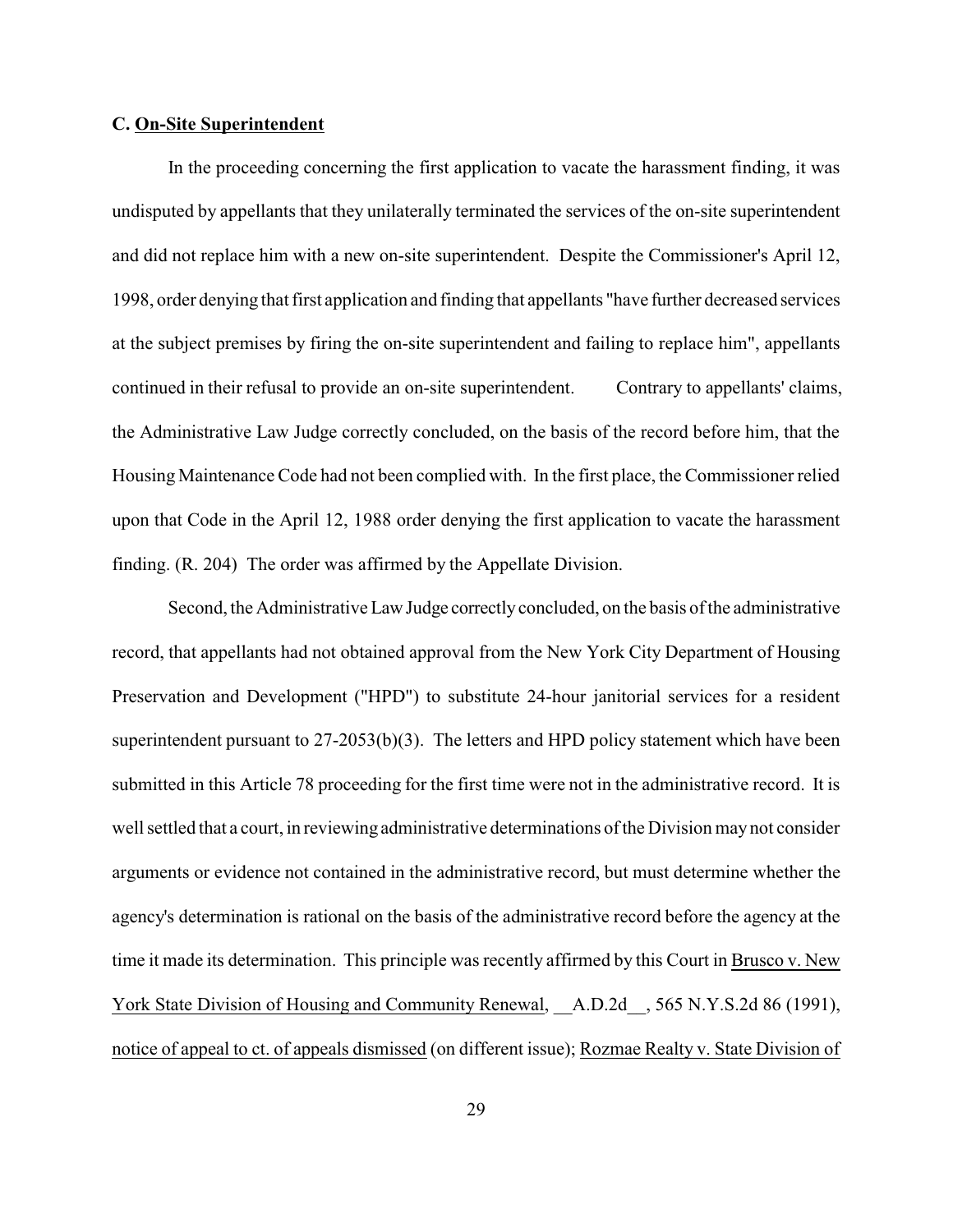## **C. On-Site Superintendent**

In the proceeding concerning the first application to vacate the harassment finding, it was undisputed by appellants that they unilaterally terminated the services of the on-site superintendent and did not replace him with a new on-site superintendent. Despite the Commissioner's April 12, 1998, order denying that first application and finding that appellants "have further decreased services at the subject premises by firing the on-site superintendent and failing to replace him", appellants continued in their refusal to provide an on-site superintendent. Contrary to appellants' claims, the Administrative Law Judge correctly concluded, on the basis of the record before him, that the Housing Maintenance Code had not been complied with. In the first place, the Commissioner relied upon that Code in the April 12, 1988 order denying the first application to vacate the harassment finding. (R. 204) The order was affirmed by the Appellate Division.

Second, the Administrative Law Judge correctly concluded, on the basis of the administrative record, that appellants had not obtained approval from the New York City Department of Housing Preservation and Development ("HPD") to substitute 24-hour janitorial services for a resident superintendent pursuant to 27-2053(b)(3). The letters and HPD policy statement which have been submitted in this Article 78 proceeding for the first time were not in the administrative record. It is well settled that a court, in reviewing administrative determinations of the Division may not consider arguments or evidence not contained in the administrative record, but must determine whether the agency's determination is rational on the basis of the administrative record before the agency at the time it made its determination. This principle was recently affirmed by this Court in Brusco v. New York State Division of Housing and Community Renewal, A.D.2d , 565 N.Y.S.2d 86 (1991), notice of appeal to ct. of appeals dismissed (on different issue); Rozmae Realty v. State Division of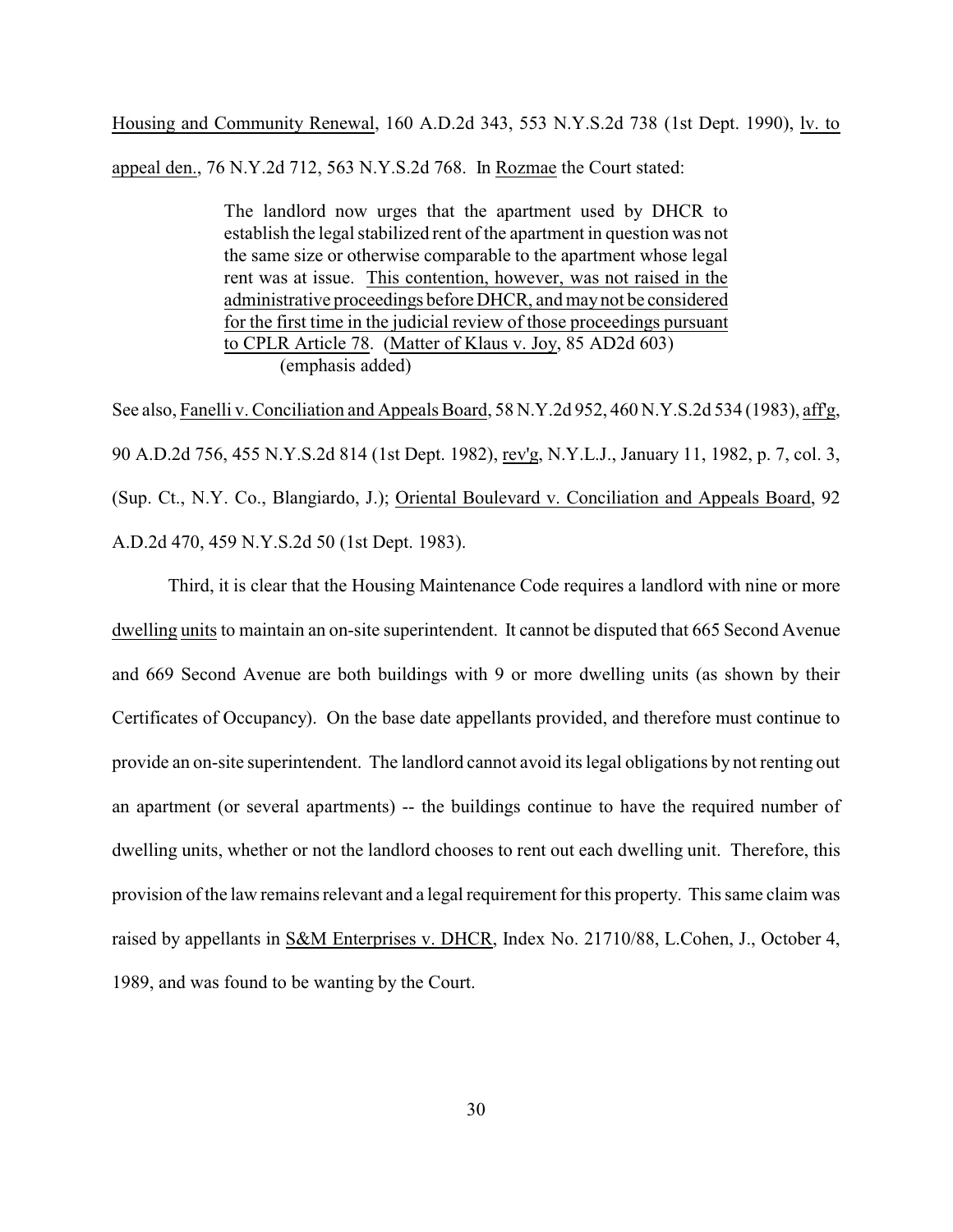Housing and Community Renewal, 160 A.D.2d 343, 553 N.Y.S.2d 738 (1st Dept. 1990), lv. to appeal den., 76 N.Y.2d 712, 563 N.Y.S.2d 768. In Rozmae the Court stated:

> The landlord now urges that the apartment used by DHCR to establish the legal stabilized rent of the apartment in question was not the same size or otherwise comparable to the apartment whose legal rent was at issue. This contention, however, was not raised in the administrative proceedings before DHCR, and may not be considered for the first time in the judicial review of those proceedings pursuant to CPLR Article 78. (Matter of Klaus v. Joy, 85 AD2d 603) (emphasis added)

See also, Fanelli v. Conciliation and Appeals Board, 58 N.Y.2d 952, 460 N.Y.S.2d 534 (1983), aff'g, 90 A.D.2d 756, 455 N.Y.S.2d 814 (1st Dept. 1982), rev'g, N.Y.L.J., January 11, 1982, p. 7, col. 3, (Sup. Ct., N.Y. Co., Blangiardo, J.); Oriental Boulevard v. Conciliation and Appeals Board, 92 A.D.2d 470, 459 N.Y.S.2d 50 (1st Dept. 1983).

Third, it is clear that the Housing Maintenance Code requires a landlord with nine or more dwelling units to maintain an on-site superintendent. It cannot be disputed that 665 Second Avenue and 669 Second Avenue are both buildings with 9 or more dwelling units (as shown by their Certificates of Occupancy). On the base date appellants provided, and therefore must continue to provide an on-site superintendent. The landlord cannot avoid its legal obligations by not renting out an apartment (or several apartments) -- the buildings continue to have the required number of dwelling units, whether or not the landlord chooses to rent out each dwelling unit. Therefore, this provision of the law remains relevant and a legal requirement for this property. This same claim was raised by appellants in S&M Enterprises v. DHCR, Index No. 21710/88, L.Cohen, J., October 4, 1989, and was found to be wanting by the Court.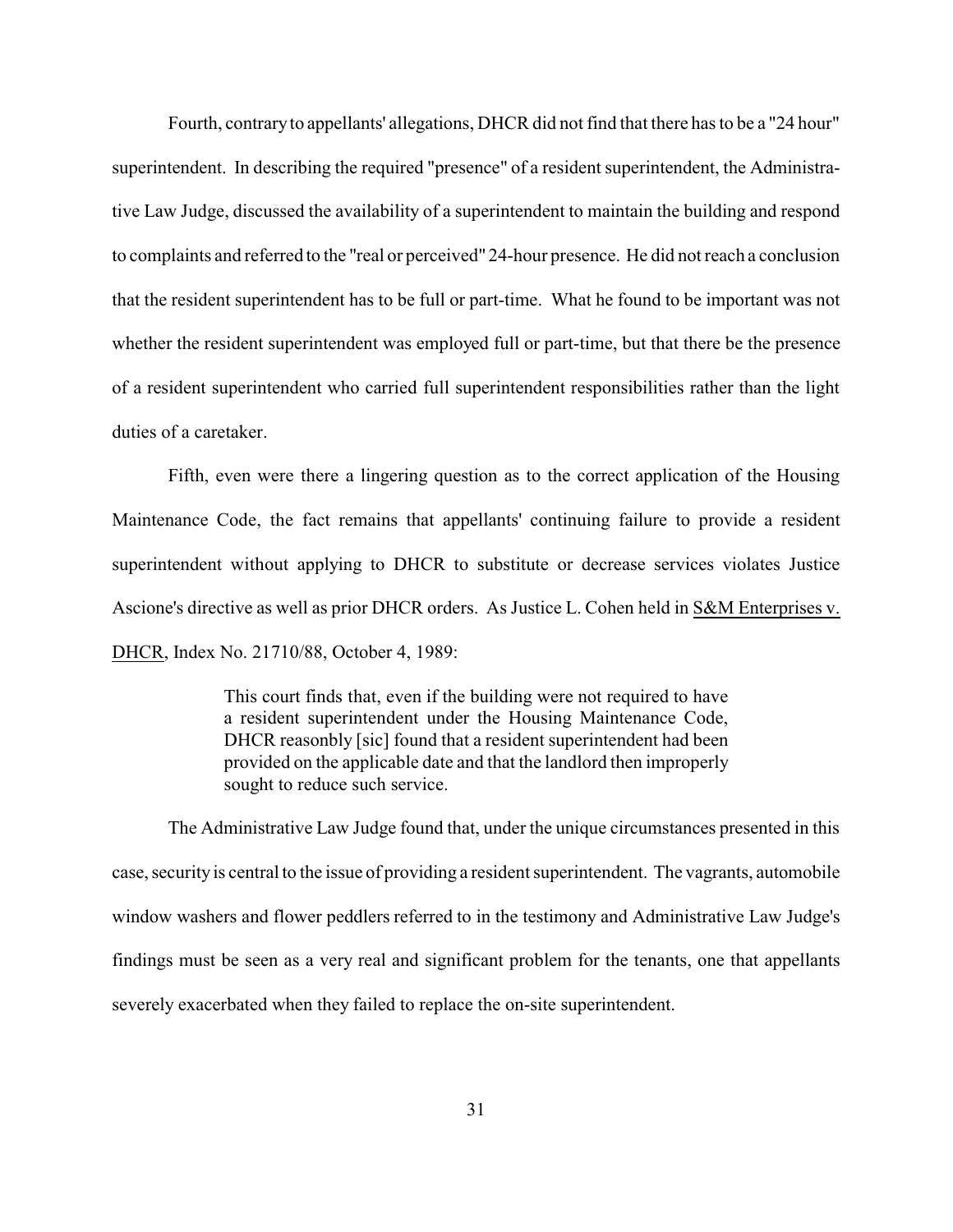Fourth, contraryto appellants' allegations, DHCR did not find that there has to be a "24 hour" superintendent. In describing the required "presence" of a resident superintendent, the Administrative Law Judge, discussed the availability of a superintendent to maintain the building and respond to complaints and referred to the "real or perceived" 24-hour presence. He did not reach a conclusion that the resident superintendent has to be full or part-time. What he found to be important was not whether the resident superintendent was employed full or part-time, but that there be the presence of a resident superintendent who carried full superintendent responsibilities rather than the light duties of a caretaker.

Fifth, even were there a lingering question as to the correct application of the Housing Maintenance Code, the fact remains that appellants' continuing failure to provide a resident superintendent without applying to DHCR to substitute or decrease services violates Justice Ascione's directive as well as prior DHCR orders. As Justice L. Cohen held in S&M Enterprises v. DHCR, Index No. 21710/88, October 4, 1989:

> This court finds that, even if the building were not required to have a resident superintendent under the Housing Maintenance Code, DHCR reasonbly [sic] found that a resident superintendent had been provided on the applicable date and that the landlord then improperly sought to reduce such service.

The Administrative Law Judge found that, under the unique circumstances presented in this case, securityis central to the issue of providing a resident superintendent. The vagrants, automobile window washers and flower peddlers referred to in the testimony and Administrative Law Judge's findings must be seen as a very real and significant problem for the tenants, one that appellants severely exacerbated when they failed to replace the on-site superintendent.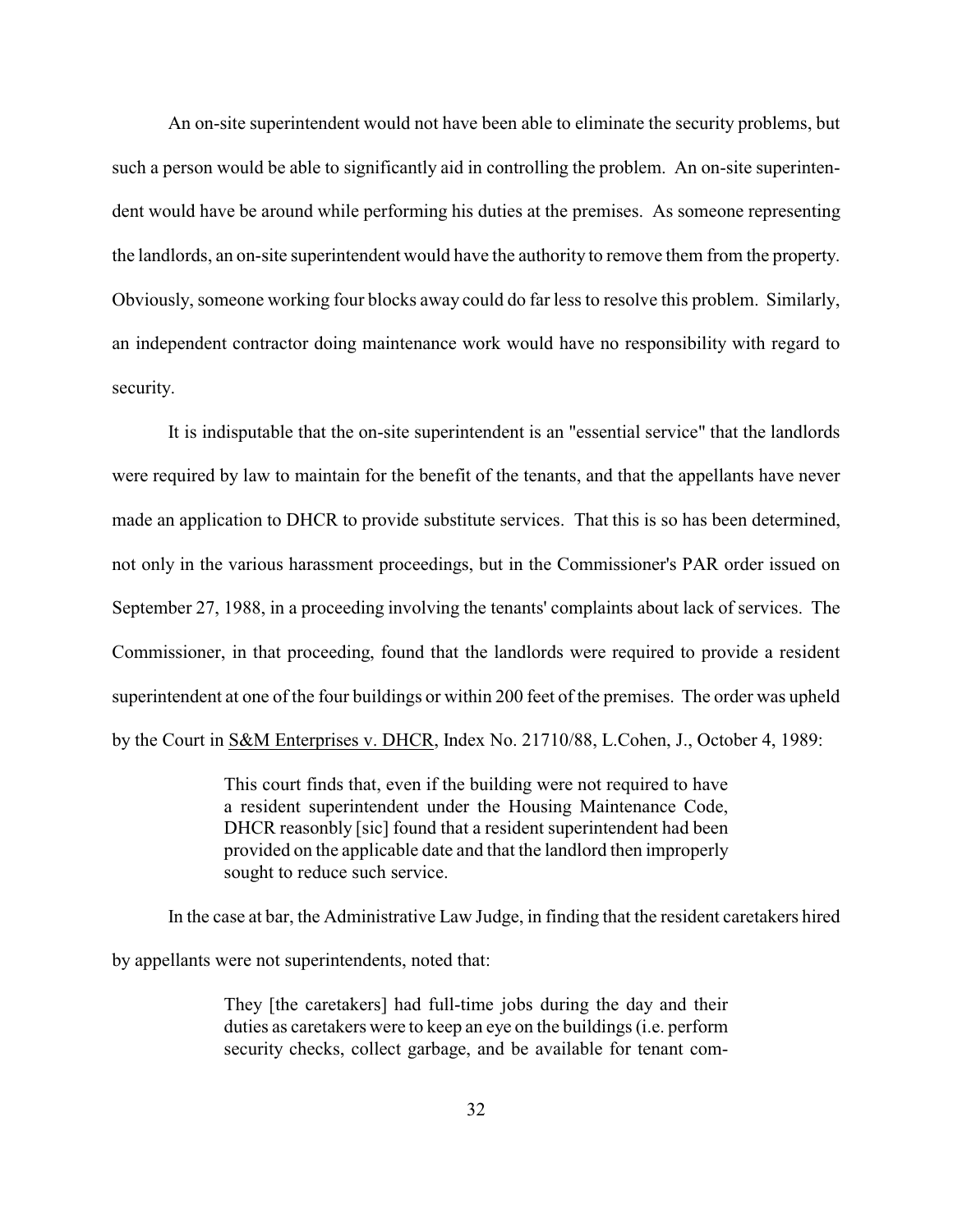An on-site superintendent would not have been able to eliminate the security problems, but such a person would be able to significantly aid in controlling the problem. An on-site superintendent would have be around while performing his duties at the premises. As someone representing the landlords, an on-site superintendent would have the authority to remove them from the property. Obviously, someone working four blocks away could do far less to resolve this problem. Similarly, an independent contractor doing maintenance work would have no responsibility with regard to security.

It is indisputable that the on-site superintendent is an "essential service" that the landlords were required by law to maintain for the benefit of the tenants, and that the appellants have never made an application to DHCR to provide substitute services. That this is so has been determined, not only in the various harassment proceedings, but in the Commissioner's PAR order issued on September 27, 1988, in a proceeding involving the tenants' complaints about lack of services. The Commissioner, in that proceeding, found that the landlords were required to provide a resident superintendent at one of the four buildings or within 200 feet of the premises. The order was upheld by the Court in S&M Enterprises v. DHCR, Index No. 21710/88, L.Cohen, J., October 4, 1989:

> This court finds that, even if the building were not required to have a resident superintendent under the Housing Maintenance Code, DHCR reasonbly [sic] found that a resident superintendent had been provided on the applicable date and that the landlord then improperly sought to reduce such service.

In the case at bar, the Administrative Law Judge, in finding that the resident caretakers hired by appellants were not superintendents, noted that:

> They [the caretakers] had full-time jobs during the day and their duties as caretakers were to keep an eye on the buildings (i.e. perform security checks, collect garbage, and be available for tenant com-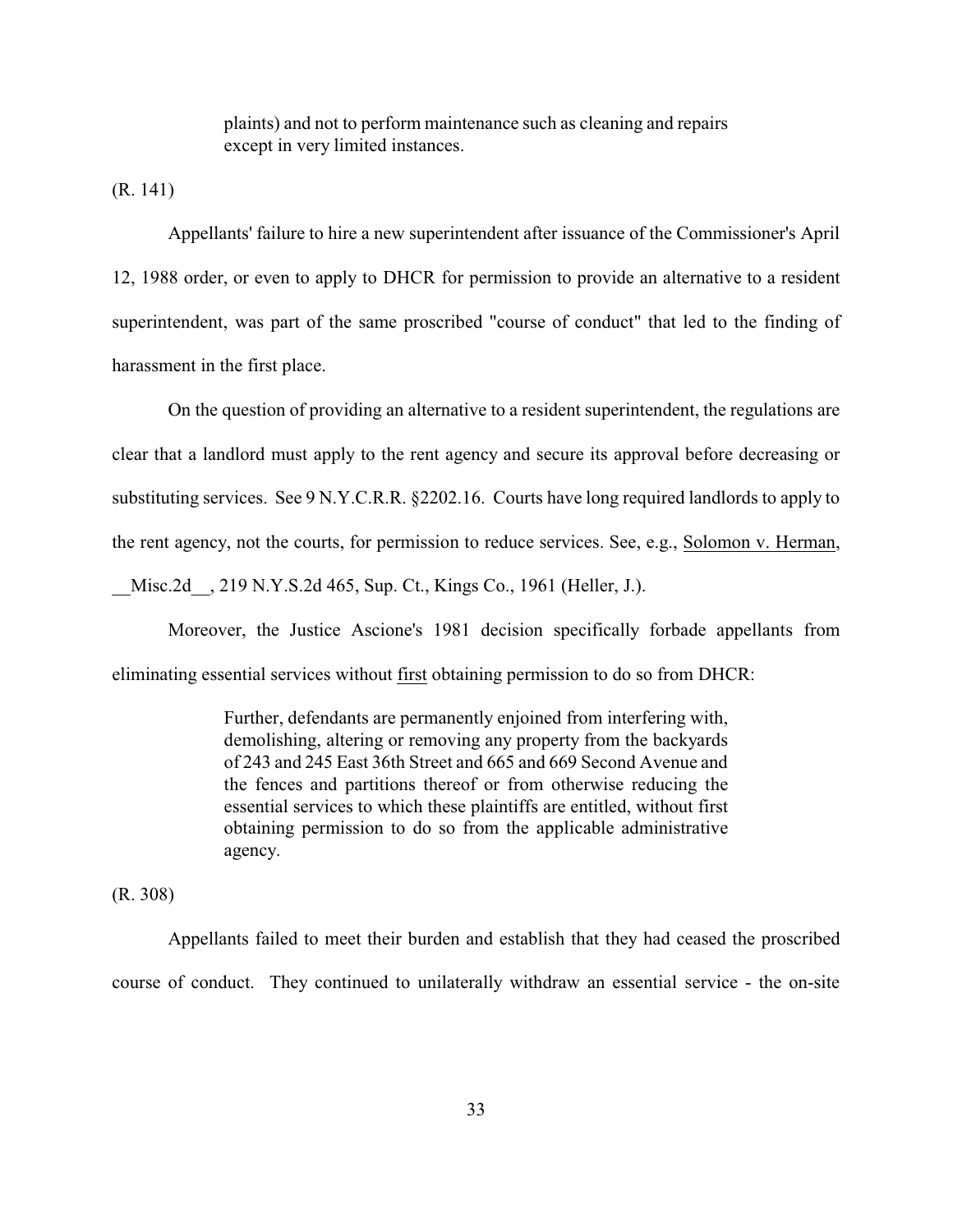plaints) and not to perform maintenance such as cleaning and repairs except in very limited instances.

(R. 141)

Appellants' failure to hire a new superintendent after issuance of the Commissioner's April 12, 1988 order, or even to apply to DHCR for permission to provide an alternative to a resident superintendent, was part of the same proscribed "course of conduct" that led to the finding of harassment in the first place.

On the question of providing an alternative to a resident superintendent, the regulations are clear that a landlord must apply to the rent agency and secure its approval before decreasing or substituting services. See 9 N.Y.C.R.R. §2202.16. Courts have long required landlords to apply to the rent agency, not the courts, for permission to reduce services. See, e.g., Solomon v. Herman, Misc.2d , 219 N.Y.S.2d 465, Sup. Ct., Kings Co., 1961 (Heller, J.).

Moreover, the Justice Ascione's 1981 decision specifically forbade appellants from eliminating essential services without first obtaining permission to do so from DHCR:

> Further, defendants are permanently enjoined from interfering with, demolishing, altering or removing any property from the backyards of 243 and 245 East 36th Street and 665 and 669 Second Avenue and the fences and partitions thereof or from otherwise reducing the essential services to which these plaintiffs are entitled, without first obtaining permission to do so from the applicable administrative agency.

(R. 308)

Appellants failed to meet their burden and establish that they had ceased the proscribed course of conduct. They continued to unilaterally withdraw an essential service - the on-site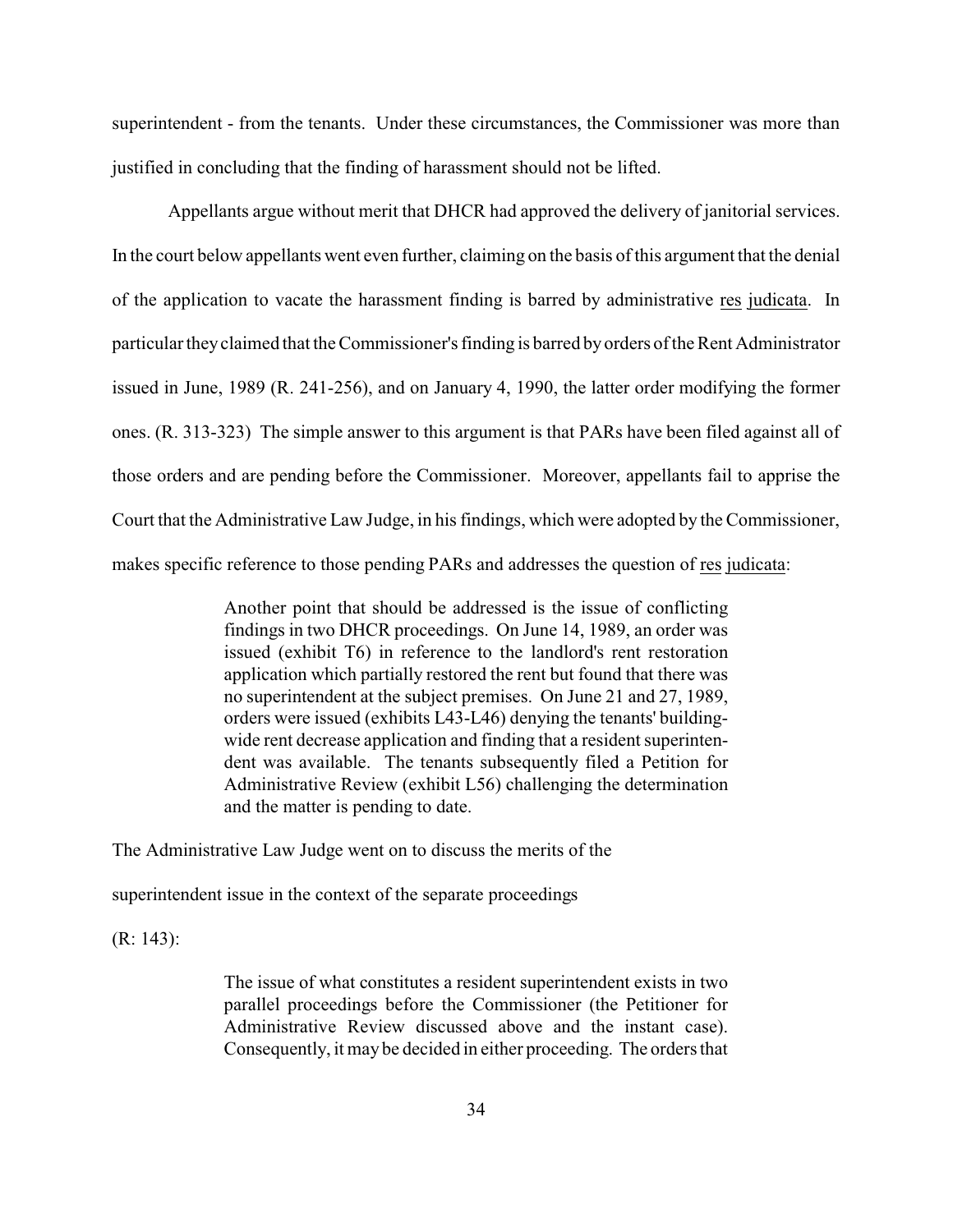superintendent - from the tenants. Under these circumstances, the Commissioner was more than justified in concluding that the finding of harassment should not be lifted.

Appellants argue without merit that DHCR had approved the delivery of janitorial services. In the court below appellants went even further, claiming on the basis of this argument that the denial of the application to vacate the harassment finding is barred by administrative res judicata. In particular theyclaimed that the Commissioner's finding is barred by orders of the Rent Administrator issued in June, 1989 (R. 241-256), and on January 4, 1990, the latter order modifying the former ones. (R. 313-323) The simple answer to this argument is that PARs have been filed against all of those orders and are pending before the Commissioner. Moreover, appellants fail to apprise the Court that the Administrative Law Judge, in his findings, which were adopted by the Commissioner, makes specific reference to those pending PARs and addresses the question of res judicata:

> Another point that should be addressed is the issue of conflicting findings in two DHCR proceedings. On June 14, 1989, an order was issued (exhibit T6) in reference to the landlord's rent restoration application which partially restored the rent but found that there was no superintendent at the subject premises. On June 21 and 27, 1989, orders were issued (exhibits L43-L46) denying the tenants' buildingwide rent decrease application and finding that a resident superintendent was available. The tenants subsequently filed a Petition for Administrative Review (exhibit L56) challenging the determination and the matter is pending to date.

The Administrative Law Judge went on to discuss the merits of the

superintendent issue in the context of the separate proceedings

(R: 143):

The issue of what constitutes a resident superintendent exists in two parallel proceedings before the Commissioner (the Petitioner for Administrative Review discussed above and the instant case). Consequently, it may be decided in either proceeding. The orders that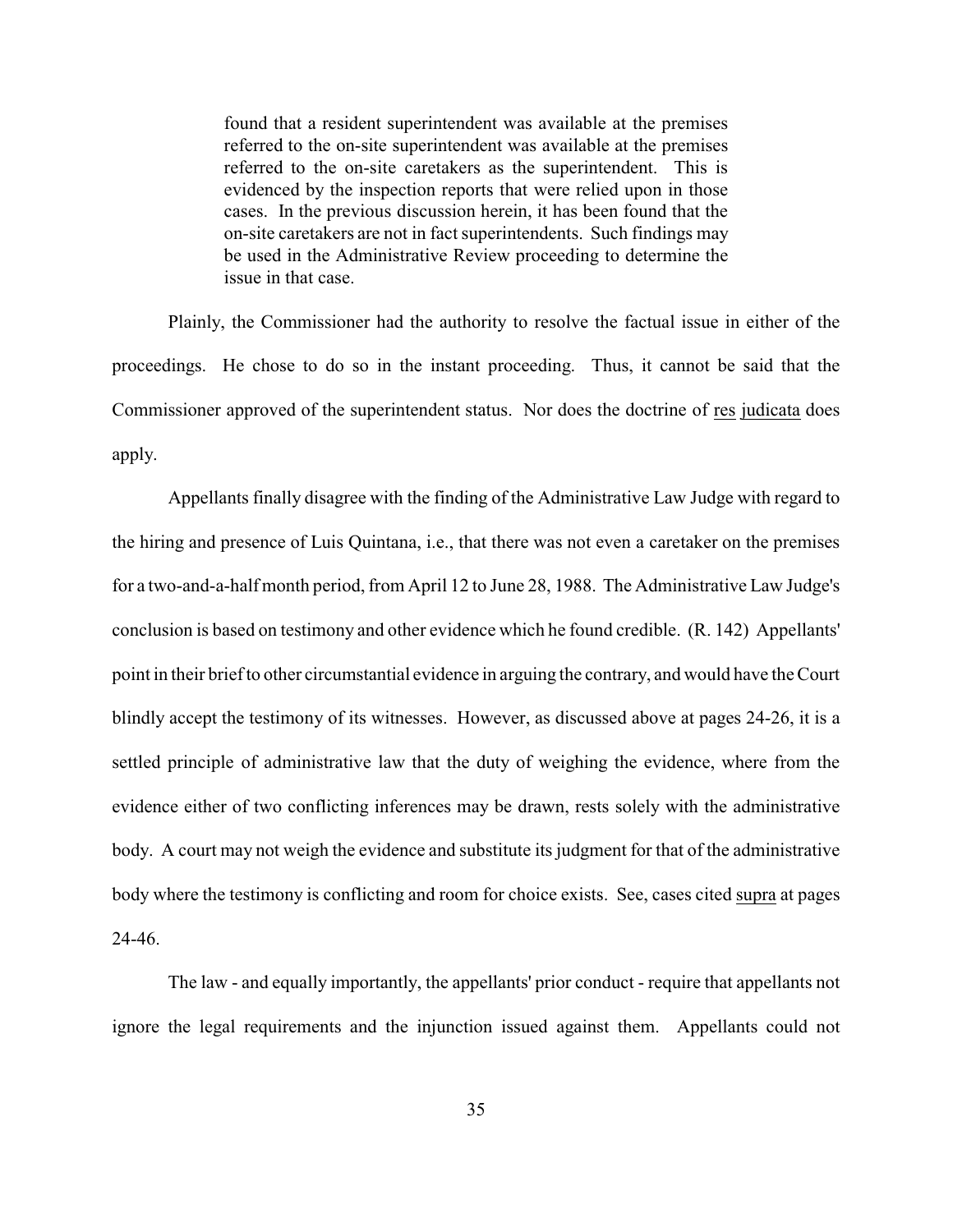found that a resident superintendent was available at the premises referred to the on-site superintendent was available at the premises referred to the on-site caretakers as the superintendent. This is evidenced by the inspection reports that were relied upon in those cases. In the previous discussion herein, it has been found that the on-site caretakers are not in fact superintendents. Such findings may be used in the Administrative Review proceeding to determine the issue in that case.

Plainly, the Commissioner had the authority to resolve the factual issue in either of the proceedings. He chose to do so in the instant proceeding. Thus, it cannot be said that the Commissioner approved of the superintendent status. Nor does the doctrine of res judicata does apply.

Appellants finally disagree with the finding of the Administrative Law Judge with regard to the hiring and presence of Luis Quintana, i.e., that there was not even a caretaker on the premises for a two-and-a-half month period, from April 12 to June 28, 1988. The Administrative Law Judge's conclusion is based on testimony and other evidence which he found credible. (R. 142) Appellants' point in their brief to other circumstantial evidence in arguing the contrary, and would have the Court blindly accept the testimony of its witnesses. However, as discussed above at pages 24-26, it is a settled principle of administrative law that the duty of weighing the evidence, where from the evidence either of two conflicting inferences may be drawn, rests solely with the administrative body. A court may not weigh the evidence and substitute its judgment for that of the administrative body where the testimony is conflicting and room for choice exists. See, cases cited supra at pages 24-46.

The law - and equally importantly, the appellants' prior conduct - require that appellants not ignore the legal requirements and the injunction issued against them. Appellants could not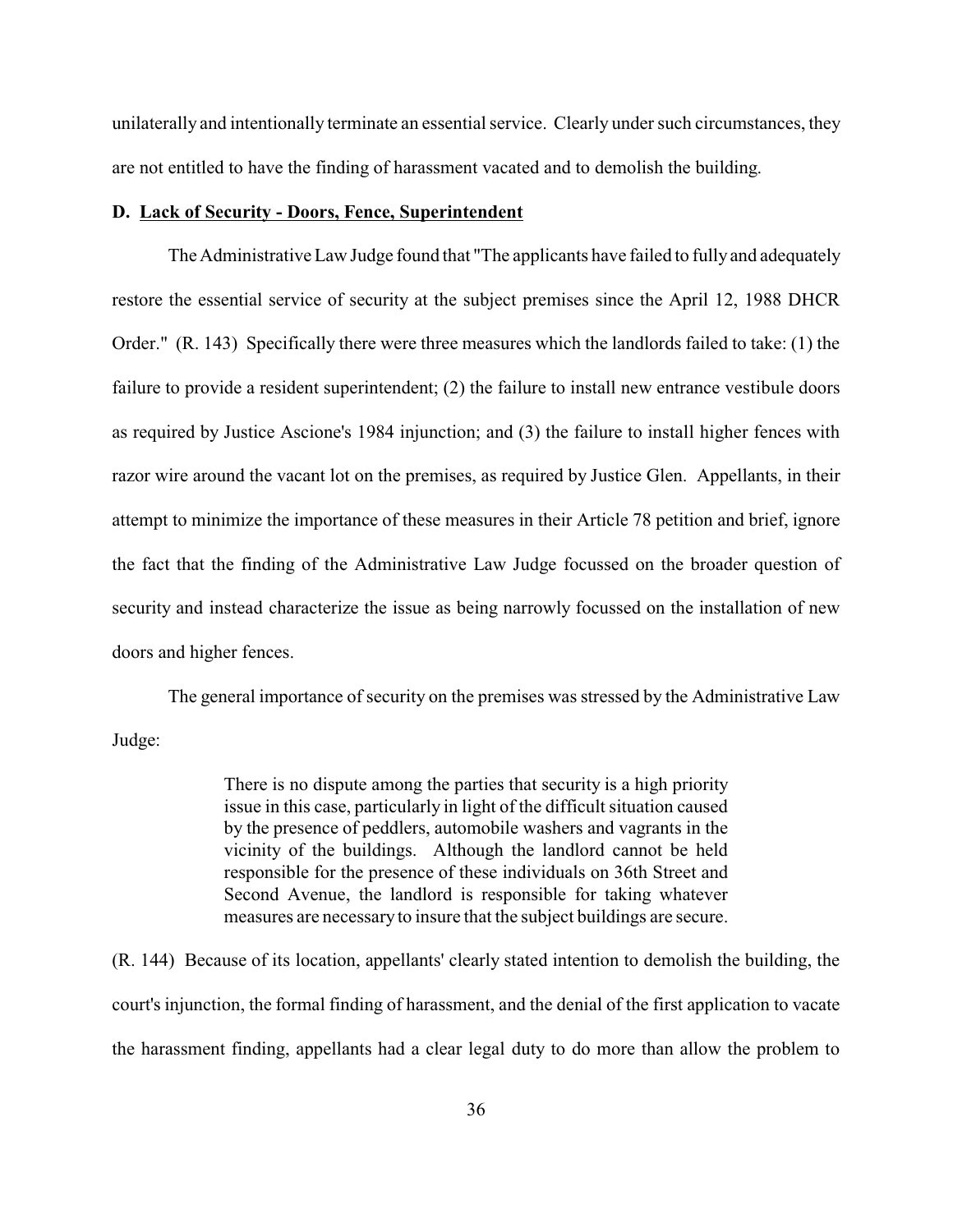unilaterally and intentionally terminate an essential service. Clearly under such circumstances, they are not entitled to have the finding of harassment vacated and to demolish the building.

#### **D. Lack of Security - Doors, Fence, Superintendent**

The Administrative Law Judge found that "The applicants have failed to fully and adequately restore the essential service of security at the subject premises since the April 12, 1988 DHCR Order." (R. 143) Specifically there were three measures which the landlords failed to take: (1) the failure to provide a resident superintendent; (2) the failure to install new entrance vestibule doors as required by Justice Ascione's 1984 injunction; and (3) the failure to install higher fences with razor wire around the vacant lot on the premises, as required by Justice Glen. Appellants, in their attempt to minimize the importance of these measures in their Article 78 petition and brief, ignore the fact that the finding of the Administrative Law Judge focussed on the broader question of security and instead characterize the issue as being narrowly focussed on the installation of new doors and higher fences.

The general importance of security on the premises was stressed by the Administrative Law Judge:

> There is no dispute among the parties that security is a high priority issue in this case, particularly in light of the difficult situation caused by the presence of peddlers, automobile washers and vagrants in the vicinity of the buildings. Although the landlord cannot be held responsible for the presence of these individuals on 36th Street and Second Avenue, the landlord is responsible for taking whatever measures are necessaryto insure that the subject buildings are secure.

(R. 144) Because of its location, appellants' clearly stated intention to demolish the building, the court's injunction, the formal finding of harassment, and the denial of the first application to vacate the harassment finding, appellants had a clear legal duty to do more than allow the problem to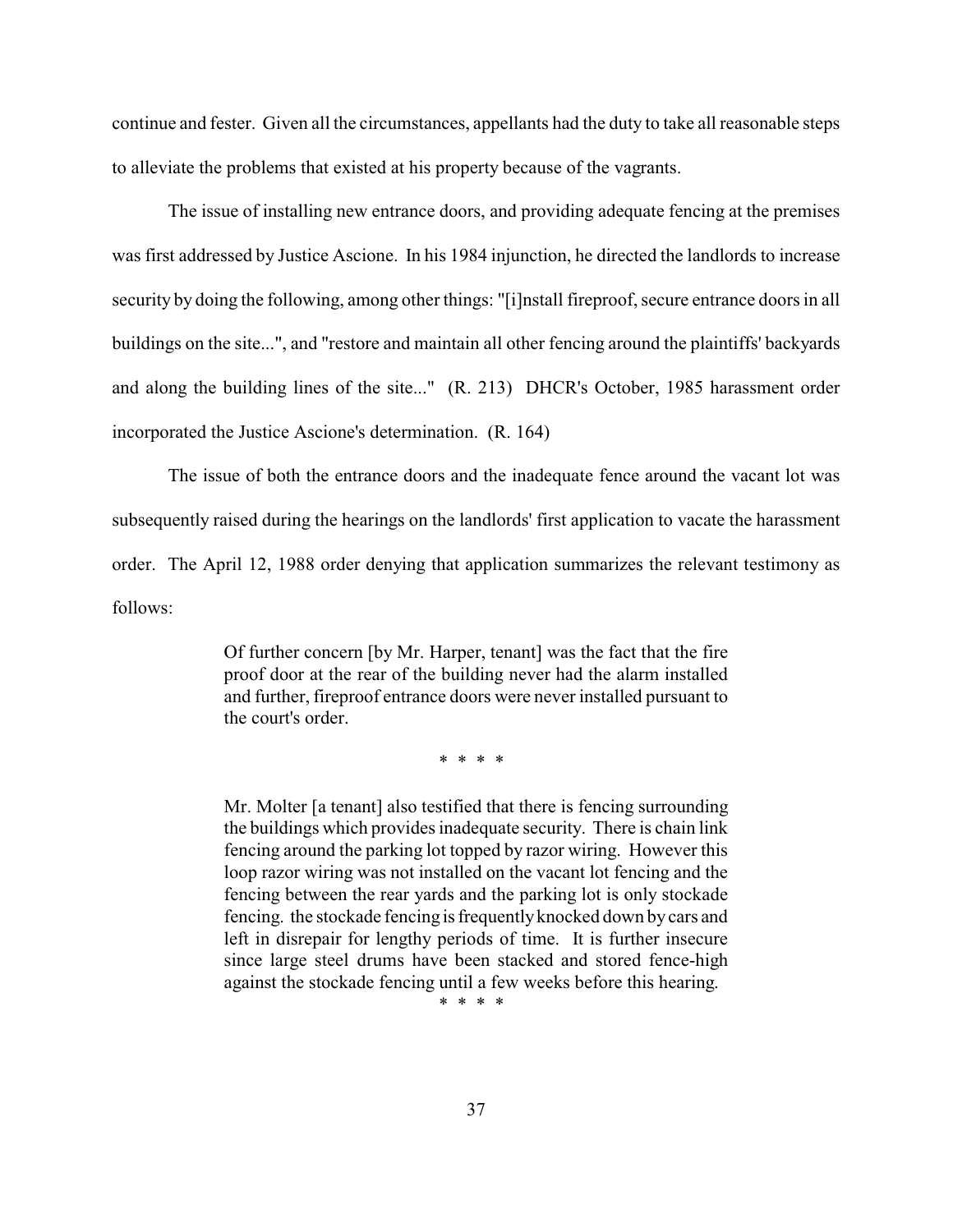continue and fester. Given all the circumstances, appellants had the duty to take all reasonable steps to alleviate the problems that existed at his property because of the vagrants.

The issue of installing new entrance doors, and providing adequate fencing at the premises was first addressed by Justice Ascione. In his 1984 injunction, he directed the landlords to increase security by doing the following, among other things: "[i]nstall fireproof, secure entrance doors in all buildings on the site...", and "restore and maintain all other fencing around the plaintiffs' backyards and along the building lines of the site..." (R. 213) DHCR's October, 1985 harassment order incorporated the Justice Ascione's determination. (R. 164)

The issue of both the entrance doors and the inadequate fence around the vacant lot was subsequently raised during the hearings on the landlords' first application to vacate the harassment order. The April 12, 1988 order denying that application summarizes the relevant testimony as follows:

> Of further concern [by Mr. Harper, tenant] was the fact that the fire proof door at the rear of the building never had the alarm installed and further, fireproof entrance doors were never installed pursuant to the court's order.

> > \* \* \* \*

Mr. Molter [a tenant] also testified that there is fencing surrounding the buildings which provides inadequate security. There is chain link fencing around the parking lot topped by razor wiring. However this loop razor wiring was not installed on the vacant lot fencing and the fencing between the rear yards and the parking lot is only stockade fencing. the stockade fencing is frequentlyknocked down bycars and left in disrepair for lengthy periods of time. It is further insecure since large steel drums have been stacked and stored fence-high against the stockade fencing until a few weeks before this hearing.

\* \* \* \*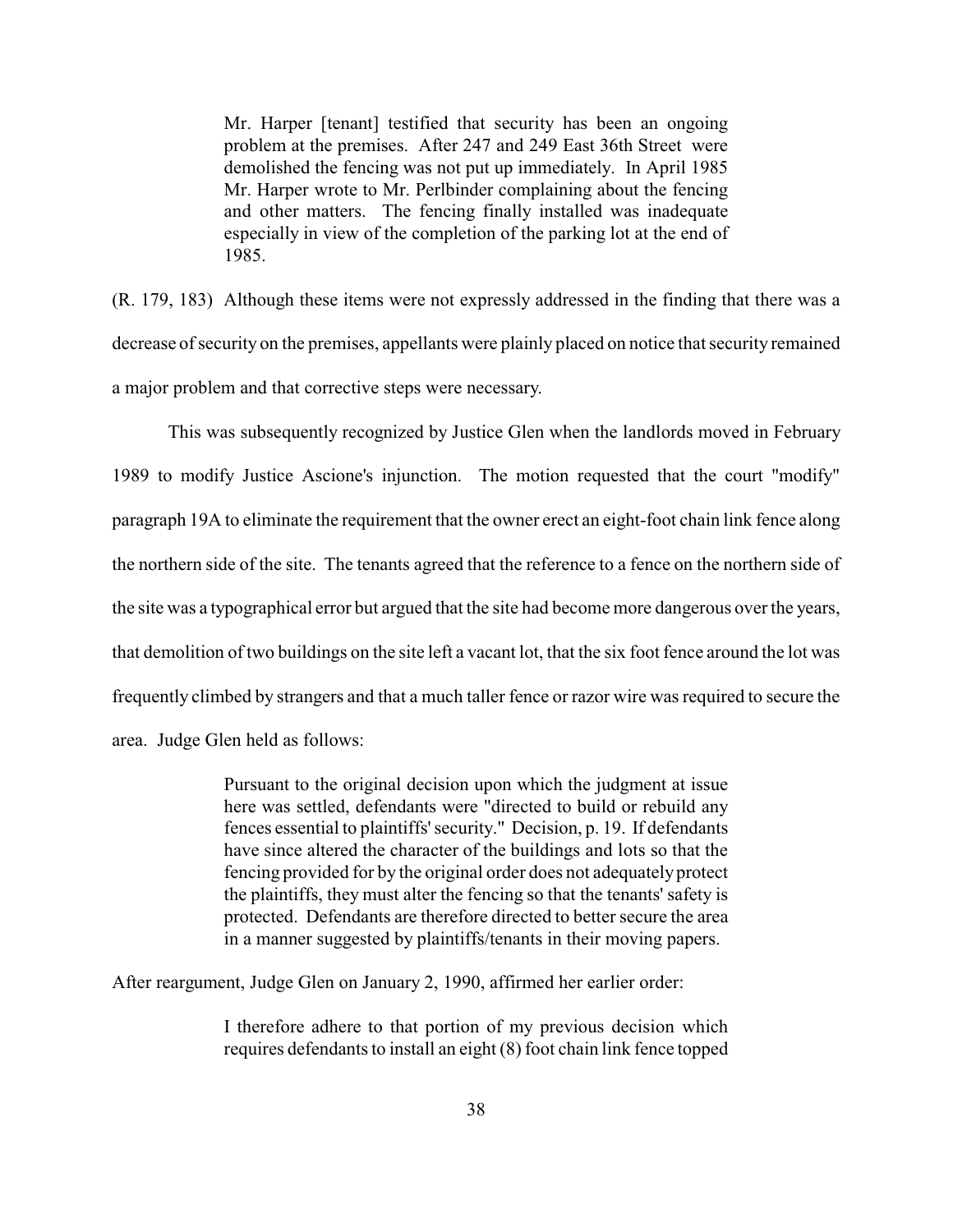Mr. Harper [tenant] testified that security has been an ongoing problem at the premises. After 247 and 249 East 36th Street were demolished the fencing was not put up immediately. In April 1985 Mr. Harper wrote to Mr. Perlbinder complaining about the fencing and other matters. The fencing finally installed was inadequate especially in view of the completion of the parking lot at the end of 1985.

(R. 179, 183) Although these items were not expressly addressed in the finding that there was a decrease of security on the premises, appellants were plainly placed on notice that security remained a major problem and that corrective steps were necessary.

This was subsequently recognized by Justice Glen when the landlords moved in February 1989 to modify Justice Ascione's injunction. The motion requested that the court "modify" paragraph 19A to eliminate the requirement that the owner erect an eight-foot chain link fence along the northern side of the site. The tenants agreed that the reference to a fence on the northern side of the site was a typographical error but argued that the site had become more dangerous over the years, that demolition of two buildings on the site left a vacant lot, that the six foot fence around the lot was frequently climbed by strangers and that a much taller fence or razor wire was required to secure the area. Judge Glen held as follows:

> Pursuant to the original decision upon which the judgment at issue here was settled, defendants were "directed to build or rebuild any fences essential to plaintiffs'security." Decision, p. 19. If defendants have since altered the character of the buildings and lots so that the fencing provided for by the original order does not adequately protect the plaintiffs, they must alter the fencing so that the tenants' safety is protected. Defendants are therefore directed to better secure the area in a manner suggested by plaintiffs/tenants in their moving papers.

After reargument, Judge Glen on January 2, 1990, affirmed her earlier order:

I therefore adhere to that portion of my previous decision which requires defendants to install an eight (8) foot chain link fence topped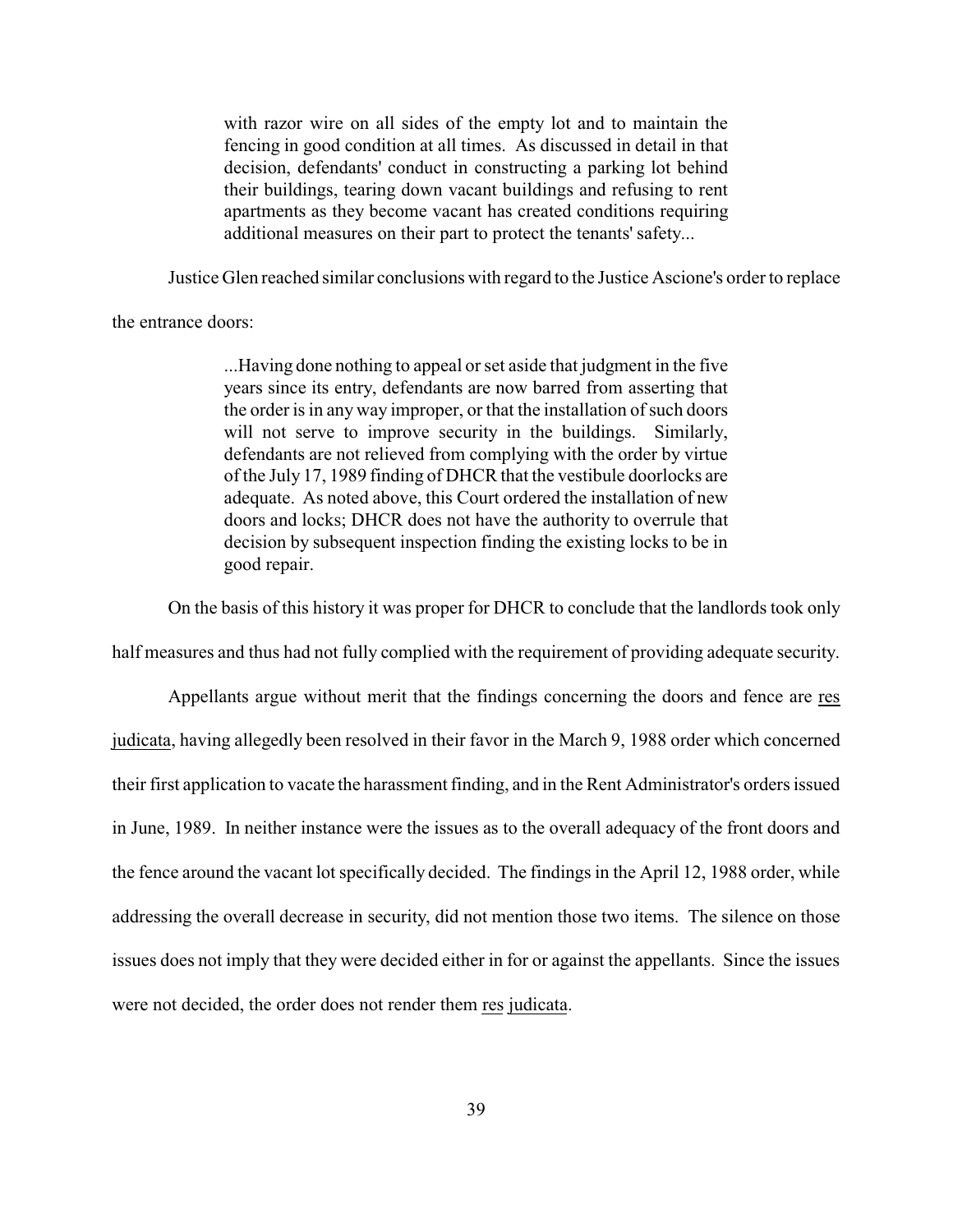with razor wire on all sides of the empty lot and to maintain the fencing in good condition at all times. As discussed in detail in that decision, defendants' conduct in constructing a parking lot behind their buildings, tearing down vacant buildings and refusing to rent apartments as they become vacant has created conditions requiring additional measures on their part to protect the tenants' safety...

Justice Glen reached similar conclusions with regard to the Justice Ascione's order to replace

the entrance doors:

...Having done nothing to appeal or set aside that judgment in the five years since its entry, defendants are now barred from asserting that the order is in any way improper, or that the installation of such doors will not serve to improve security in the buildings. Similarly, defendants are not relieved from complying with the order by virtue of the July 17, 1989 finding of DHCR that the vestibule doorlocks are adequate. As noted above, this Court ordered the installation of new doors and locks; DHCR does not have the authority to overrule that decision by subsequent inspection finding the existing locks to be in good repair.

On the basis of this history it was proper for DHCR to conclude that the landlords took only

half measures and thus had not fully complied with the requirement of providing adequate security.

Appellants argue without merit that the findings concerning the doors and fence are res judicata, having allegedly been resolved in their favor in the March 9, 1988 order which concerned their first application to vacate the harassment finding, and in the Rent Administrator's orders issued in June, 1989. In neither instance were the issues as to the overall adequacy of the front doors and the fence around the vacant lot specifically decided. The findings in the April 12, 1988 order, while addressing the overall decrease in security, did not mention those two items. The silence on those issues does not imply that they were decided either in for or against the appellants. Since the issues were not decided, the order does not render them res judicata.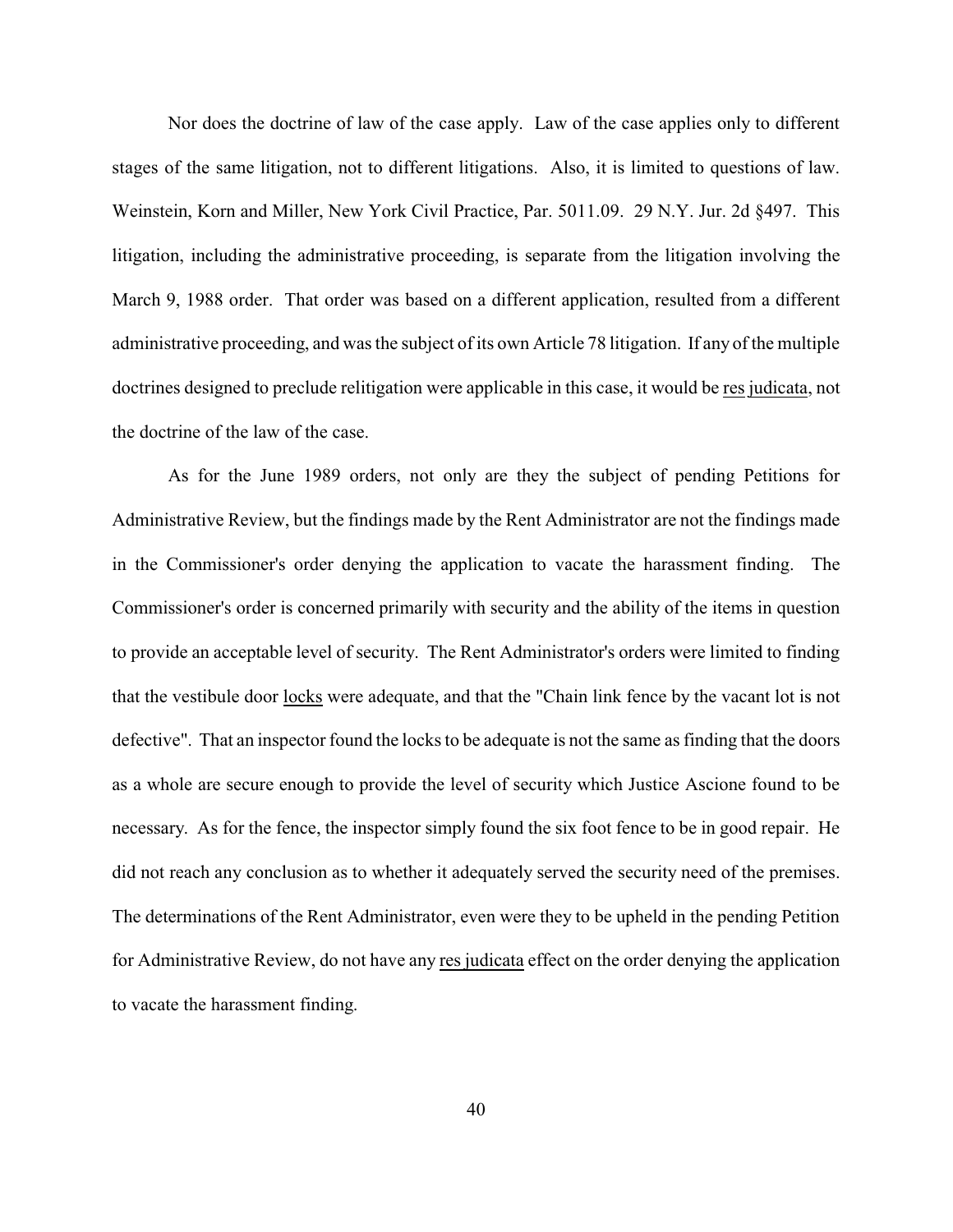Nor does the doctrine of law of the case apply. Law of the case applies only to different stages of the same litigation, not to different litigations. Also, it is limited to questions of law. Weinstein, Korn and Miller, New York Civil Practice, Par. 5011.09. 29 N.Y. Jur. 2d §497. This litigation, including the administrative proceeding, is separate from the litigation involving the March 9, 1988 order. That order was based on a different application, resulted from a different administrative proceeding, and was the subject of its own Article 78 litigation. If any of the multiple doctrines designed to preclude relitigation were applicable in this case, it would be res judicata, not the doctrine of the law of the case.

As for the June 1989 orders, not only are they the subject of pending Petitions for Administrative Review, but the findings made by the Rent Administrator are not the findings made in the Commissioner's order denying the application to vacate the harassment finding. The Commissioner's order is concerned primarily with security and the ability of the items in question to provide an acceptable level of security. The Rent Administrator's orders were limited to finding that the vestibule door locks were adequate, and that the "Chain link fence by the vacant lot is not defective". That an inspector found the locks to be adequate is not the same as finding that the doors as a whole are secure enough to provide the level of security which Justice Ascione found to be necessary. As for the fence, the inspector simply found the six foot fence to be in good repair. He did not reach any conclusion as to whether it adequately served the security need of the premises. The determinations of the Rent Administrator, even were they to be upheld in the pending Petition for Administrative Review, do not have any res judicata effect on the order denying the application to vacate the harassment finding.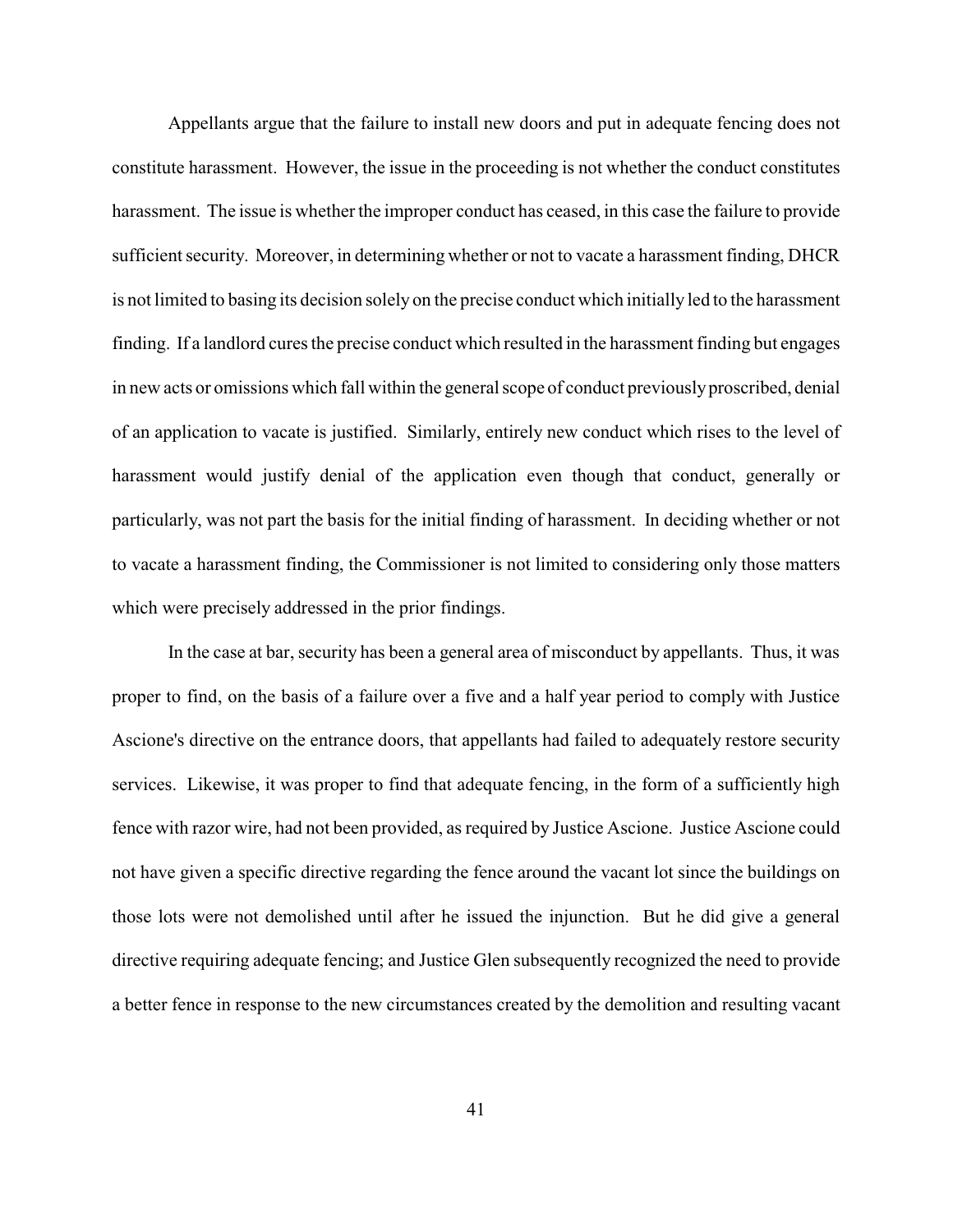Appellants argue that the failure to install new doors and put in adequate fencing does not constitute harassment. However, the issue in the proceeding is not whether the conduct constitutes harassment. The issue is whether the improper conduct has ceased, in this case the failure to provide sufficient security. Moreover, in determining whether or not to vacate a harassment finding, DHCR is not limited to basing its decision solely on the precise conduct which initially led to the harassment finding. If a landlord cures the precise conduct which resulted in the harassment finding but engages in new acts or omissions which fall within the general scope of conduct previouslyproscribed, denial of an application to vacate is justified. Similarly, entirely new conduct which rises to the level of harassment would justify denial of the application even though that conduct, generally or particularly, was not part the basis for the initial finding of harassment. In deciding whether or not to vacate a harassment finding, the Commissioner is not limited to considering only those matters which were precisely addressed in the prior findings.

In the case at bar, security has been a general area of misconduct by appellants. Thus, it was proper to find, on the basis of a failure over a five and a half year period to comply with Justice Ascione's directive on the entrance doors, that appellants had failed to adequately restore security services. Likewise, it was proper to find that adequate fencing, in the form of a sufficiently high fence with razor wire, had not been provided, as required by Justice Ascione. Justice Ascione could not have given a specific directive regarding the fence around the vacant lot since the buildings on those lots were not demolished until after he issued the injunction. But he did give a general directive requiring adequate fencing; and Justice Glen subsequently recognized the need to provide a better fence in response to the new circumstances created by the demolition and resulting vacant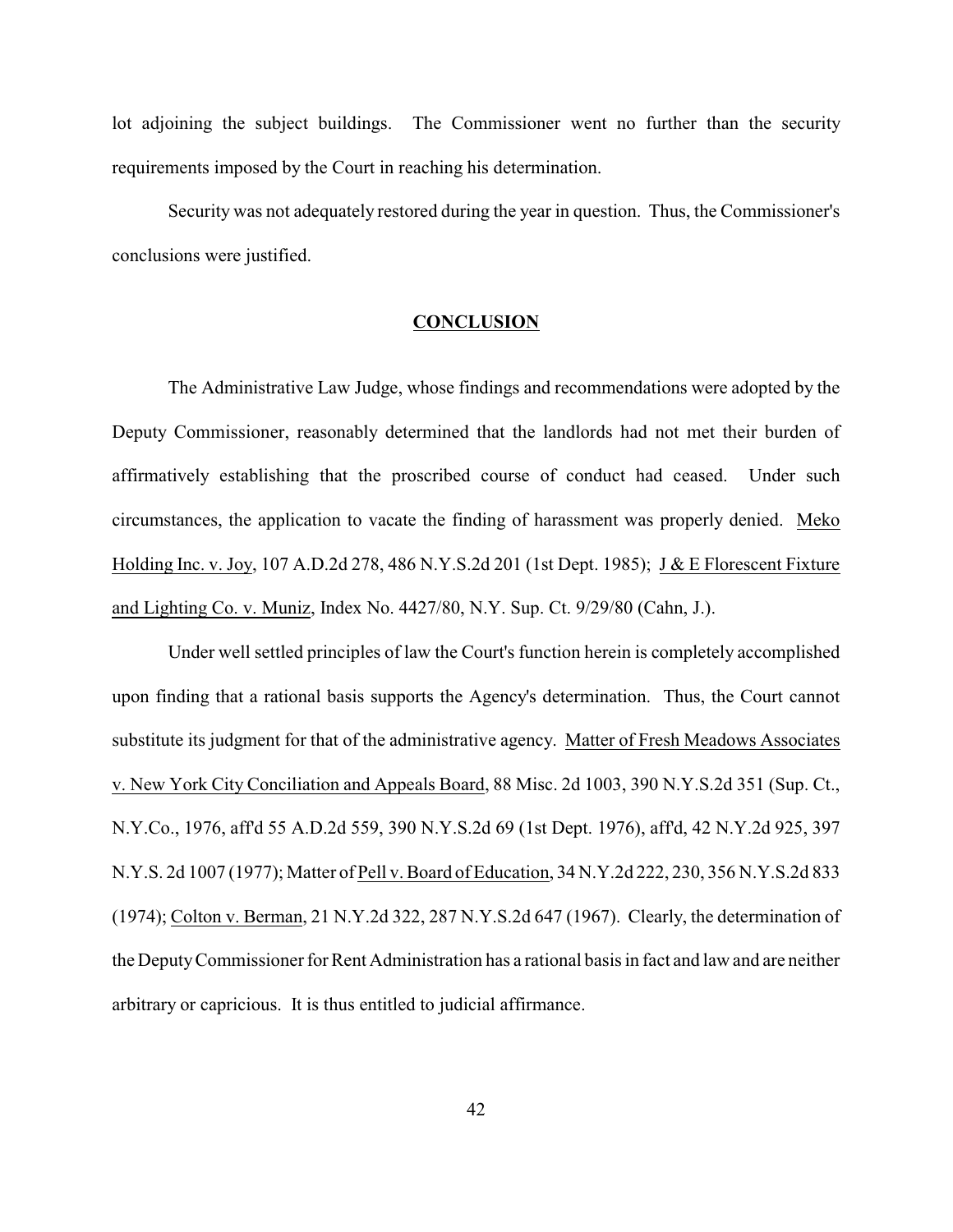lot adjoining the subject buildings. The Commissioner went no further than the security requirements imposed by the Court in reaching his determination.

Security was not adequately restored during the year in question. Thus, the Commissioner's conclusions were justified.

## **CONCLUSION**

The Administrative Law Judge, whose findings and recommendations were adopted by the Deputy Commissioner, reasonably determined that the landlords had not met their burden of affirmatively establishing that the proscribed course of conduct had ceased. Under such circumstances, the application to vacate the finding of harassment was properly denied. Meko Holding Inc. v. Joy, 107 A.D.2d 278, 486 N.Y.S.2d 201 (1st Dept. 1985); J & E Florescent Fixture and Lighting Co. v. Muniz, Index No. 4427/80, N.Y. Sup. Ct. 9/29/80 (Cahn, J.).

Under well settled principles of law the Court's function herein is completely accomplished upon finding that a rational basis supports the Agency's determination. Thus, the Court cannot substitute its judgment for that of the administrative agency. Matter of Fresh Meadows Associates v. New York City Conciliation and Appeals Board, 88 Misc. 2d 1003, 390 N.Y.S.2d 351 (Sup. Ct., N.Y.Co., 1976, aff'd 55 A.D.2d 559, 390 N.Y.S.2d 69 (1st Dept. 1976), aff'd, 42 N.Y.2d 925, 397 N.Y.S. 2d 1007 (1977); Matter of Pell v. Board of Education, 34 N.Y.2d 222, 230, 356 N.Y.S.2d 833 (1974); Colton v. Berman, 21 N.Y.2d 322, 287 N.Y.S.2d 647 (1967). Clearly, the determination of the DeputyCommissioner for Rent Administration has a rational basis in fact and law and are neither arbitrary or capricious. It is thus entitled to judicial affirmance.